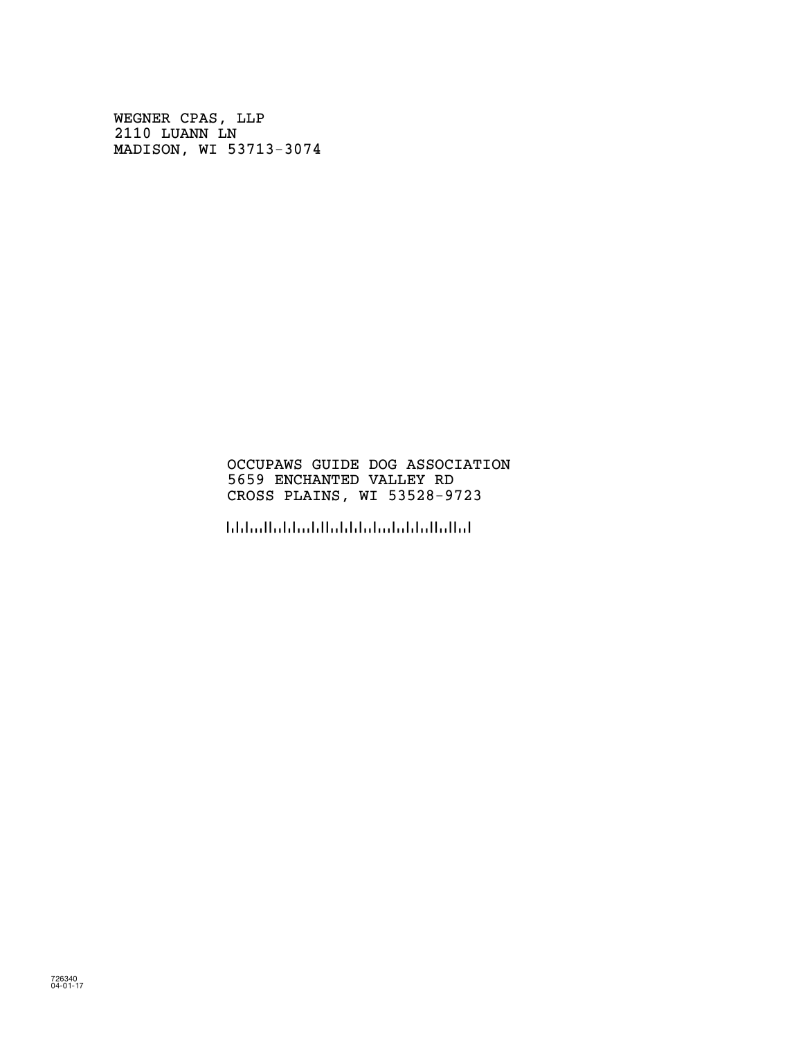WEGNER CPAS, LLP 2110 LUANN LN MADISON, WI 53713-3074

# OCCUPAWS GUIDE DOG ASSOCIATION 5659 ENCHANTED VALLEY RD CROSS PLAINS, WI 53528-9723

!5352897236!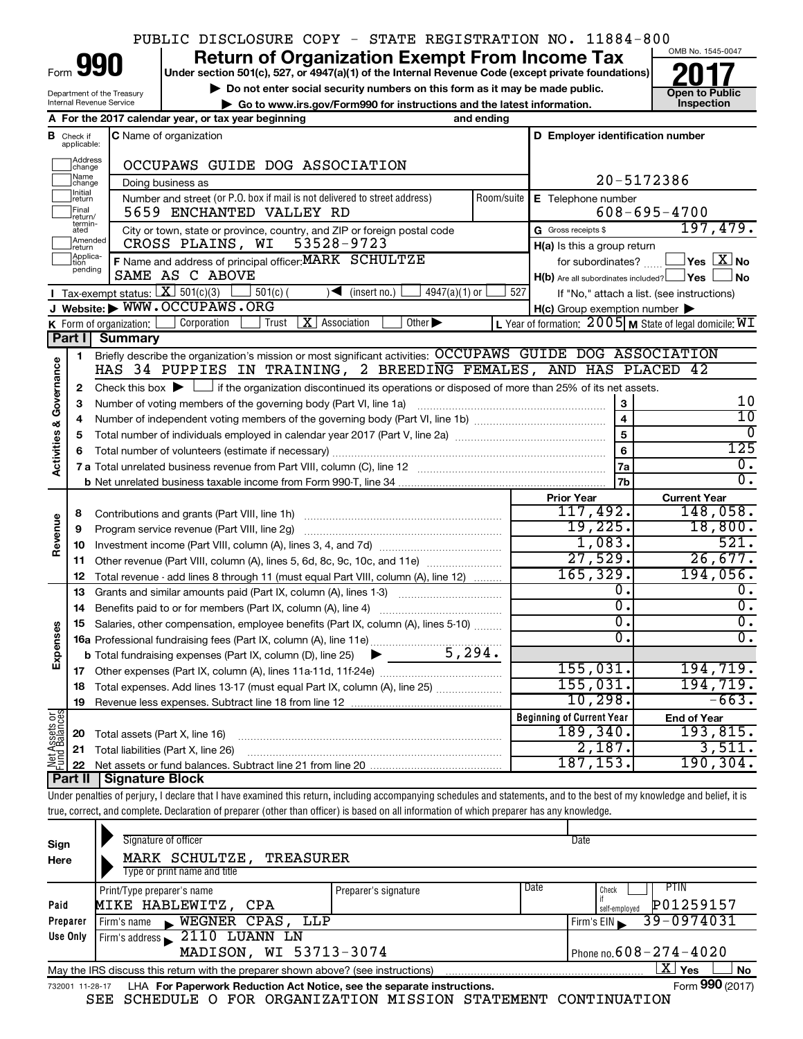# PUBLIC DISCLOSURE COPY - STATE REGISTRATION NO. 11884-800

Form

Department of the Treasury Internal Revenue Service

# **990 Return of Organization Exempt From Income Tax 1990 2017 Divide the section 501(c)**, 527, or 4947(a)(1) of the Internal Revenue Code (except private foundations) **2017**

**Under section 501(c), 527, or 4947(a)(1) of the Internal Revenue Code (except private foundations)**

▶ Do not enter social security numbers on this form as it may be made public.<br>
inspection and the latest information. **Dependent in the latest information** and the latest information. **| Go to www.irs.gov/Form990 for instructions and the latest information. Inspection**



|                                |                               | A For the 2017 calendar year, or tax year beginning<br>and ending                                                                                                               |            |                                                     |                                                             |  |
|--------------------------------|-------------------------------|---------------------------------------------------------------------------------------------------------------------------------------------------------------------------------|------------|-----------------------------------------------------|-------------------------------------------------------------|--|
|                                | <b>B</b> Check if applicable: | <b>C</b> Name of organization                                                                                                                                                   |            | D Employer identification number                    |                                                             |  |
|                                | Address<br>change             | OCCUPAWS GUIDE DOG ASSOCIATION                                                                                                                                                  |            |                                                     |                                                             |  |
|                                | Name<br>change                | Doing business as                                                                                                                                                               | 20-5172386 |                                                     |                                                             |  |
|                                | <b>Initial</b><br>return      | Number and street (or P.O. box if mail is not delivered to street address)                                                                                                      | Room/suite | E Telephone number                                  |                                                             |  |
|                                | Final<br>return/              | 5659 ENCHANTED VALLEY RD                                                                                                                                                        |            |                                                     | $608 - 695 - 4700$                                          |  |
|                                | termin-<br>ated               | City or town, state or province, country, and ZIP or foreign postal code                                                                                                        |            | G Gross receipts \$                                 | 197,479.                                                    |  |
|                                | Amended<br>return             | CROSS PLAINS, WI 53528-9723                                                                                                                                                     |            | $H(a)$ is this a group return                       |                                                             |  |
|                                | Applica-<br>Ition<br>pending  | F Name and address of principal officer: MARK SCHULTZE                                                                                                                          |            | for subordinates?                                   | $\mathsf{lvs}\ \boxed{\mathrm{X}}$ No                       |  |
|                                |                               | SAME AS C ABOVE                                                                                                                                                                 |            | $H(b)$ Are all subordinates included? $\Box$ Yes    | No                                                          |  |
|                                |                               | <b>I</b> Tax exempt status: $\boxed{\mathbf{X}}$ 501(c)(3)<br>4947(a)(1) or<br>$501(c)$ (<br>$\sqrt{\frac{1}{1}}$ (insert no.)                                                  | 527        |                                                     | If "No," attach a list. (see instructions)                  |  |
|                                |                               | J Website: WWW.OCCUPAWS.ORG                                                                                                                                                     |            | $H(c)$ Group exemption number $\blacktriangleright$ |                                                             |  |
|                                |                               | $X$   Association<br>Other $\blacktriangleright$<br>Corporation<br>K Form of organization: $\vert$<br>Trust                                                                     |            |                                                     | L Year of formation: $2005$ M State of legal domicile: $WI$ |  |
|                                | Part I                        | Summary                                                                                                                                                                         |            |                                                     |                                                             |  |
|                                | $\mathbf{1}$                  | Briefly describe the organization's mission or most significant activities: OCCUPAWS GUIDE DOG ASSOCIATION<br>HAS 34 PUPPIES IN TRAINING, 2 BREEDING FEMALES, AND HAS PLACED 42 |            |                                                     |                                                             |  |
| Activities & Governance        | $\mathbf{2}$                  | Check this box $\blacktriangleright$ $\Box$ if the organization discontinued its operations or disposed of more than 25% of its net assets.                                     |            |                                                     |                                                             |  |
|                                | 3                             | Number of voting members of the governing body (Part VI, line 1a)                                                                                                               |            | 3                                                   | 10                                                          |  |
|                                | 4                             |                                                                                                                                                                                 |            | $\overline{\mathbf{4}}$                             | $\overline{10}$                                             |  |
|                                | 5                             |                                                                                                                                                                                 | 5          | $\Omega$                                            |                                                             |  |
|                                | 6                             |                                                                                                                                                                                 |            | 6                                                   | 125                                                         |  |
|                                |                               |                                                                                                                                                                                 |            | 7a                                                  | $\overline{0}$ .                                            |  |
|                                |                               |                                                                                                                                                                                 |            | 7b                                                  | $\overline{0}$ .                                            |  |
|                                |                               |                                                                                                                                                                                 |            | <b>Prior Year</b>                                   | <b>Current Year</b>                                         |  |
|                                | 8                             | Contributions and grants (Part VIII, line 1h)                                                                                                                                   |            | 117,492.                                            | 148,058.                                                    |  |
| Revenue                        | 9                             | Program service revenue (Part VIII, line 2g)                                                                                                                                    |            | 19,225.                                             | 18,800.                                                     |  |
|                                | 10                            |                                                                                                                                                                                 |            | 1,083.                                              | 521.                                                        |  |
|                                | 11                            | Other revenue (Part VIII, column (A), lines 5, 6d, 8c, 9c, 10c, and 11e)                                                                                                        |            | 27,529.                                             | 26,677.                                                     |  |
|                                | 12                            | Total revenue - add lines 8 through 11 (must equal Part VIII, column (A), line 12)                                                                                              |            | 165, 329.                                           | 194,056.                                                    |  |
|                                | 13                            | Grants and similar amounts paid (Part IX, column (A), lines 1-3)                                                                                                                |            | 0.<br>$\overline{0}$ .                              | О.<br>$\overline{0}$ .                                      |  |
|                                | 14                            |                                                                                                                                                                                 |            | σ.                                                  | $\overline{0}$ .                                            |  |
| Expenses                       | 15                            | Salaries, other compensation, employee benefits (Part IX, column (A), lines 5-10)                                                                                               |            | 0.                                                  | $\overline{0}$ .                                            |  |
|                                |                               | 5,294.<br><b>b</b> Total fundraising expenses (Part IX, column (D), line 25)                                                                                                    |            |                                                     |                                                             |  |
|                                | 17                            | $\blacktriangleright$                                                                                                                                                           |            | 155,031.                                            | 194, 719.                                                   |  |
|                                | 18                            | Total expenses. Add lines 13-17 (must equal Part IX, column (A), line 25)                                                                                                       |            | 155,031.                                            | 194,719.                                                    |  |
|                                | 19                            |                                                                                                                                                                                 |            | 10, 298.                                            | $-663.$                                                     |  |
|                                |                               |                                                                                                                                                                                 |            | <b>Beginning of Current Year</b>                    | <b>End of Year</b>                                          |  |
| Net Assets or<br>Fund Balances | 20                            | Total assets (Part X, line 16)                                                                                                                                                  |            | 189, 340.                                           | 193,815.                                                    |  |
|                                | 21                            | Total liabilities (Part X, line 26)                                                                                                                                             |            | 2,187.                                              | 3,511.                                                      |  |
|                                | 22                            |                                                                                                                                                                                 |            | 187, 153.                                           | 190, 304.                                                   |  |
|                                | Part II                       | <b>Signature Block</b>                                                                                                                                                          |            |                                                     |                                                             |  |

Under penalties of perjury, I declare that I have examined this return, including accompanying schedules and statements, and to the best of my knowledge and belief, it is true, correct, and complete. Declaration of preparer (other than officer) is based on all information of which preparer has any knowledge.

| Sign<br>Here                                              | Signature of officer<br>MARK SCHULTZE,<br>TREASURER<br>Type or print name and title                                |                      | Date |                                |  |  |  |  |  |  |
|-----------------------------------------------------------|--------------------------------------------------------------------------------------------------------------------|----------------------|------|--------------------------------|--|--|--|--|--|--|
|                                                           | Print/Type preparer's name                                                                                         | Preparer's signature | Date | PTIN.<br>Check                 |  |  |  |  |  |  |
| P01259157<br>MIKE HABLEWITZ, CPA<br>Paid<br>self-employed |                                                                                                                    |                      |      |                                |  |  |  |  |  |  |
| Preparer                                                  | WEGNER CPAS, LLP<br>Firm's name<br>$\mathbf{N}$                                                                    |                      |      | $39 - 0974031$<br>Firm's $EIN$ |  |  |  |  |  |  |
| Use Only                                                  | Firm's address 2110 LUANN LN                                                                                       |                      |      |                                |  |  |  |  |  |  |
|                                                           | MADISON, WI 53713-3074<br>Phone no. $608 - 274 - 4020$                                                             |                      |      |                                |  |  |  |  |  |  |
|                                                           | $\mathbf{X}$ Yes<br><b>No</b><br>May the IRS discuss this return with the preparer shown above? (see instructions) |                      |      |                                |  |  |  |  |  |  |
| 732001 11-28-17                                           | LHA For Paperwork Reduction Act Notice, see the separate instructions.                                             |                      |      | Form 990 (2017)                |  |  |  |  |  |  |

SEE SCHEDULE O FOR ORGANIZATION MISSION STATEMENT CONTINUATION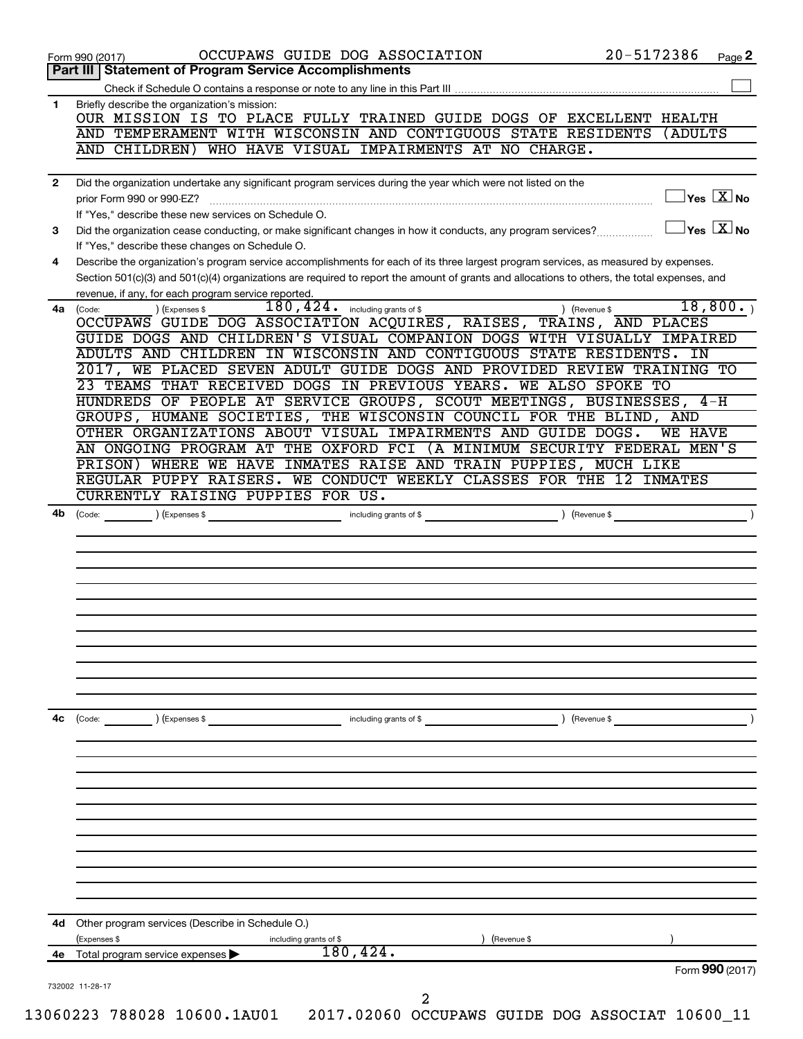|              | Part III   Statement of Program Service Accomplishments                                                                                                                                                                                                                              |
|--------------|--------------------------------------------------------------------------------------------------------------------------------------------------------------------------------------------------------------------------------------------------------------------------------------|
| 1            | Briefly describe the organization's mission:                                                                                                                                                                                                                                         |
|              | OUR MISSION IS TO PLACE FULLY TRAINED GUIDE DOGS OF EXCELLENT HEALTH                                                                                                                                                                                                                 |
|              | AND TEMPERAMENT WITH WISCONSIN AND CONTIGUOUS STATE RESIDENTS<br>(ADULTS                                                                                                                                                                                                             |
|              | AND CHILDREN) WHO HAVE VISUAL IMPAIRMENTS AT NO CHARGE.                                                                                                                                                                                                                              |
| $\mathbf{2}$ | Did the organization undertake any significant program services during the year which were not listed on the                                                                                                                                                                         |
|              | $\overline{\mathsf{Yes} \mathbb{X}}$ No                                                                                                                                                                                                                                              |
|              | If "Yes," describe these new services on Schedule O.                                                                                                                                                                                                                                 |
| 3            | $\sqrt{\mathsf{Yes}\ \mathbf{X}}$ No<br>Did the organization cease conducting, or make significant changes in how it conducts, any program services?                                                                                                                                 |
|              | If "Yes," describe these changes on Schedule O.                                                                                                                                                                                                                                      |
| 4            | Describe the organization's program service accomplishments for each of its three largest program services, as measured by expenses.<br>Section 501(c)(3) and 501(c)(4) organizations are required to report the amount of grants and allocations to others, the total expenses, and |
|              | revenue, if any, for each program service reported.                                                                                                                                                                                                                                  |
| 4a           | 18,800.<br>$180, 424$ . including grants of \$<br>) (Revenue \$<br>) (Expenses \$<br>(Code:                                                                                                                                                                                          |
|              | OCCUPAWS GUIDE DOG ASSOCIATION ACQUIRES, RAISES, TRAINS, AND PLACES                                                                                                                                                                                                                  |
|              | GUIDE DOGS AND CHILDREN'S VISUAL COMPANION DOGS WITH VISUALLY IMPAIRED                                                                                                                                                                                                               |
|              | ADULTS AND CHILDREN IN WISCONSIN AND CONTIGUOUS STATE RESIDENTS. IN                                                                                                                                                                                                                  |
|              | 2017, WE PLACED SEVEN ADULT GUIDE DOGS AND PROVIDED REVIEW TRAINING TO                                                                                                                                                                                                               |
|              | 23 TEAMS THAT RECEIVED DOGS IN PREVIOUS YEARS. WE ALSO SPOKE TO                                                                                                                                                                                                                      |
|              | HUNDREDS OF PEOPLE AT SERVICE GROUPS, SCOUT MEETINGS, BUSINESSES, 4-H                                                                                                                                                                                                                |
|              | GROUPS, HUMANE SOCIETIES, THE WISCONSIN COUNCIL FOR THE BLIND, AND                                                                                                                                                                                                                   |
|              | OTHER ORGANIZATIONS ABOUT VISUAL IMPAIRMENTS AND GUIDE DOGS.<br><b>WE HAVE</b>                                                                                                                                                                                                       |
|              | AN ONGOING PROGRAM AT THE OXFORD FCI (A MINIMUM SECURITY FEDERAL MEN'S                                                                                                                                                                                                               |
|              | PRISON) WHERE WE HAVE INMATES RAISE AND TRAIN PUPPIES, MUCH LIKE<br>REGULAR PUPPY RAISERS. WE CONDUCT WEEKLY CLASSES FOR THE 12 INMATES                                                                                                                                              |
|              | CURRENTLY RAISING PUPPIES FOR US.                                                                                                                                                                                                                                                    |
| 4b           |                                                                                                                                                                                                                                                                                      |
|              | ) (Revenue \$<br>including grants of \$<br>(Code:<br>) (Expenses \$                                                                                                                                                                                                                  |
|              |                                                                                                                                                                                                                                                                                      |
|              |                                                                                                                                                                                                                                                                                      |
|              |                                                                                                                                                                                                                                                                                      |
|              |                                                                                                                                                                                                                                                                                      |
|              |                                                                                                                                                                                                                                                                                      |
|              |                                                                                                                                                                                                                                                                                      |
|              |                                                                                                                                                                                                                                                                                      |
|              |                                                                                                                                                                                                                                                                                      |
|              |                                                                                                                                                                                                                                                                                      |
|              |                                                                                                                                                                                                                                                                                      |
|              |                                                                                                                                                                                                                                                                                      |
|              |                                                                                                                                                                                                                                                                                      |
|              | ) (Revenue \$<br>including grants of \$<br>(Code:<br>) (Expenses \$                                                                                                                                                                                                                  |
|              |                                                                                                                                                                                                                                                                                      |
|              |                                                                                                                                                                                                                                                                                      |
|              |                                                                                                                                                                                                                                                                                      |
|              |                                                                                                                                                                                                                                                                                      |
|              |                                                                                                                                                                                                                                                                                      |
|              |                                                                                                                                                                                                                                                                                      |
|              |                                                                                                                                                                                                                                                                                      |
| 4с<br>4d     | Other program services (Describe in Schedule O.)                                                                                                                                                                                                                                     |
|              | (Expenses \$<br>including grants of \$<br>(Revenue \$                                                                                                                                                                                                                                |
| 4e           | 180, 424.<br>Total program service expenses<br>Form 990 (2017)                                                                                                                                                                                                                       |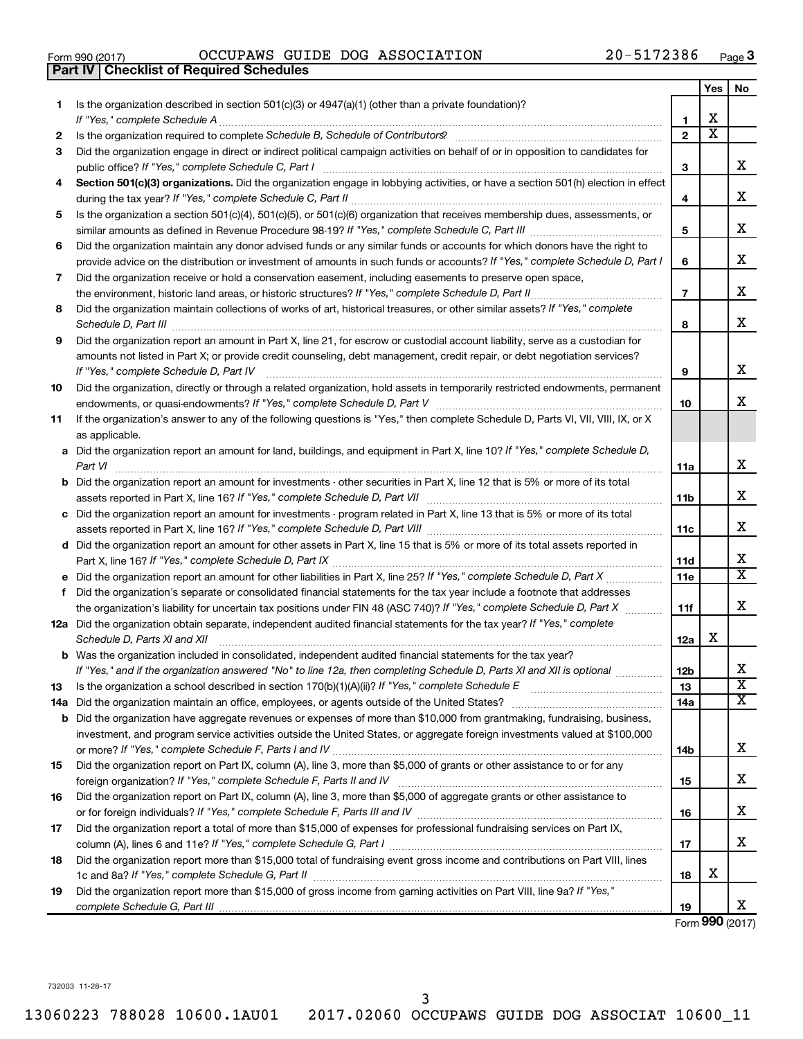|  | Form 990 (2017) |  |
|--|-----------------|--|
|  |                 |  |

|     | <b>Part IV   Checklist of Required Schedules</b>                                                                                                                                                                                    |                 |                         |                             |
|-----|-------------------------------------------------------------------------------------------------------------------------------------------------------------------------------------------------------------------------------------|-----------------|-------------------------|-----------------------------|
|     |                                                                                                                                                                                                                                     |                 | Yes                     | No                          |
| 1.  | Is the organization described in section 501(c)(3) or 4947(a)(1) (other than a private foundation)?                                                                                                                                 |                 |                         |                             |
|     |                                                                                                                                                                                                                                     | 1               | X                       |                             |
| 2   | Is the organization required to complete Schedule B, Schedule of Contributors? [11] the organization required to complete Schedule B, Schedule of Contributors?                                                                     | $\mathbf{2}$    | $\overline{\mathbf{X}}$ |                             |
| З   | Did the organization engage in direct or indirect political campaign activities on behalf of or in opposition to candidates for                                                                                                     |                 |                         |                             |
|     |                                                                                                                                                                                                                                     | 3               |                         | x                           |
| 4   | Section 501(c)(3) organizations. Did the organization engage in lobbying activities, or have a section 501(h) election in effect                                                                                                    |                 |                         |                             |
|     |                                                                                                                                                                                                                                     | 4               |                         | X                           |
| 5   | Is the organization a section 501(c)(4), 501(c)(5), or 501(c)(6) organization that receives membership dues, assessments, or                                                                                                        |                 |                         |                             |
|     |                                                                                                                                                                                                                                     | 5               |                         | х                           |
| 6   | Did the organization maintain any donor advised funds or any similar funds or accounts for which donors have the right to                                                                                                           |                 |                         |                             |
|     | provide advice on the distribution or investment of amounts in such funds or accounts? If "Yes," complete Schedule D, Part I                                                                                                        | 6               |                         | х                           |
| 7   |                                                                                                                                                                                                                                     |                 |                         |                             |
|     | Did the organization receive or hold a conservation easement, including easements to preserve open space,                                                                                                                           |                 |                         | х                           |
|     |                                                                                                                                                                                                                                     | $\overline{7}$  |                         |                             |
| 8   | Did the organization maintain collections of works of art, historical treasures, or other similar assets? If "Yes," complete                                                                                                        |                 |                         | X                           |
|     | Schedule D, Part III <b>Marting Community</b> Construction of the Construction of the Construction of the Construction of the Construction of the Construction of the Construction of the Construction of the Construction of the C | 8               |                         |                             |
| 9   | Did the organization report an amount in Part X, line 21, for escrow or custodial account liability, serve as a custodian for                                                                                                       |                 |                         |                             |
|     | amounts not listed in Part X; or provide credit counseling, debt management, credit repair, or debt negotiation services?                                                                                                           |                 |                         |                             |
|     | If "Yes," complete Schedule D, Part IV                                                                                                                                                                                              | 9               |                         | X                           |
| 10  | Did the organization, directly or through a related organization, hold assets in temporarily restricted endowments, permanent                                                                                                       |                 |                         |                             |
|     |                                                                                                                                                                                                                                     | 10              |                         | x                           |
| 11  | If the organization's answer to any of the following questions is "Yes," then complete Schedule D, Parts VI, VII, VIII, IX, or X                                                                                                    |                 |                         |                             |
|     | as applicable.                                                                                                                                                                                                                      |                 |                         |                             |
|     | a Did the organization report an amount for land, buildings, and equipment in Part X, line 10? If "Yes," complete Schedule D,                                                                                                       |                 |                         |                             |
|     |                                                                                                                                                                                                                                     | 11a             |                         | x                           |
|     | <b>b</b> Did the organization report an amount for investments - other securities in Part X, line 12 that is 5% or more of its total                                                                                                |                 |                         |                             |
|     | assets reported in Part X, line 16? If "Yes," complete Schedule D, Part VII [11] [11] [12] [12] [12] [12] [12] [                                                                                                                    | 11b             |                         | х                           |
|     | c Did the organization report an amount for investments - program related in Part X, line 13 that is 5% or more of its total                                                                                                        |                 |                         |                             |
|     |                                                                                                                                                                                                                                     | 11c             |                         | X                           |
|     | d Did the organization report an amount for other assets in Part X, line 15 that is 5% or more of its total assets reported in                                                                                                      |                 |                         |                             |
|     |                                                                                                                                                                                                                                     | 11d             |                         | х                           |
|     |                                                                                                                                                                                                                                     | 11e             |                         | $\overline{\mathtt{x}}$     |
|     | f Did the organization's separate or consolidated financial statements for the tax year include a footnote that addresses                                                                                                           |                 |                         |                             |
|     | the organization's liability for uncertain tax positions under FIN 48 (ASC 740)? If "Yes," complete Schedule D, Part X                                                                                                              | 11f             |                         | X                           |
|     | 12a Did the organization obtain separate, independent audited financial statements for the tax year? If "Yes," complete                                                                                                             |                 |                         |                             |
|     | Schedule D, Parts XI and XII                                                                                                                                                                                                        | 12a             | х                       |                             |
|     | <b>b</b> Was the organization included in consolidated, independent audited financial statements for the tax year?                                                                                                                  |                 |                         |                             |
|     | If "Yes," and if the organization answered "No" to line 12a, then completing Schedule D, Parts XI and XII is optional <i>manum</i>                                                                                                  | 12 <sub>b</sub> |                         | х                           |
| 13  |                                                                                                                                                                                                                                     | 13              |                         | $\overline{\textbf{x}}$     |
| 14a |                                                                                                                                                                                                                                     | 14a             |                         | $\overline{\textnormal{x}}$ |
|     | <b>b</b> Did the organization have aggregate revenues or expenses of more than \$10,000 from grantmaking, fundraising, business,                                                                                                    |                 |                         |                             |
|     | investment, and program service activities outside the United States, or aggregate foreign investments valued at \$100,000                                                                                                          |                 |                         |                             |
|     |                                                                                                                                                                                                                                     | 14b             |                         | х                           |
| 15  | Did the organization report on Part IX, column (A), line 3, more than \$5,000 of grants or other assistance to or for any                                                                                                           |                 |                         |                             |
|     |                                                                                                                                                                                                                                     | 15              |                         | х                           |
| 16  | Did the organization report on Part IX, column (A), line 3, more than \$5,000 of aggregate grants or other assistance to                                                                                                            |                 |                         |                             |
|     |                                                                                                                                                                                                                                     | 16              |                         | х                           |
| 17  | Did the organization report a total of more than \$15,000 of expenses for professional fundraising services on Part IX,                                                                                                             |                 |                         |                             |
|     |                                                                                                                                                                                                                                     | 17              |                         | x                           |
| 18  | Did the organization report more than \$15,000 total of fundraising event gross income and contributions on Part VIII, lines                                                                                                        |                 |                         |                             |
|     |                                                                                                                                                                                                                                     | 18              | х                       |                             |
| 19  | Did the organization report more than \$15,000 of gross income from gaming activities on Part VIII, line 9a? If "Yes,"                                                                                                              |                 |                         |                             |
|     |                                                                                                                                                                                                                                     | 19              |                         | х                           |
|     |                                                                                                                                                                                                                                     |                 |                         |                             |

Form (2017) **990**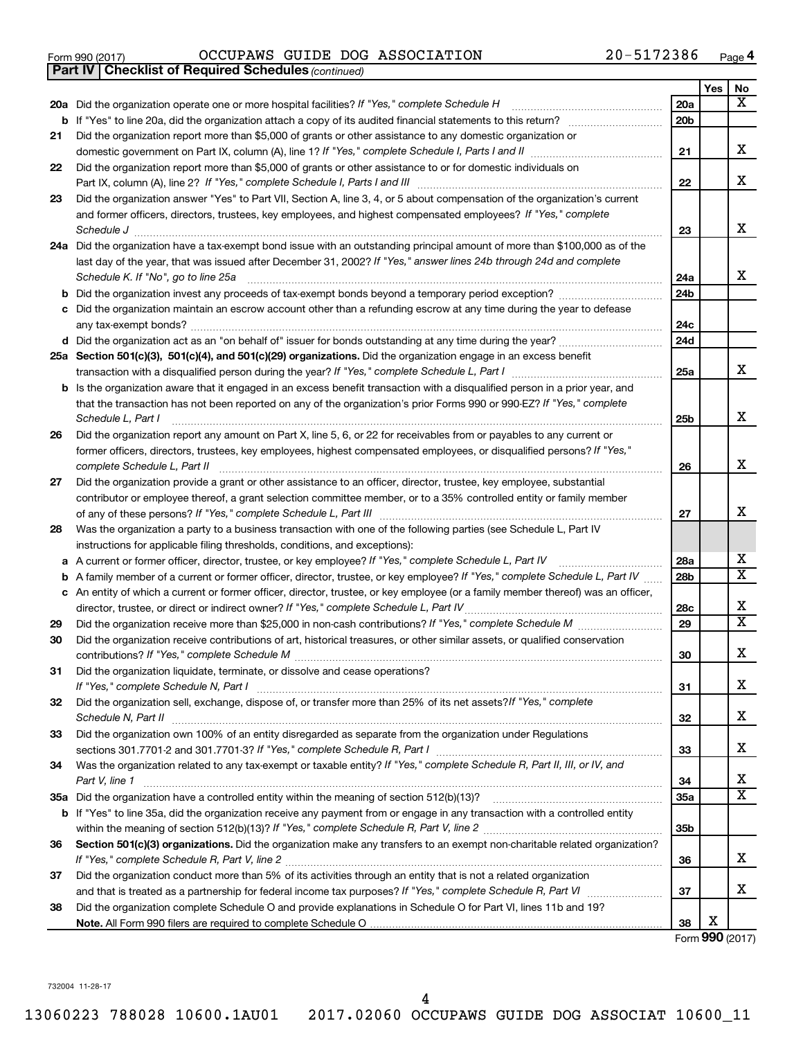|  | Form 990 (2017) |
|--|-----------------|
|  |                 |

*(continued)* **Part IV Checklist of Required Schedules**

|    | 20a Did the organization operate one or more hospital facilities? If "Yes," complete Schedule H                                             | 20a             |   | x                       |
|----|---------------------------------------------------------------------------------------------------------------------------------------------|-----------------|---|-------------------------|
|    | <b>b</b> If "Yes" to line 20a, did the organization attach a copy of its audited financial statements to this return?                       | 20 <sub>b</sub> |   |                         |
| 21 | Did the organization report more than \$5,000 of grants or other assistance to any domestic organization or                                 |                 |   |                         |
|    |                                                                                                                                             | 21              |   | х                       |
| 22 | Did the organization report more than \$5,000 of grants or other assistance to or for domestic individuals on                               |                 |   |                         |
|    |                                                                                                                                             | 22              |   | X                       |
| 23 | Did the organization answer "Yes" to Part VII, Section A, line 3, 4, or 5 about compensation of the organization's current                  |                 |   |                         |
|    | and former officers, directors, trustees, key employees, and highest compensated employees? If "Yes," complete                              |                 |   |                         |
|    | Schedule J                                                                                                                                  | 23              |   | x                       |
|    | 24a Did the organization have a tax-exempt bond issue with an outstanding principal amount of more than \$100,000 as of the                 |                 |   |                         |
|    | last day of the year, that was issued after December 31, 2002? If "Yes," answer lines 24b through 24d and complete                          |                 |   |                         |
|    | Schedule K. If "No", go to line 25a                                                                                                         | 24a             |   | x                       |
| b  | Did the organization invest any proceeds of tax-exempt bonds beyond a temporary period exception?                                           | 24 <sub>b</sub> |   |                         |
| с  | Did the organization maintain an escrow account other than a refunding escrow at any time during the year to defease                        |                 |   |                         |
|    |                                                                                                                                             | 24c             |   |                         |
|    |                                                                                                                                             | 24d             |   |                         |
|    | 25a Section 501(c)(3), 501(c)(4), and 501(c)(29) organizations. Did the organization engage in an excess benefit                            |                 |   | х                       |
|    |                                                                                                                                             | 25a             |   |                         |
|    | <b>b</b> Is the organization aware that it engaged in an excess benefit transaction with a disqualified person in a prior year, and         |                 |   |                         |
|    | that the transaction has not been reported on any of the organization's prior Forms 990 or 990-EZ? If "Yes," complete<br>Schedule L, Part I | 25b             |   | X                       |
| 26 | Did the organization report any amount on Part X, line 5, 6, or 22 for receivables from or payables to any current or                       |                 |   |                         |
|    | former officers, directors, trustees, key employees, highest compensated employees, or disqualified persons? If "Yes,"                      |                 |   |                         |
|    | complete Schedule L, Part II                                                                                                                | 26              |   | x                       |
| 27 | Did the organization provide a grant or other assistance to an officer, director, trustee, key employee, substantial                        |                 |   |                         |
|    | contributor or employee thereof, a grant selection committee member, or to a 35% controlled entity or family member                         |                 |   |                         |
|    |                                                                                                                                             | 27              |   | x                       |
| 28 | Was the organization a party to a business transaction with one of the following parties (see Schedule L, Part IV                           |                 |   |                         |
|    | instructions for applicable filing thresholds, conditions, and exceptions):                                                                 |                 |   |                         |
| а  | A current or former officer, director, trustee, or key employee? If "Yes," complete Schedule L, Part IV                                     | 28a             |   | х                       |
| b  | A family member of a current or former officer, director, trustee, or key employee? If "Yes," complete Schedule L, Part IV                  | 28 <sub>b</sub> |   | х                       |
|    | c An entity of which a current or former officer, director, trustee, or key employee (or a family member thereof) was an officer,           |                 |   |                         |
|    | director, trustee, or direct or indirect owner? If "Yes," complete Schedule L, Part IV                                                      | 28c             |   | х                       |
| 29 |                                                                                                                                             | 29              |   | $\overline{\mathbf{X}}$ |
| 30 | Did the organization receive contributions of art, historical treasures, or other similar assets, or qualified conservation                 |                 |   |                         |
|    |                                                                                                                                             | 30              |   | X                       |
| 31 | Did the organization liquidate, terminate, or dissolve and cease operations?                                                                |                 |   |                         |
|    |                                                                                                                                             | 31              |   | х                       |
| 32 | Did the organization sell, exchange, dispose of, or transfer more than 25% of its net assets? If "Yes," complete                            |                 |   |                         |
|    |                                                                                                                                             | 32              |   | х                       |
| 33 | Did the organization own 100% of an entity disregarded as separate from the organization under Regulations                                  |                 |   | х                       |
|    |                                                                                                                                             | 33              |   |                         |
| 34 | Was the organization related to any tax-exempt or taxable entity? If "Yes," complete Schedule R, Part II, III, or IV, and                   |                 |   | х                       |
|    | Part V, line 1                                                                                                                              | 34              |   | х                       |
|    |                                                                                                                                             | 35a             |   |                         |
|    | b If "Yes" to line 35a, did the organization receive any payment from or engage in any transaction with a controlled entity                 | 35b             |   |                         |
| 36 | Section 501(c)(3) organizations. Did the organization make any transfers to an exempt non-charitable related organization?                  |                 |   |                         |
|    |                                                                                                                                             | 36              |   | х                       |
| 37 | Did the organization conduct more than 5% of its activities through an entity that is not a related organization                            |                 |   |                         |
|    |                                                                                                                                             | 37              |   | х                       |
| 38 | Did the organization complete Schedule O and provide explanations in Schedule O for Part VI, lines 11b and 19?                              |                 |   |                         |
|    |                                                                                                                                             | 38              | Х |                         |

Form (2017) **990**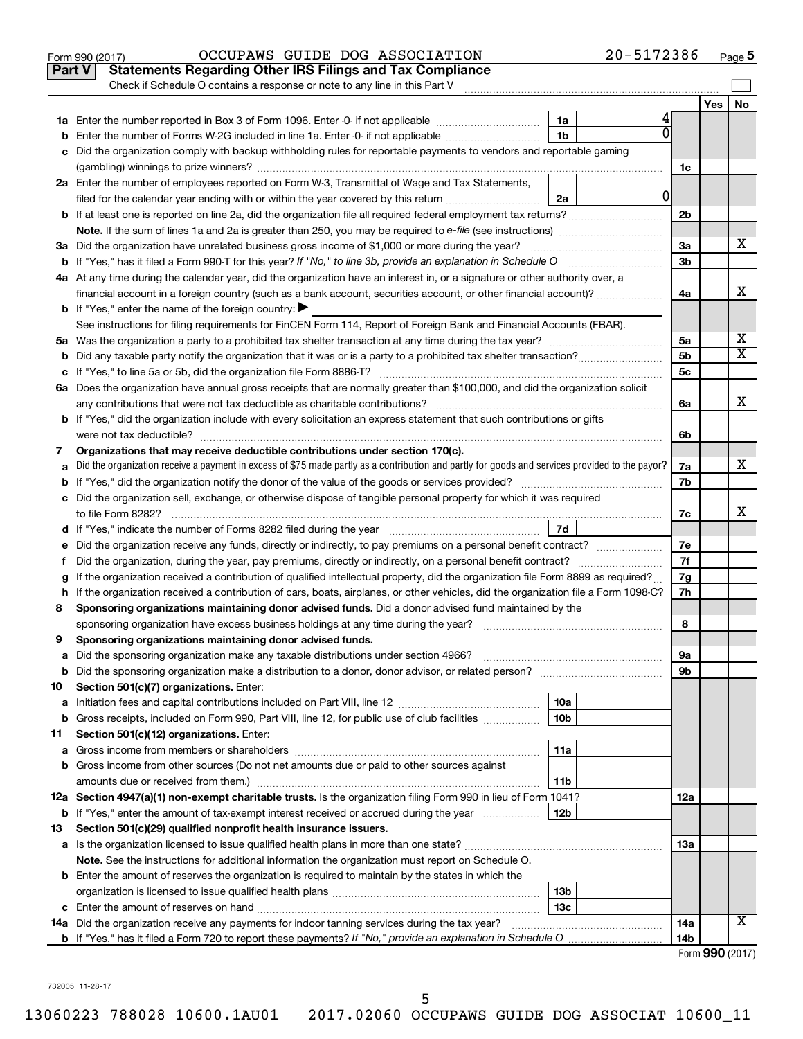|    | 20-5172386<br>OCCUPAWS GUIDE DOG ASSOCIATION<br>Form 990 (2017)                                                                                                                                                                                                                                                                                                                                                                                     |                |     | Page 5                  |
|----|-----------------------------------------------------------------------------------------------------------------------------------------------------------------------------------------------------------------------------------------------------------------------------------------------------------------------------------------------------------------------------------------------------------------------------------------------------|----------------|-----|-------------------------|
|    | <b>Statements Regarding Other IRS Filings and Tax Compliance</b><br><b>Part V</b>                                                                                                                                                                                                                                                                                                                                                                   |                |     |                         |
|    | Check if Schedule O contains a response or note to any line in this Part V                                                                                                                                                                                                                                                                                                                                                                          |                |     |                         |
|    |                                                                                                                                                                                                                                                                                                                                                                                                                                                     |                | Yes | No                      |
|    | 1a                                                                                                                                                                                                                                                                                                                                                                                                                                                  |                |     |                         |
|    | 1 <sub>b</sub><br><b>b</b> Enter the number of Forms W-2G included in line 1a. Enter -0- if not applicable <i>manumumumum</i>                                                                                                                                                                                                                                                                                                                       |                |     |                         |
|    | c Did the organization comply with backup withholding rules for reportable payments to vendors and reportable gaming                                                                                                                                                                                                                                                                                                                                |                |     |                         |
|    |                                                                                                                                                                                                                                                                                                                                                                                                                                                     | 1c             |     |                         |
|    | 2a Enter the number of employees reported on Form W-3, Transmittal of Wage and Tax Statements,                                                                                                                                                                                                                                                                                                                                                      |                |     |                         |
|    | 01<br>filed for the calendar year ending with or within the year covered by this return<br>2a                                                                                                                                                                                                                                                                                                                                                       |                |     |                         |
|    |                                                                                                                                                                                                                                                                                                                                                                                                                                                     | 2 <sub>b</sub> |     |                         |
|    | <b>Note.</b> If the sum of lines 1a and 2a is greater than 250, you may be required to e-file (see instructions)                                                                                                                                                                                                                                                                                                                                    |                |     |                         |
|    | 3a Did the organization have unrelated business gross income of \$1,000 or more during the year?                                                                                                                                                                                                                                                                                                                                                    | 3a             |     | x                       |
|    | <b>b</b> If "Yes," has it filed a Form 990-T for this year? If "No," to line 3b, provide an explanation in Schedule O                                                                                                                                                                                                                                                                                                                               | 3b             |     |                         |
|    | 4a At any time during the calendar year, did the organization have an interest in, or a signature or other authority over, a                                                                                                                                                                                                                                                                                                                        |                |     |                         |
|    | financial account in a foreign country (such as a bank account, securities account, or other financial account)?                                                                                                                                                                                                                                                                                                                                    | 4a             |     | х                       |
|    | <b>b</b> If "Yes," enter the name of the foreign country: $\blacktriangleright$                                                                                                                                                                                                                                                                                                                                                                     |                |     |                         |
|    | See instructions for filing requirements for FinCEN Form 114, Report of Foreign Bank and Financial Accounts (FBAR).                                                                                                                                                                                                                                                                                                                                 |                |     |                         |
|    |                                                                                                                                                                                                                                                                                                                                                                                                                                                     | 5a             |     | х                       |
|    |                                                                                                                                                                                                                                                                                                                                                                                                                                                     | 5 <sub>b</sub> |     | $\overline{\mathtt{x}}$ |
|    |                                                                                                                                                                                                                                                                                                                                                                                                                                                     | 5 <sub>c</sub> |     |                         |
|    | 6a Does the organization have annual gross receipts that are normally greater than \$100,000, and did the organization solicit                                                                                                                                                                                                                                                                                                                      |                |     |                         |
|    | any contributions that were not tax deductible as charitable contributions?                                                                                                                                                                                                                                                                                                                                                                         | 6a             |     | х                       |
|    | <b>b</b> If "Yes," did the organization include with every solicitation an express statement that such contributions or gifts                                                                                                                                                                                                                                                                                                                       |                |     |                         |
|    | were not tax deductible?                                                                                                                                                                                                                                                                                                                                                                                                                            | 6b             |     |                         |
| 7  | Organizations that may receive deductible contributions under section 170(c).                                                                                                                                                                                                                                                                                                                                                                       |                |     |                         |
| a  | Did the organization receive a payment in excess of \$75 made partly as a contribution and partly for goods and services provided to the payor?                                                                                                                                                                                                                                                                                                     | 7a             |     | x                       |
|    |                                                                                                                                                                                                                                                                                                                                                                                                                                                     | 7b             |     |                         |
|    | c Did the organization sell, exchange, or otherwise dispose of tangible personal property for which it was required                                                                                                                                                                                                                                                                                                                                 |                |     |                         |
|    | to file Form 8282?                                                                                                                                                                                                                                                                                                                                                                                                                                  | 7c             |     | х                       |
|    | 7d<br>d If "Yes," indicate the number of Forms 8282 filed during the year manufactured in the settle surface of Forms and The United States (States Infermation of the United States Infermation of the United States Infermation of                                                                                                                                                                                                                |                |     |                         |
|    | e Did the organization receive any funds, directly or indirectly, to pay premiums on a personal benefit contract?                                                                                                                                                                                                                                                                                                                                   | 7e             |     |                         |
| t. | Did the organization, during the year, pay premiums, directly or indirectly, on a personal benefit contract?                                                                                                                                                                                                                                                                                                                                        | 7f             |     |                         |
| g  | If the organization received a contribution of qualified intellectual property, did the organization file Form 8899 as required?                                                                                                                                                                                                                                                                                                                    | 7g             |     |                         |
|    | h If the organization received a contribution of cars, boats, airplanes, or other vehicles, did the organization file a Form 1098-C?                                                                                                                                                                                                                                                                                                                | 7h             |     |                         |
| 8  | Sponsoring organizations maintaining donor advised funds. Did a donor advised fund maintained by the                                                                                                                                                                                                                                                                                                                                                |                |     |                         |
|    | sponsoring organization have excess business holdings at any time during the year?                                                                                                                                                                                                                                                                                                                                                                  | 8              |     |                         |
| 9  | Sponsoring organizations maintaining donor advised funds.                                                                                                                                                                                                                                                                                                                                                                                           |                |     |                         |
| а  | Did the sponsoring organization make any taxable distributions under section 4966?<br>$\mathcal{L} = \{1, 2, \ldots, 2, \ldots, 2, \ldots, 2, \ldots, 2, \ldots, 2, \ldots, 2, \ldots, 2, \ldots, 2, \ldots, 2, \ldots, 2, \ldots, 2, \ldots, 2, \ldots, 2, \ldots, 2, \ldots, 2, \ldots, 2, \ldots, 2, \ldots, 2, \ldots, 2, \ldots, 2, \ldots, 2, \ldots, 2, \ldots, 2, \ldots, 2, \ldots, 2, \ldots, 2, \ldots, 2, \ldots, 2, \ldots, 2, \ldots$ | 9а             |     |                         |
| b  | Did the sponsoring organization make a distribution to a donor, donor advisor, or related person?                                                                                                                                                                                                                                                                                                                                                   | 9b             |     |                         |
| 10 | Section 501(c)(7) organizations. Enter:                                                                                                                                                                                                                                                                                                                                                                                                             |                |     |                         |
| а  | 10a                                                                                                                                                                                                                                                                                                                                                                                                                                                 |                |     |                         |
| b  | Gross receipts, included on Form 990, Part VIII, line 12, for public use of club facilities<br>10 <sub>b</sub>                                                                                                                                                                                                                                                                                                                                      |                |     |                         |
| 11 | Section 501(c)(12) organizations. Enter:                                                                                                                                                                                                                                                                                                                                                                                                            |                |     |                         |
| а  | 11a                                                                                                                                                                                                                                                                                                                                                                                                                                                 |                |     |                         |
|    | b Gross income from other sources (Do not net amounts due or paid to other sources against                                                                                                                                                                                                                                                                                                                                                          |                |     |                         |
|    | 11b                                                                                                                                                                                                                                                                                                                                                                                                                                                 |                |     |                         |
|    | 12a Section 4947(a)(1) non-exempt charitable trusts. Is the organization filing Form 990 in lieu of Form 1041?                                                                                                                                                                                                                                                                                                                                      | 12a            |     |                         |
|    | <b>b</b> If "Yes," enter the amount of tax-exempt interest received or accrued during the year<br>12b                                                                                                                                                                                                                                                                                                                                               |                |     |                         |
| 13 | Section 501(c)(29) qualified nonprofit health insurance issuers.                                                                                                                                                                                                                                                                                                                                                                                    |                |     |                         |
|    | a Is the organization licensed to issue qualified health plans in more than one state?                                                                                                                                                                                                                                                                                                                                                              | 13a            |     |                         |
|    | <b>Note.</b> See the instructions for additional information the organization must report on Schedule O.                                                                                                                                                                                                                                                                                                                                            |                |     |                         |
|    | <b>b</b> Enter the amount of reserves the organization is required to maintain by the states in which the                                                                                                                                                                                                                                                                                                                                           |                |     |                         |
|    | 13 <sub>b</sub>                                                                                                                                                                                                                                                                                                                                                                                                                                     |                |     |                         |
|    | 13с                                                                                                                                                                                                                                                                                                                                                                                                                                                 |                |     |                         |
|    | <b>14a</b> Did the organization receive any payments for indoor tanning services during the tax year?                                                                                                                                                                                                                                                                                                                                               | 14a            |     | X                       |
|    |                                                                                                                                                                                                                                                                                                                                                                                                                                                     | 14b            |     |                         |
|    |                                                                                                                                                                                                                                                                                                                                                                                                                                                     |                |     | Form 990 (2017)         |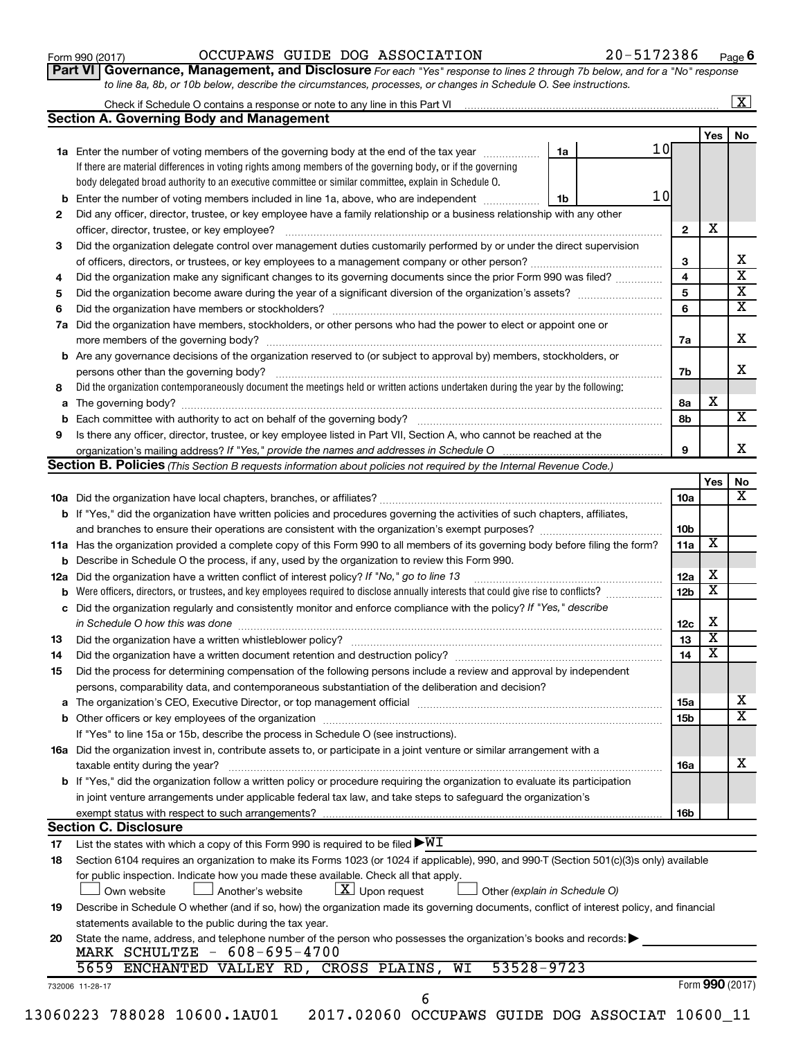**Part VI** Governance, Management, and Disclosure For each "Yes" response to lines 2 through 7b below, and for a "No" response *to line 8a, 8b, or 10b below, describe the circumstances, processes, or changes in Schedule O. See instructions.*

|             |                                                                                                                                                                                                                                |    |    |                              |                              | $\overline{\mathbf{x}}$                          |  |  |  |  |
|-------------|--------------------------------------------------------------------------------------------------------------------------------------------------------------------------------------------------------------------------------|----|----|------------------------------|------------------------------|--------------------------------------------------|--|--|--|--|
|             | <b>Section A. Governing Body and Management</b>                                                                                                                                                                                |    |    |                              |                              |                                                  |  |  |  |  |
|             |                                                                                                                                                                                                                                |    |    |                              | Yes                          | No                                               |  |  |  |  |
|             | 1a Enter the number of voting members of the governing body at the end of the tax year                                                                                                                                         | 1a | 10 |                              |                              |                                                  |  |  |  |  |
|             | If there are material differences in voting rights among members of the governing body, or if the governing                                                                                                                    |    |    |                              |                              |                                                  |  |  |  |  |
|             | body delegated broad authority to an executive committee or similar committee, explain in Schedule O.                                                                                                                          |    |    |                              |                              |                                                  |  |  |  |  |
|             | Enter the number of voting members included in line 1a, above, who are independent                                                                                                                                             | 1b | 10 |                              |                              |                                                  |  |  |  |  |
| 2           | Did any officer, director, trustee, or key employee have a family relationship or a business relationship with any other                                                                                                       |    |    |                              |                              |                                                  |  |  |  |  |
|             | officer, director, trustee, or key employee?                                                                                                                                                                                   |    |    | $\mathbf{2}$                 | х                            |                                                  |  |  |  |  |
| 3           | Did the organization delegate control over management duties customarily performed by or under the direct supervision                                                                                                          |    |    |                              |                              |                                                  |  |  |  |  |
|             |                                                                                                                                                                                                                                |    |    | 3                            |                              | х                                                |  |  |  |  |
| 4           | Did the organization make any significant changes to its governing documents since the prior Form 990 was filed?                                                                                                               |    |    |                              |                              |                                                  |  |  |  |  |
| 5           |                                                                                                                                                                                                                                |    |    | $\overline{\mathbf{4}}$<br>5 |                              | $\overline{\text{x}}$<br>$\overline{\textbf{x}}$ |  |  |  |  |
| 6           |                                                                                                                                                                                                                                |    |    | 6                            |                              | $\overline{\textbf{x}}$                          |  |  |  |  |
|             | Did the organization have members, stockholders, or other persons who had the power to elect or appoint one or                                                                                                                 |    |    |                              |                              |                                                  |  |  |  |  |
| 7a          |                                                                                                                                                                                                                                |    |    | 7a                           |                              | х                                                |  |  |  |  |
|             |                                                                                                                                                                                                                                |    |    |                              |                              |                                                  |  |  |  |  |
| b           | Are any governance decisions of the organization reserved to (or subject to approval by) members, stockholders, or                                                                                                             |    |    |                              |                              | x                                                |  |  |  |  |
|             | persons other than the governing body?                                                                                                                                                                                         |    |    | 7b                           |                              |                                                  |  |  |  |  |
| 8           | Did the organization contemporaneously document the meetings held or written actions undertaken during the year by the following:                                                                                              |    |    |                              |                              |                                                  |  |  |  |  |
| a           |                                                                                                                                                                                                                                |    |    | 8а                           | х                            | $\overline{\mathbf{X}}$                          |  |  |  |  |
| $\mathbf b$ |                                                                                                                                                                                                                                |    |    | 8b                           |                              |                                                  |  |  |  |  |
| 9           | Is there any officer, director, trustee, or key employee listed in Part VII, Section A, who cannot be reached at the                                                                                                           |    |    |                              |                              |                                                  |  |  |  |  |
|             | organization's mailing address? If "Yes," provide the names and addresses in Schedule O                                                                                                                                        |    |    | 9                            |                              | x                                                |  |  |  |  |
|             | <b>Section B. Policies</b> (This Section B requests information about policies not required by the Internal Revenue Code.)                                                                                                     |    |    |                              |                              |                                                  |  |  |  |  |
|             |                                                                                                                                                                                                                                |    |    |                              | Yes                          | No                                               |  |  |  |  |
|             |                                                                                                                                                                                                                                |    |    | 10a                          |                              | X                                                |  |  |  |  |
|             | b If "Yes," did the organization have written policies and procedures governing the activities of such chapters, affiliates,                                                                                                   |    |    |                              |                              |                                                  |  |  |  |  |
|             |                                                                                                                                                                                                                                |    |    | 10 <sub>b</sub>              |                              |                                                  |  |  |  |  |
|             | 11a Has the organization provided a complete copy of this Form 990 to all members of its governing body before filing the form?                                                                                                |    |    | 11a                          | X                            |                                                  |  |  |  |  |
|             | <b>b</b> Describe in Schedule O the process, if any, used by the organization to review this Form 990.                                                                                                                         |    |    |                              |                              |                                                  |  |  |  |  |
| 12a         | Did the organization have a written conflict of interest policy? If "No," go to line 13                                                                                                                                        |    |    | 12a                          | х<br>$\overline{\texttt{x}}$ |                                                  |  |  |  |  |
| b           | Were officers, directors, or trustees, and key employees required to disclose annually interests that could give rise to conflicts?                                                                                            |    |    |                              |                              |                                                  |  |  |  |  |
| c           | Did the organization regularly and consistently monitor and enforce compliance with the policy? If "Yes," describe                                                                                                             |    |    |                              |                              |                                                  |  |  |  |  |
|             | in Schedule O how this was done                                                                                                                                                                                                |    |    | 12c                          | Χ                            |                                                  |  |  |  |  |
| 13          | Did the organization have a written whistleblower policy?                                                                                                                                                                      |    |    | 13                           | $\overline{\text{X}}$        |                                                  |  |  |  |  |
| 14          |                                                                                                                                                                                                                                |    |    | 14                           | $\overline{\texttt{x}}$      |                                                  |  |  |  |  |
| 15          | Did the process for determining compensation of the following persons include a review and approval by independent                                                                                                             |    |    |                              |                              |                                                  |  |  |  |  |
|             | persons, comparability data, and contemporaneous substantiation of the deliberation and decision?                                                                                                                              |    |    |                              |                              |                                                  |  |  |  |  |
|             | The organization's CEO, Executive Director, or top management official manufactured content of the organization's CEO, Executive Director, or top management official manufactured content of the state of the state of the st |    |    | 15a                          |                              | x                                                |  |  |  |  |
|             | Other officers or key employees of the organization                                                                                                                                                                            |    |    | 15b                          |                              | $\overline{\text{x}}$                            |  |  |  |  |
|             | If "Yes" to line 15a or 15b, describe the process in Schedule O (see instructions).                                                                                                                                            |    |    |                              |                              |                                                  |  |  |  |  |
|             | 16a Did the organization invest in, contribute assets to, or participate in a joint venture or similar arrangement with a                                                                                                      |    |    |                              |                              |                                                  |  |  |  |  |
|             | taxable entity during the year?                                                                                                                                                                                                |    |    | 16a                          |                              | х                                                |  |  |  |  |
|             | b If "Yes," did the organization follow a written policy or procedure requiring the organization to evaluate its participation                                                                                                 |    |    |                              |                              |                                                  |  |  |  |  |
|             | in joint venture arrangements under applicable federal tax law, and take steps to safeguard the organization's                                                                                                                 |    |    |                              |                              |                                                  |  |  |  |  |
|             | exempt status with respect to such arrangements?                                                                                                                                                                               |    |    | 16b                          |                              |                                                  |  |  |  |  |
|             | <b>Section C. Disclosure</b>                                                                                                                                                                                                   |    |    |                              |                              |                                                  |  |  |  |  |
| 17          | List the states with which a copy of this Form 990 is required to be filed $\blacktriangleright\texttt{WI}$                                                                                                                    |    |    |                              |                              |                                                  |  |  |  |  |
| 18          | Section 6104 requires an organization to make its Forms 1023 (or 1024 if applicable), 990, and 990-T (Section 501(c)(3)s only) available                                                                                       |    |    |                              |                              |                                                  |  |  |  |  |
|             | for public inspection. Indicate how you made these available. Check all that apply.                                                                                                                                            |    |    |                              |                              |                                                  |  |  |  |  |
|             | $\lfloor \underline{X} \rfloor$ Upon request<br>Another's website<br>Other (explain in Schedule O)<br>Own website                                                                                                              |    |    |                              |                              |                                                  |  |  |  |  |
| 19          | Describe in Schedule O whether (and if so, how) the organization made its governing documents, conflict of interest policy, and financial                                                                                      |    |    |                              |                              |                                                  |  |  |  |  |
|             | statements available to the public during the tax year.                                                                                                                                                                        |    |    |                              |                              |                                                  |  |  |  |  |
| 20          | State the name, address, and telephone number of the person who possesses the organization's books and records:                                                                                                                |    |    |                              |                              |                                                  |  |  |  |  |
|             | MARK SCHULTZE - 608-695-4700                                                                                                                                                                                                   |    |    |                              |                              |                                                  |  |  |  |  |
|             | 53528-9723<br>5659<br>ENCHANTED VALLEY RD, CROSS PLAINS,<br>WI                                                                                                                                                                 |    |    |                              |                              |                                                  |  |  |  |  |
|             | 732006 11-28-17                                                                                                                                                                                                                |    |    |                              |                              | Form 990 (2017)                                  |  |  |  |  |
|             | 6                                                                                                                                                                                                                              |    |    |                              |                              |                                                  |  |  |  |  |
|             |                                                                                                                                                                                                                                |    |    |                              |                              |                                                  |  |  |  |  |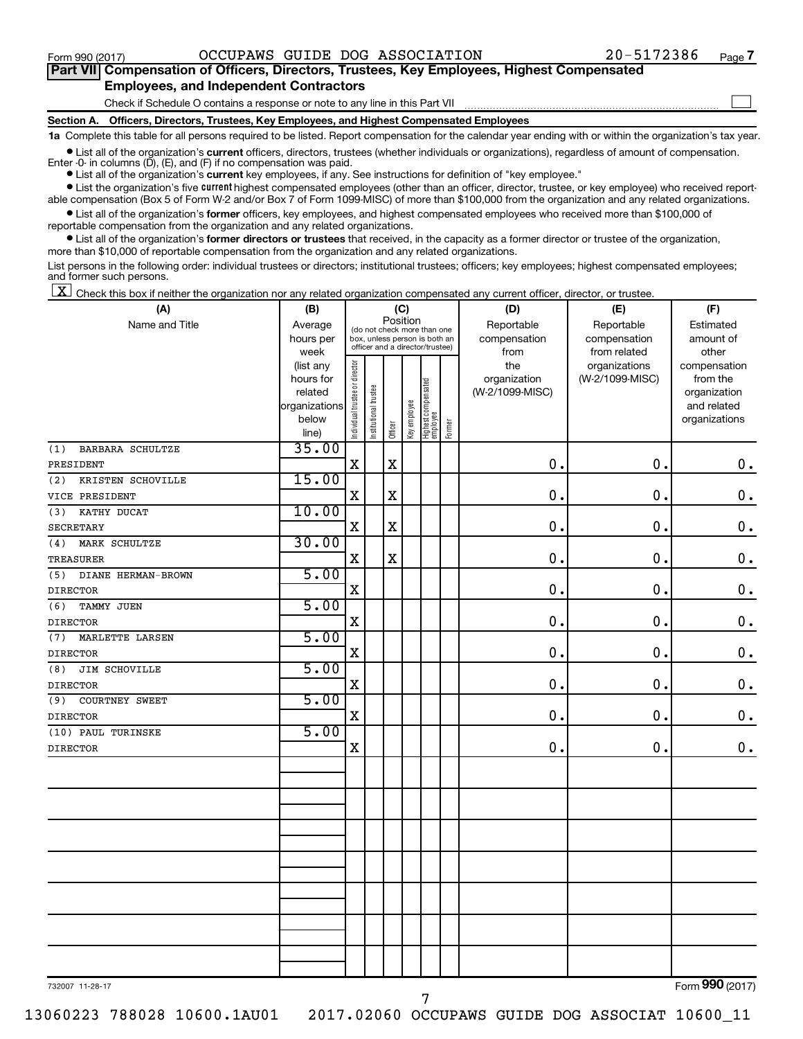$\Box$ 

| Part VII Compensation of Officers, Directors, Trustees, Key Employees, Highest Compensated |
|--------------------------------------------------------------------------------------------|
| <b>Employees, and Independent Contractors</b>                                              |

Check if Schedule O contains a response or note to any line in this Part VII

**Section A. Officers, Directors, Trustees, Key Employees, and Highest Compensated Employees**

**1a**  Complete this table for all persons required to be listed. Report compensation for the calendar year ending with or within the organization's tax year.

**•** List all of the organization's current officers, directors, trustees (whether individuals or organizations), regardless of amount of compensation.

**•** List all of the organization's **current** key employees, if any. See instructions for definition of "key employee." Enter -0- in columns  $(D)$ ,  $(E)$ , and  $(F)$  if no compensation was paid.

**•** List the organization's five current highest compensated employees (other than an officer, director, trustee, or key employee) who received reportable compensation (Box 5 of Form W-2 and/or Box 7 of Form 1099-MISC) of more than \$100,000 from the organization and any related organizations.

**•** List all of the organization's former officers, key employees, and highest compensated employees who received more than \$100,000 of reportable compensation from the organization and any related organizations.

**•** List all of the organization's former directors or trustees that received, in the capacity as a former director or trustee of the organization, more than \$10,000 of reportable compensation from the organization and any related organizations.

List persons in the following order: individual trustees or directors; institutional trustees; officers; key employees; highest compensated employees; and former such persons.

 $\boxed{\textbf{X}}$  Check this box if neither the organization nor any related organization compensated any current officer, director, or trustee.

| (A)                            | (C)<br>(B)             |                                         |                                                                  |             |              |                                 |        | (D)             | (E)             | (F)                          |  |  |
|--------------------------------|------------------------|-----------------------------------------|------------------------------------------------------------------|-------------|--------------|---------------------------------|--------|-----------------|-----------------|------------------------------|--|--|
| Name and Title                 | Average                | Position<br>(do not check more than one |                                                                  |             |              |                                 |        | Reportable      | Reportable      | Estimated                    |  |  |
|                                | hours per              |                                         | box, unless person is both an<br>officer and a director/trustee) |             |              |                                 |        | compensation    | compensation    | amount of                    |  |  |
|                                | week                   |                                         |                                                                  |             |              |                                 |        | from            | from related    | other                        |  |  |
|                                | (list any              |                                         |                                                                  |             |              |                                 |        | the             | organizations   | compensation                 |  |  |
|                                | hours for              |                                         |                                                                  |             |              |                                 |        | organization    | (W-2/1099-MISC) | from the                     |  |  |
|                                | related                |                                         |                                                                  |             |              |                                 |        | (W-2/1099-MISC) |                 | organization                 |  |  |
|                                | organizations<br>below |                                         |                                                                  |             |              |                                 |        |                 |                 | and related<br>organizations |  |  |
|                                | line)                  | Individual trustee or director          | Institutional trustee                                            | Officer     | Key employee | Highest compensated<br>employee | Former |                 |                 |                              |  |  |
| (1)<br><b>BARBARA SCHULTZE</b> | 35.00                  |                                         |                                                                  |             |              |                                 |        |                 |                 |                              |  |  |
| PRESIDENT                      |                        | X                                       |                                                                  | $\mathbf X$ |              |                                 |        | $\mathbf 0$ .   | $\mathbf 0$ .   | $\mathbf 0$ .                |  |  |
| (2)<br>KRISTEN SCHOVILLE       | 15.00                  |                                         |                                                                  |             |              |                                 |        |                 |                 |                              |  |  |
| VICE PRESIDENT                 |                        | X                                       |                                                                  | $\mathbf X$ |              |                                 |        | $\mathbf 0$ .   | 0.              | $\mathbf 0$ .                |  |  |
| (3)<br>KATHY DUCAT             | 10.00                  |                                         |                                                                  |             |              |                                 |        |                 |                 |                              |  |  |
| <b>SECRETARY</b>               |                        | $\mathbf X$                             |                                                                  | $\mathbf X$ |              |                                 |        | 0.              | 0.              | $\mathbf 0$ .                |  |  |
| MARK SCHULTZE<br>(4)           | 30.00                  |                                         |                                                                  |             |              |                                 |        |                 |                 |                              |  |  |
| <b>TREASURER</b>               |                        | X                                       |                                                                  | $\mathbf X$ |              |                                 |        | $\mathbf 0$ .   | 0.              | $\mathbf 0$ .                |  |  |
| DIANE HERMAN-BROWN<br>(5)      | 5.00                   |                                         |                                                                  |             |              |                                 |        |                 |                 |                              |  |  |
| <b>DIRECTOR</b>                |                        | $\mathbf X$                             |                                                                  |             |              |                                 |        | 0.              | 0.              | $\boldsymbol{0}$ .           |  |  |
| (6)<br>TAMMY JUEN              | 5.00                   |                                         |                                                                  |             |              |                                 |        |                 |                 |                              |  |  |
| <b>DIRECTOR</b>                |                        | X                                       |                                                                  |             |              |                                 |        | 0.              | 0.              | $\mathbf 0$ .                |  |  |
| MARLETTE LARSEN<br>(7)         | 5.00                   |                                         |                                                                  |             |              |                                 |        |                 |                 |                              |  |  |
| <b>DIRECTOR</b>                |                        | X                                       |                                                                  |             |              |                                 |        | 0.              | 0.              | $\mathbf 0$ .                |  |  |
| JIM SCHOVILLE<br>(8)           | 5.00                   |                                         |                                                                  |             |              |                                 |        |                 |                 |                              |  |  |
| <b>DIRECTOR</b>                |                        | X                                       |                                                                  |             |              |                                 |        | $\mathbf 0$ .   | 0.              | $\mathbf 0$ .                |  |  |
| <b>COURTNEY SWEET</b><br>(9)   | 5.00                   |                                         |                                                                  |             |              |                                 |        |                 |                 |                              |  |  |
| <b>DIRECTOR</b>                |                        | X                                       |                                                                  |             |              |                                 |        | 0.              | 0.              | $\mathbf 0$ .                |  |  |
| (10) PAUL TURINSKE             | 5.00                   |                                         |                                                                  |             |              |                                 |        |                 |                 |                              |  |  |
| <b>DIRECTOR</b>                |                        | X                                       |                                                                  |             |              |                                 |        | $\mathbf 0$ .   | 0.              | $\mathbf 0$ .                |  |  |
|                                |                        |                                         |                                                                  |             |              |                                 |        |                 |                 |                              |  |  |
|                                |                        |                                         |                                                                  |             |              |                                 |        |                 |                 |                              |  |  |
|                                |                        |                                         |                                                                  |             |              |                                 |        |                 |                 |                              |  |  |
|                                |                        |                                         |                                                                  |             |              |                                 |        |                 |                 |                              |  |  |
|                                |                        |                                         |                                                                  |             |              |                                 |        |                 |                 |                              |  |  |
|                                |                        |                                         |                                                                  |             |              |                                 |        |                 |                 |                              |  |  |
|                                |                        |                                         |                                                                  |             |              |                                 |        |                 |                 |                              |  |  |
|                                |                        |                                         |                                                                  |             |              |                                 |        |                 |                 |                              |  |  |
|                                |                        |                                         |                                                                  |             |              |                                 |        |                 |                 |                              |  |  |
|                                |                        |                                         |                                                                  |             |              |                                 |        |                 |                 |                              |  |  |
|                                |                        |                                         |                                                                  |             |              |                                 |        |                 |                 |                              |  |  |
|                                |                        |                                         |                                                                  |             |              |                                 |        |                 |                 |                              |  |  |

732007 11-28-17

13060223 788028 10600.1AU01 2017.02060 OCCUPAWS GUIDE DOG ASSOCIAT 10600\_11

Form (2017) **990**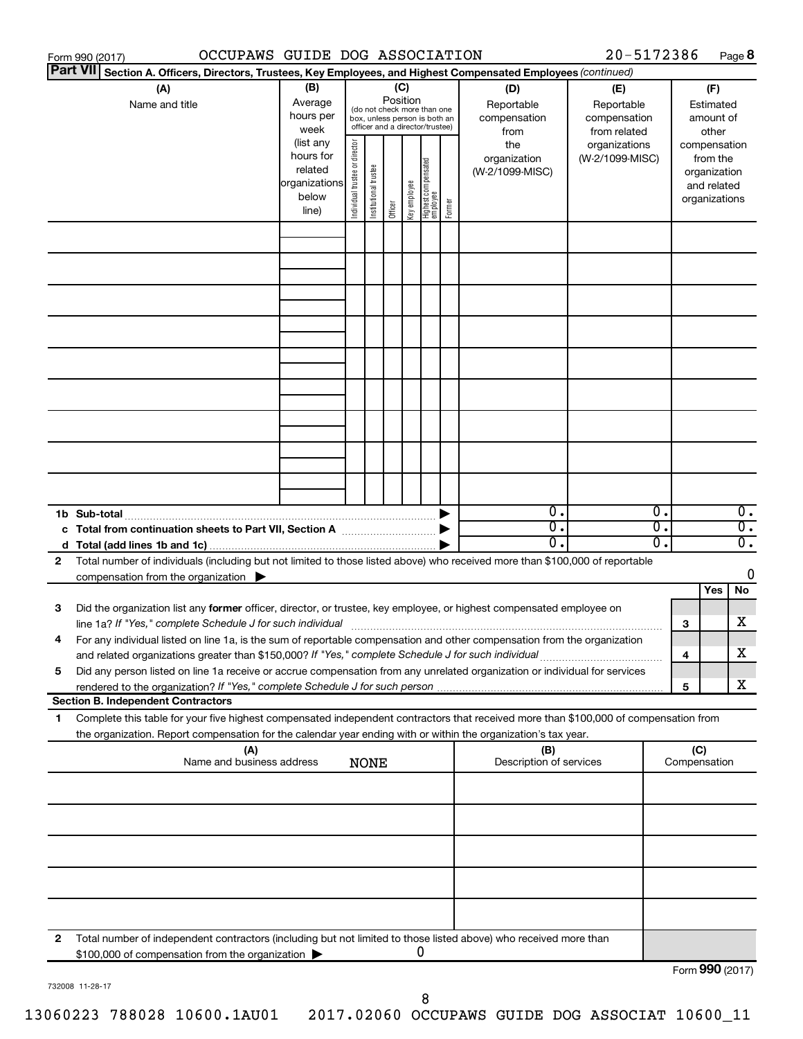| 20-5172386<br>OCCUPAWS GUIDE DOG ASSOCIATION<br>Form 990 (2017) |                                                                                                                                      |               |                                                              |                       |          |                                 |                                   |              |                                |                 |    |                     | Page 8       |                  |
|-----------------------------------------------------------------|--------------------------------------------------------------------------------------------------------------------------------------|---------------|--------------------------------------------------------------|-----------------------|----------|---------------------------------|-----------------------------------|--------------|--------------------------------|-----------------|----|---------------------|--------------|------------------|
|                                                                 | <b>Part VII</b><br>Section A. Officers, Directors, Trustees, Key Employees, and Highest Compensated Employees (continued)            |               |                                                              |                       |          |                                 |                                   |              |                                |                 |    |                     |              |                  |
|                                                                 | (A)                                                                                                                                  | (B)           |                                                              |                       |          | (C)                             |                                   |              | (D)                            | (E)             |    |                     | (F)          |                  |
|                                                                 | Name and title                                                                                                                       | Average       |                                                              |                       | Position |                                 |                                   |              | Reportable                     | Reportable      |    |                     | Estimated    |                  |
|                                                                 |                                                                                                                                      | hours per     | (do not check more than one<br>box, unless person is both an |                       |          |                                 |                                   | compensation | compensation                   |                 |    | amount of           |              |                  |
|                                                                 |                                                                                                                                      | week          |                                                              |                       |          | officer and a director/trustee) |                                   |              | from                           | from related    |    |                     | other        |                  |
|                                                                 |                                                                                                                                      | (list any     |                                                              |                       |          |                                 |                                   |              | the                            | organizations   |    | compensation        |              |                  |
|                                                                 |                                                                                                                                      | hours for     |                                                              |                       |          |                                 |                                   |              | organization                   | (W-2/1099-MISC) |    |                     | from the     |                  |
|                                                                 |                                                                                                                                      | related       |                                                              |                       |          |                                 |                                   |              | (W-2/1099-MISC)                |                 |    |                     | organization |                  |
|                                                                 |                                                                                                                                      | organizations | Individual trustee or director                               | Institutional trustee |          | Key employee                    | Highest compensated<br>  employee |              |                                |                 |    |                     | and related  |                  |
|                                                                 |                                                                                                                                      | below         |                                                              |                       |          |                                 |                                   | Former       |                                |                 |    | organizations       |              |                  |
|                                                                 |                                                                                                                                      | line)         |                                                              |                       | Officer  |                                 |                                   |              |                                |                 |    |                     |              |                  |
|                                                                 |                                                                                                                                      |               |                                                              |                       |          |                                 |                                   |              |                                |                 |    |                     |              |                  |
|                                                                 |                                                                                                                                      |               |                                                              |                       |          |                                 |                                   |              |                                |                 |    |                     |              |                  |
|                                                                 |                                                                                                                                      |               |                                                              |                       |          |                                 |                                   |              |                                |                 |    |                     |              |                  |
|                                                                 |                                                                                                                                      |               |                                                              |                       |          |                                 |                                   |              |                                |                 |    |                     |              |                  |
|                                                                 |                                                                                                                                      |               |                                                              |                       |          |                                 |                                   |              |                                |                 |    |                     |              |                  |
|                                                                 |                                                                                                                                      |               |                                                              |                       |          |                                 |                                   |              |                                |                 |    |                     |              |                  |
|                                                                 |                                                                                                                                      |               |                                                              |                       |          |                                 |                                   |              |                                |                 |    |                     |              |                  |
|                                                                 |                                                                                                                                      |               |                                                              |                       |          |                                 |                                   |              |                                |                 |    |                     |              |                  |
|                                                                 |                                                                                                                                      |               |                                                              |                       |          |                                 |                                   |              |                                |                 |    |                     |              |                  |
|                                                                 |                                                                                                                                      |               |                                                              |                       |          |                                 |                                   |              |                                |                 |    |                     |              |                  |
|                                                                 |                                                                                                                                      |               |                                                              |                       |          |                                 |                                   |              |                                |                 |    |                     |              |                  |
|                                                                 |                                                                                                                                      |               |                                                              |                       |          |                                 |                                   |              |                                |                 |    |                     |              |                  |
|                                                                 |                                                                                                                                      |               |                                                              |                       |          |                                 |                                   |              |                                |                 |    |                     |              |                  |
|                                                                 |                                                                                                                                      |               |                                                              |                       |          |                                 |                                   |              |                                |                 |    |                     |              |                  |
|                                                                 |                                                                                                                                      |               |                                                              |                       |          |                                 |                                   |              |                                |                 |    |                     |              |                  |
|                                                                 |                                                                                                                                      |               |                                                              |                       |          |                                 |                                   |              |                                |                 |    |                     |              |                  |
|                                                                 |                                                                                                                                      |               |                                                              |                       |          |                                 |                                   |              |                                |                 |    |                     |              |                  |
|                                                                 |                                                                                                                                      |               |                                                              |                       |          |                                 |                                   |              |                                |                 |    |                     |              |                  |
|                                                                 | 1b Sub-total                                                                                                                         |               |                                                              |                       |          |                                 |                                   |              | $\mathbf{0}$ .                 |                 | 0. |                     |              | $\overline{0}$ . |
|                                                                 | c Total from continuation sheets to Part VII, Section A manufactured by                                                              |               |                                                              |                       |          |                                 |                                   |              | $\overline{0}$ .               |                 | σ. |                     |              | $\overline{0}$ . |
|                                                                 |                                                                                                                                      |               |                                                              |                       |          |                                 |                                   |              | 0.                             |                 | О. |                     |              | $\overline{0}$ . |
| 2                                                               | Total number of individuals (including but not limited to those listed above) who received more than \$100,000 of reportable         |               |                                                              |                       |          |                                 |                                   |              |                                |                 |    |                     |              |                  |
|                                                                 | compensation from the organization $\blacktriangleright$                                                                             |               |                                                              |                       |          |                                 |                                   |              |                                |                 |    |                     |              | 0                |
|                                                                 |                                                                                                                                      |               |                                                              |                       |          |                                 |                                   |              |                                |                 |    |                     | Yes          | No               |
| 3                                                               | Did the organization list any former officer, director, or trustee, key employee, or highest compensated employee on                 |               |                                                              |                       |          |                                 |                                   |              |                                |                 |    |                     |              |                  |
|                                                                 |                                                                                                                                      |               |                                                              |                       |          |                                 |                                   |              |                                |                 |    |                     |              | х                |
|                                                                 |                                                                                                                                      |               |                                                              |                       |          |                                 |                                   |              |                                |                 |    | 3                   |              |                  |
|                                                                 | For any individual listed on line 1a, is the sum of reportable compensation and other compensation from the organization             |               |                                                              |                       |          |                                 |                                   |              |                                |                 |    |                     |              | х                |
|                                                                 | and related organizations greater than \$150,000? If "Yes," complete Schedule J for such individual                                  |               |                                                              |                       |          |                                 |                                   |              |                                |                 |    | 4                   |              |                  |
| 5                                                               | Did any person listed on line 1a receive or accrue compensation from any unrelated organization or individual for services           |               |                                                              |                       |          |                                 |                                   |              |                                |                 |    |                     |              | х                |
|                                                                 | <b>Section B. Independent Contractors</b>                                                                                            |               |                                                              |                       |          |                                 |                                   |              |                                |                 |    | 5                   |              |                  |
|                                                                 |                                                                                                                                      |               |                                                              |                       |          |                                 |                                   |              |                                |                 |    |                     |              |                  |
| 1.                                                              | Complete this table for your five highest compensated independent contractors that received more than \$100,000 of compensation from |               |                                                              |                       |          |                                 |                                   |              |                                |                 |    |                     |              |                  |
|                                                                 | the organization. Report compensation for the calendar year ending with or within the organization's tax year.                       |               |                                                              |                       |          |                                 |                                   |              |                                |                 |    |                     |              |                  |
|                                                                 | (A)<br>Name and business address                                                                                                     |               |                                                              | <b>NONE</b>           |          |                                 |                                   |              | (B)<br>Description of services |                 |    | (C)<br>Compensation |              |                  |
|                                                                 |                                                                                                                                      |               |                                                              |                       |          |                                 |                                   |              |                                |                 |    |                     |              |                  |
|                                                                 |                                                                                                                                      |               |                                                              |                       |          |                                 |                                   |              |                                |                 |    |                     |              |                  |
|                                                                 |                                                                                                                                      |               |                                                              |                       |          |                                 |                                   |              |                                |                 |    |                     |              |                  |
|                                                                 |                                                                                                                                      |               |                                                              |                       |          |                                 |                                   |              |                                |                 |    |                     |              |                  |
|                                                                 |                                                                                                                                      |               |                                                              |                       |          |                                 |                                   |              |                                |                 |    |                     |              |                  |
|                                                                 |                                                                                                                                      |               |                                                              |                       |          |                                 |                                   |              |                                |                 |    |                     |              |                  |
|                                                                 |                                                                                                                                      |               |                                                              |                       |          |                                 |                                   |              |                                |                 |    |                     |              |                  |
|                                                                 |                                                                                                                                      |               |                                                              |                       |          |                                 |                                   |              |                                |                 |    |                     |              |                  |
|                                                                 |                                                                                                                                      |               |                                                              |                       |          |                                 |                                   |              |                                |                 |    |                     |              |                  |
|                                                                 |                                                                                                                                      |               |                                                              |                       |          |                                 |                                   |              |                                |                 |    |                     |              |                  |
| 2                                                               | Total number of independent contractors (including but not limited to those listed above) who received more than                     |               |                                                              |                       |          |                                 |                                   |              |                                |                 |    |                     |              |                  |
|                                                                 | \$100,000 of compensation from the organization                                                                                      |               |                                                              |                       |          |                                 | 0                                 |              |                                |                 |    |                     |              |                  |
|                                                                 |                                                                                                                                      |               |                                                              |                       |          |                                 |                                   |              |                                |                 |    | Form 990 (2017)     |              |                  |

732008 11-28-17

Form 990 (2017)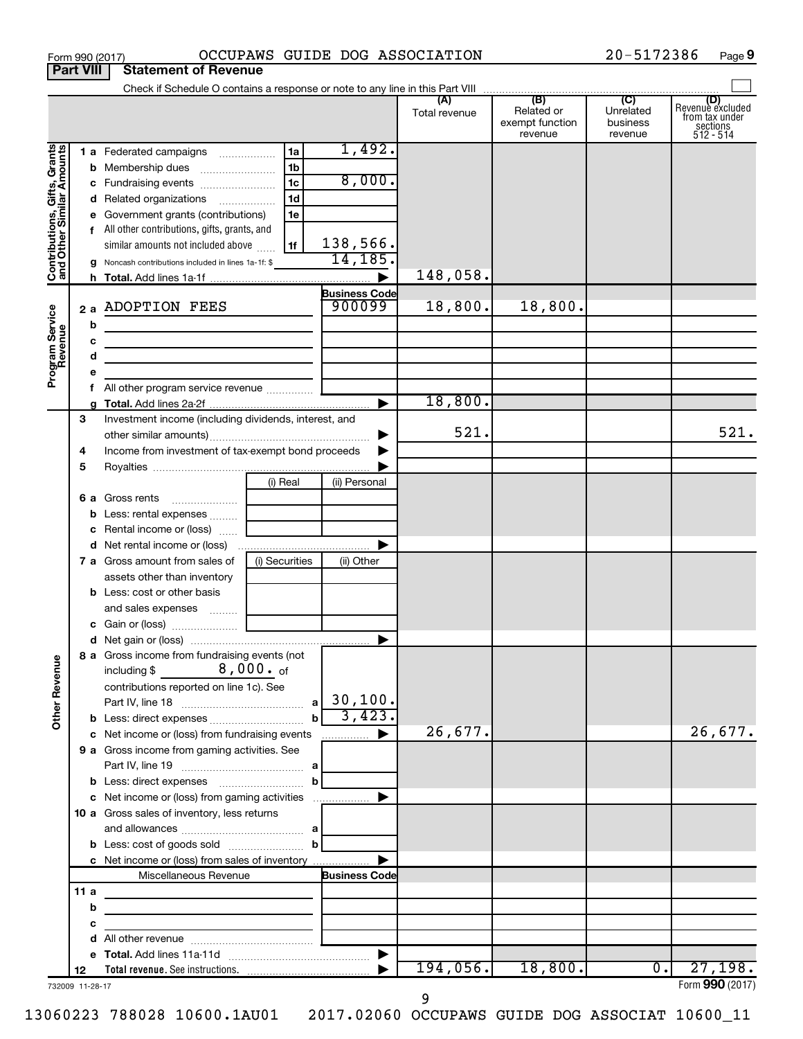|                                                           | <b>Part VIII</b> | <b>Statement of Revenue</b>                                                                                                        |                |                      |               |                                          |                                  |                                                             |
|-----------------------------------------------------------|------------------|------------------------------------------------------------------------------------------------------------------------------------|----------------|----------------------|---------------|------------------------------------------|----------------------------------|-------------------------------------------------------------|
|                                                           |                  |                                                                                                                                    |                |                      |               |                                          |                                  | (D)                                                         |
|                                                           |                  |                                                                                                                                    |                |                      | Total revenue | Related or<br>exempt function<br>revenue | Unrelated<br>business<br>revenue | Revenue excluded<br>from tax under<br>sections<br>512 - 514 |
| Contributions, Gifts, Grants<br>and Other Similar Amounts |                  | 1 a Federated campaigns                                                                                                            | 1a             | 1,492.               |               |                                          |                                  |                                                             |
|                                                           | b                |                                                                                                                                    | 1b             |                      |               |                                          |                                  |                                                             |
|                                                           | с                | Fundraising events                                                                                                                 | 1c             | 8,000.               |               |                                          |                                  |                                                             |
|                                                           | d                | Related organizations                                                                                                              | 1 <sub>d</sub> |                      |               |                                          |                                  |                                                             |
|                                                           |                  | Government grants (contributions)                                                                                                  | 1e             |                      |               |                                          |                                  |                                                             |
|                                                           |                  | f All other contributions, gifts, grants, and                                                                                      |                |                      |               |                                          |                                  |                                                             |
|                                                           |                  | similar amounts not included above                                                                                                 | 1f             | 138,566.             |               |                                          |                                  |                                                             |
|                                                           | g                | Noncash contributions included in lines 1a-1f: \$                                                                                  |                | 14, 185.             |               |                                          |                                  |                                                             |
|                                                           | h.               |                                                                                                                                    |                |                      | 148,058.      |                                          |                                  |                                                             |
|                                                           |                  |                                                                                                                                    |                | <b>Business Code</b> |               |                                          |                                  |                                                             |
|                                                           |                  | 2 a ADOPTION FEES                                                                                                                  |                | 900099               | 18,800.       | 18,800.                                  |                                  |                                                             |
|                                                           | b                |                                                                                                                                    |                |                      |               |                                          |                                  |                                                             |
|                                                           | c                | the control of the control of the control of the control of the control of                                                         |                |                      |               |                                          |                                  |                                                             |
|                                                           | d                | <u> 1989 - Johann Barbara, martxa alemaniar a</u>                                                                                  |                |                      |               |                                          |                                  |                                                             |
| Program Service<br>Revenue                                | е                |                                                                                                                                    |                |                      |               |                                          |                                  |                                                             |
|                                                           | f                | All other program service revenue  ]                                                                                               |                |                      | 18,800.       |                                          |                                  |                                                             |
|                                                           | 3                | Investment income (including dividends, interest, and                                                                              |                |                      |               |                                          |                                  |                                                             |
|                                                           |                  |                                                                                                                                    |                |                      | 521.          |                                          |                                  | 521.                                                        |
|                                                           | 4                | Income from investment of tax-exempt bond proceeds                                                                                 |                |                      |               |                                          |                                  |                                                             |
|                                                           | 5                |                                                                                                                                    |                |                      |               |                                          |                                  |                                                             |
|                                                           |                  |                                                                                                                                    | (i) Real       | (ii) Personal        |               |                                          |                                  |                                                             |
|                                                           |                  | <b>6 a</b> Gross rents                                                                                                             |                |                      |               |                                          |                                  |                                                             |
|                                                           | b                | Less: rental expenses                                                                                                              |                |                      |               |                                          |                                  |                                                             |
|                                                           | с                | Rental income or (loss)                                                                                                            |                |                      |               |                                          |                                  |                                                             |
|                                                           | d                |                                                                                                                                    |                |                      |               |                                          |                                  |                                                             |
|                                                           |                  | <b>7 a</b> Gross amount from sales of                                                                                              | (i) Securities | (ii) Other           |               |                                          |                                  |                                                             |
|                                                           |                  | assets other than inventory                                                                                                        |                |                      |               |                                          |                                  |                                                             |
|                                                           |                  | <b>b</b> Less: cost or other basis                                                                                                 |                |                      |               |                                          |                                  |                                                             |
|                                                           |                  | and sales expenses  [ __________                                                                                                   |                |                      |               |                                          |                                  |                                                             |
|                                                           |                  |                                                                                                                                    |                |                      |               |                                          |                                  |                                                             |
|                                                           |                  |                                                                                                                                    |                |                      |               |                                          |                                  |                                                             |
| <b>Other Revenue</b>                                      |                  | 8 a Gross income from fundraising events (not  <br>$8$ , 000 $\cdot$ of<br>including \$<br>contributions reported on line 1c). See |                | 30, 100.             |               |                                          |                                  |                                                             |
|                                                           |                  |                                                                                                                                    | $\mathbf{b}$   | 3,423.               |               |                                          |                                  |                                                             |
|                                                           |                  | c Net income or (loss) from fundraising events                                                                                     |                | .                    | 26,677.       |                                          |                                  | 26,677.                                                     |
|                                                           |                  | 9 a Gross income from gaming activities. See                                                                                       |                |                      |               |                                          |                                  |                                                             |
|                                                           |                  |                                                                                                                                    |                |                      |               |                                          |                                  |                                                             |
|                                                           |                  |                                                                                                                                    | b              |                      |               |                                          |                                  |                                                             |
|                                                           |                  |                                                                                                                                    |                |                      |               |                                          |                                  |                                                             |
|                                                           |                  | 10 a Gross sales of inventory, less returns                                                                                        |                |                      |               |                                          |                                  |                                                             |
|                                                           |                  |                                                                                                                                    |                |                      |               |                                          |                                  |                                                             |
|                                                           |                  |                                                                                                                                    |                |                      |               |                                          |                                  |                                                             |
|                                                           |                  | c Net income or (loss) from sales of inventory                                                                                     |                |                      |               |                                          |                                  |                                                             |
|                                                           |                  | Miscellaneous Revenue                                                                                                              |                | <b>Business Code</b> |               |                                          |                                  |                                                             |
|                                                           | 11a              |                                                                                                                                    |                |                      |               |                                          |                                  |                                                             |
|                                                           | b                |                                                                                                                                    |                |                      |               |                                          |                                  |                                                             |
|                                                           | с                | <u> 1980 - Johann Barbara, martxa alemaniar a</u>                                                                                  |                |                      |               |                                          |                                  |                                                             |
|                                                           | d                |                                                                                                                                    |                |                      |               |                                          |                                  |                                                             |
|                                                           | е<br>12          |                                                                                                                                    |                |                      | 194,056.      | 18,800.                                  | $\overline{0}$ .                 | 27,198.                                                     |
|                                                           | 732009 11-28-17  |                                                                                                                                    |                |                      |               |                                          |                                  | Form 990 (2017)                                             |

Form 990 (2017) OCCUPAWS GUIDE DOG ASSOCIATION 20-5172386 Page

20-5172386 Page 9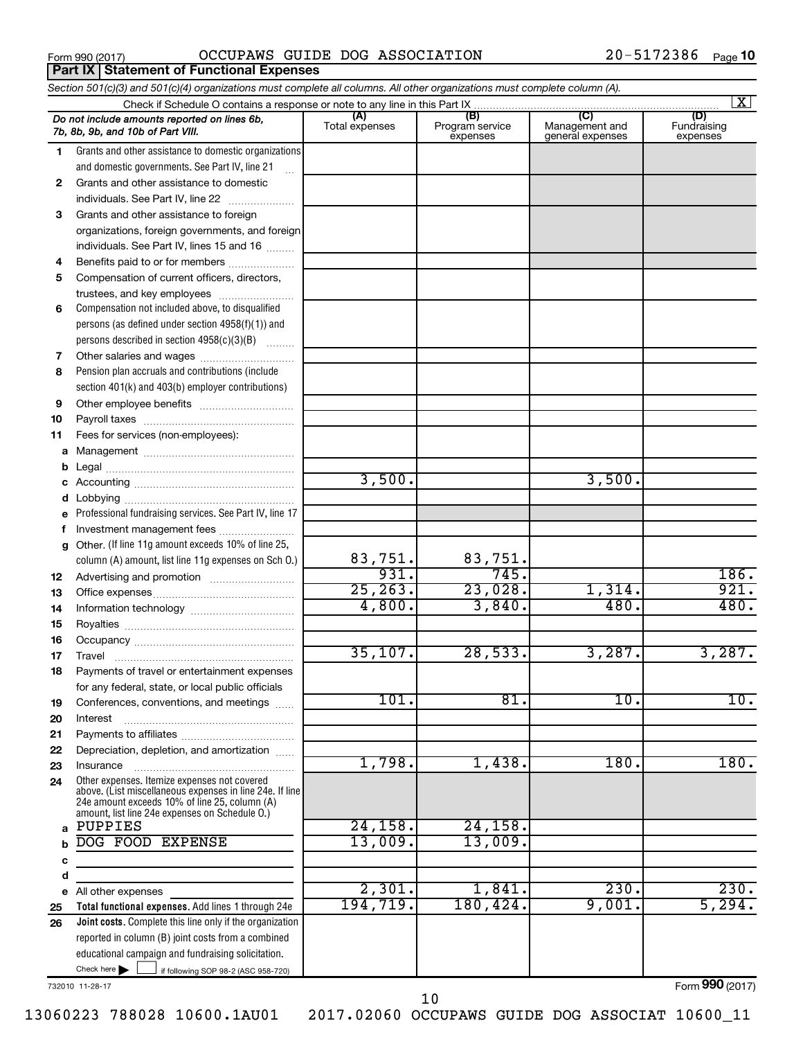**Part IX Statement of Functional Expenses** 

Form 990 (2017)  $OCCUPANS$   $GUIDE$   $DOG$   $ASSOCIATION$   $20-5172386$   $Page$ 

|          | Section 501(c)(3) and 501(c)(4) organizations must complete all columns. All other organizations must complete column (A).                                                                                  |                |                             |                                    | $\mathbf{X}$            |
|----------|-------------------------------------------------------------------------------------------------------------------------------------------------------------------------------------------------------------|----------------|-----------------------------|------------------------------------|-------------------------|
|          |                                                                                                                                                                                                             | (A)            | (B)                         | (C)                                | (D)                     |
|          | Do not include amounts reported on lines 6b,<br>7b, 8b, 9b, and 10b of Part VIII.                                                                                                                           | Total expenses | Program service<br>expenses | Management and<br>general expenses | Fundraising<br>expenses |
| 1        | Grants and other assistance to domestic organizations                                                                                                                                                       |                |                             |                                    |                         |
|          | and domestic governments. See Part IV, line 21                                                                                                                                                              |                |                             |                                    |                         |
| 2        | Grants and other assistance to domestic                                                                                                                                                                     |                |                             |                                    |                         |
|          | individuals. See Part IV, line 22                                                                                                                                                                           |                |                             |                                    |                         |
| 3        | Grants and other assistance to foreign                                                                                                                                                                      |                |                             |                                    |                         |
|          | organizations, foreign governments, and foreign                                                                                                                                                             |                |                             |                                    |                         |
|          | individuals. See Part IV, lines 15 and 16                                                                                                                                                                   |                |                             |                                    |                         |
| 4        | Benefits paid to or for members                                                                                                                                                                             |                |                             |                                    |                         |
| 5        | Compensation of current officers, directors,                                                                                                                                                                |                |                             |                                    |                         |
|          | trustees, and key employees                                                                                                                                                                                 |                |                             |                                    |                         |
| 6        | Compensation not included above, to disqualified                                                                                                                                                            |                |                             |                                    |                         |
|          | persons (as defined under section 4958(f)(1)) and                                                                                                                                                           |                |                             |                                    |                         |
|          | persons described in section 4958(c)(3)(B)                                                                                                                                                                  |                |                             |                                    |                         |
| 7        |                                                                                                                                                                                                             |                |                             |                                    |                         |
| 8        | Pension plan accruals and contributions (include                                                                                                                                                            |                |                             |                                    |                         |
|          | section 401(k) and 403(b) employer contributions)                                                                                                                                                           |                |                             |                                    |                         |
| 9        |                                                                                                                                                                                                             |                |                             |                                    |                         |
| 10       |                                                                                                                                                                                                             |                |                             |                                    |                         |
| 11       | Fees for services (non-employees):                                                                                                                                                                          |                |                             |                                    |                         |
| a        |                                                                                                                                                                                                             |                |                             |                                    |                         |
| b        |                                                                                                                                                                                                             | 3,500.         |                             | 3,500.                             |                         |
| с        |                                                                                                                                                                                                             |                |                             |                                    |                         |
| d        |                                                                                                                                                                                                             |                |                             |                                    |                         |
|          | Professional fundraising services. See Part IV, line 17                                                                                                                                                     |                |                             |                                    |                         |
| f        | Investment management fees<br>Other. (If line 11g amount exceeds 10% of line 25,                                                                                                                            |                |                             |                                    |                         |
| g        | column (A) amount, list line 11g expenses on Sch O.)                                                                                                                                                        | 83,751.        | 83,751.                     |                                    |                         |
|          |                                                                                                                                                                                                             | 931.           | 745.                        |                                    | 186.                    |
| 12       |                                                                                                                                                                                                             | 25, 263.       | 23,028.                     | 1,314.                             | 921.                    |
| 13<br>14 |                                                                                                                                                                                                             | 4,800.         | 3,840.                      | 480                                | 480.                    |
| 15       |                                                                                                                                                                                                             |                |                             |                                    |                         |
| 16       |                                                                                                                                                                                                             |                |                             |                                    |                         |
| 17       |                                                                                                                                                                                                             | 35,107.        | 28,533.                     | 3,287.                             | 3,287.                  |
| 18       | Payments of travel or entertainment expenses                                                                                                                                                                |                |                             |                                    |                         |
|          | for any federal, state, or local public officials                                                                                                                                                           |                |                             |                                    |                         |
| 19       | Conferences, conventions, and meetings                                                                                                                                                                      | 101.           | 81.                         | 10.                                | 10.                     |
| 20       | Interest                                                                                                                                                                                                    |                |                             |                                    |                         |
| 21       |                                                                                                                                                                                                             |                |                             |                                    |                         |
| 22       | Depreciation, depletion, and amortization                                                                                                                                                                   |                |                             |                                    |                         |
| 23       | Insurance                                                                                                                                                                                                   | 1,798.         | 1,438.                      | 180.                               | 180.                    |
| 24       | Other expenses. Itemize expenses not covered<br>above. (List miscellaneous expenses in line 24e. If line<br>24e amount exceeds 10% of line 25, column (A)<br>amount, list line 24e expenses on Schedule O.) |                |                             |                                    |                         |
| a        | PUPPIES                                                                                                                                                                                                     | 24, 158.       | 24, 158.                    |                                    |                         |
|          | DOG FOOD EXPENSE                                                                                                                                                                                            | 13,009.        | 13,009.                     |                                    |                         |
| с        |                                                                                                                                                                                                             |                |                             |                                    |                         |
| d        |                                                                                                                                                                                                             |                |                             |                                    |                         |
|          | e All other expenses                                                                                                                                                                                        | 2,301.         | 1,841.                      | 230.                               | 230.                    |
| 25       | Total functional expenses. Add lines 1 through 24e                                                                                                                                                          | 194,719.       | 180,424.                    | 9,001.                             | 5,294.                  |
| 26       | Joint costs. Complete this line only if the organization                                                                                                                                                    |                |                             |                                    |                         |
|          | reported in column (B) joint costs from a combined                                                                                                                                                          |                |                             |                                    |                         |
|          | educational campaign and fundraising solicitation.                                                                                                                                                          |                |                             |                                    |                         |
|          | Check here $\blacktriangleright$<br>if following SOP 98-2 (ASC 958-720)                                                                                                                                     |                |                             |                                    |                         |

732010 11-28-17

Form (2017) **990**

10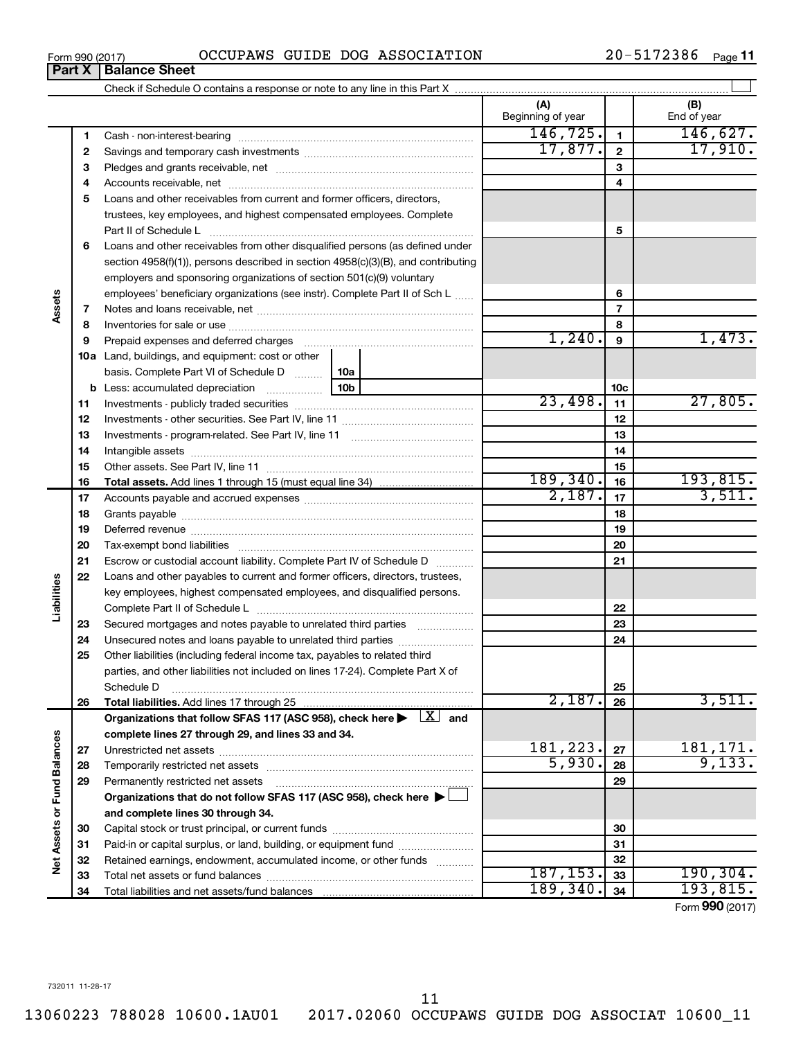$\overline{a}$ 

 $\overline{\phantom{0}}$ 

| Form 990 (2017) |                               |  | OCCUPAWS GUIDE DOG ASSOCIATION | 20-5172386 | Page 11 |
|-----------------|-------------------------------|--|--------------------------------|------------|---------|
|                 | <b>Part X   Balance Sheet</b> |  |                                |            |         |

|                             |          |                                                                                                                                                                                                                                | (A)<br>Beginning of year |                 | (B)<br>End of year |
|-----------------------------|----------|--------------------------------------------------------------------------------------------------------------------------------------------------------------------------------------------------------------------------------|--------------------------|-----------------|--------------------|
|                             | 1        |                                                                                                                                                                                                                                | 146,725.                 | $\blacksquare$  | 146,627.           |
|                             | 2        |                                                                                                                                                                                                                                | 17,877.                  | $\mathbf{2}$    | 17,910.            |
|                             | З        |                                                                                                                                                                                                                                |                          | 3               |                    |
|                             | 4        |                                                                                                                                                                                                                                |                          | 4               |                    |
|                             | 5        | Loans and other receivables from current and former officers, directors,                                                                                                                                                       |                          |                 |                    |
|                             |          | trustees, key employees, and highest compensated employees. Complete                                                                                                                                                           |                          |                 |                    |
|                             |          |                                                                                                                                                                                                                                |                          | 5               |                    |
|                             | 6        | Loans and other receivables from other disqualified persons (as defined under                                                                                                                                                  |                          |                 |                    |
|                             |          | section 4958(f)(1)), persons described in section 4958(c)(3)(B), and contributing                                                                                                                                              |                          |                 |                    |
|                             |          | employers and sponsoring organizations of section 501(c)(9) voluntary                                                                                                                                                          |                          |                 |                    |
|                             |          | employees' beneficiary organizations (see instr). Complete Part II of Sch L                                                                                                                                                    |                          | 6               |                    |
| Assets                      | 7        |                                                                                                                                                                                                                                |                          | $\overline{7}$  |                    |
|                             | 8        |                                                                                                                                                                                                                                |                          | 8               |                    |
|                             | 9        | Prepaid expenses and deferred charges [11] matter continuum matter and referred charges [11] matter continuum matter continuum matter and continuum matter continuum matter continuum matter continuum matter continuum matter | 1,240.                   | 9               | 1,473.             |
|                             |          | <b>10a</b> Land, buildings, and equipment: cost or other                                                                                                                                                                       |                          |                 |                    |
|                             |          | basis. Complete Part VI of Schedule D<br>10a                                                                                                                                                                                   |                          |                 |                    |
|                             |          | 10 <sub>b</sub><br><b>b</b> Less: accumulated depreciation                                                                                                                                                                     |                          | 10 <sub>c</sub> |                    |
|                             | 11       |                                                                                                                                                                                                                                | 23,498.                  | 11              | 27,805.            |
|                             | 12       |                                                                                                                                                                                                                                |                          | 12              |                    |
|                             | 13       |                                                                                                                                                                                                                                |                          | 13              |                    |
|                             | 14       |                                                                                                                                                                                                                                |                          | 14              |                    |
|                             | 15       |                                                                                                                                                                                                                                |                          | 15              |                    |
|                             | 16       |                                                                                                                                                                                                                                | 189, 340.                | 16              | 193,815.           |
|                             | 17       |                                                                                                                                                                                                                                | 2,187.                   | 17              | 3,511.             |
|                             | 18       |                                                                                                                                                                                                                                |                          | 18              |                    |
|                             | 19       |                                                                                                                                                                                                                                |                          | 19              |                    |
|                             | 20       |                                                                                                                                                                                                                                |                          | 20              |                    |
|                             | 21       | Escrow or custodial account liability. Complete Part IV of Schedule D                                                                                                                                                          |                          | 21              |                    |
|                             | 22       | Loans and other payables to current and former officers, directors, trustees,                                                                                                                                                  |                          |                 |                    |
| Liabilities                 |          | key employees, highest compensated employees, and disqualified persons.                                                                                                                                                        |                          |                 |                    |
|                             |          |                                                                                                                                                                                                                                |                          | 22              |                    |
|                             | 23       | Secured mortgages and notes payable to unrelated third parties                                                                                                                                                                 |                          | 23              |                    |
|                             | 24       | Unsecured notes and loans payable to unrelated third parties                                                                                                                                                                   |                          | 24              |                    |
|                             | 25       | Other liabilities (including federal income tax, payables to related third                                                                                                                                                     |                          |                 |                    |
|                             |          | parties, and other liabilities not included on lines 17-24). Complete Part X of                                                                                                                                                |                          |                 |                    |
|                             |          | Schedule D                                                                                                                                                                                                                     |                          | 25              |                    |
|                             | 26       |                                                                                                                                                                                                                                | 2,187.                   | 26              | 3,511.             |
|                             |          | Organizations that follow SFAS 117 (ASC 958), check here $\blacktriangleright \begin{array}{c} \boxed{X} \end{array}$ and                                                                                                      |                          |                 |                    |
|                             |          | complete lines 27 through 29, and lines 33 and 34.                                                                                                                                                                             | 181,223.                 |                 | 181,171.           |
|                             | 27       |                                                                                                                                                                                                                                | 5,930.                   | 27              | 9,133.             |
|                             | 28       |                                                                                                                                                                                                                                |                          | 28              |                    |
|                             | 29       | Permanently restricted net assets                                                                                                                                                                                              |                          | 29              |                    |
|                             |          | Organizations that do not follow SFAS 117 (ASC 958), check here $\blacktriangleright\Box$                                                                                                                                      |                          |                 |                    |
| Net Assets or Fund Balances |          | and complete lines 30 through 34.                                                                                                                                                                                              |                          |                 |                    |
|                             | 30       |                                                                                                                                                                                                                                |                          | 30              |                    |
|                             | 31       | Paid-in or capital surplus, or land, building, or equipment fund                                                                                                                                                               |                          | 31              |                    |
|                             | 32       | Retained earnings, endowment, accumulated income, or other funds                                                                                                                                                               | 187, 153.                | 32<br>33        | 190, 304.          |
|                             | 33<br>34 |                                                                                                                                                                                                                                | 189, 340.                | 34              | 193,815.           |
|                             |          |                                                                                                                                                                                                                                |                          |                 | Form 990 (2017)    |

Form (2017) **990**

732011 11-28-17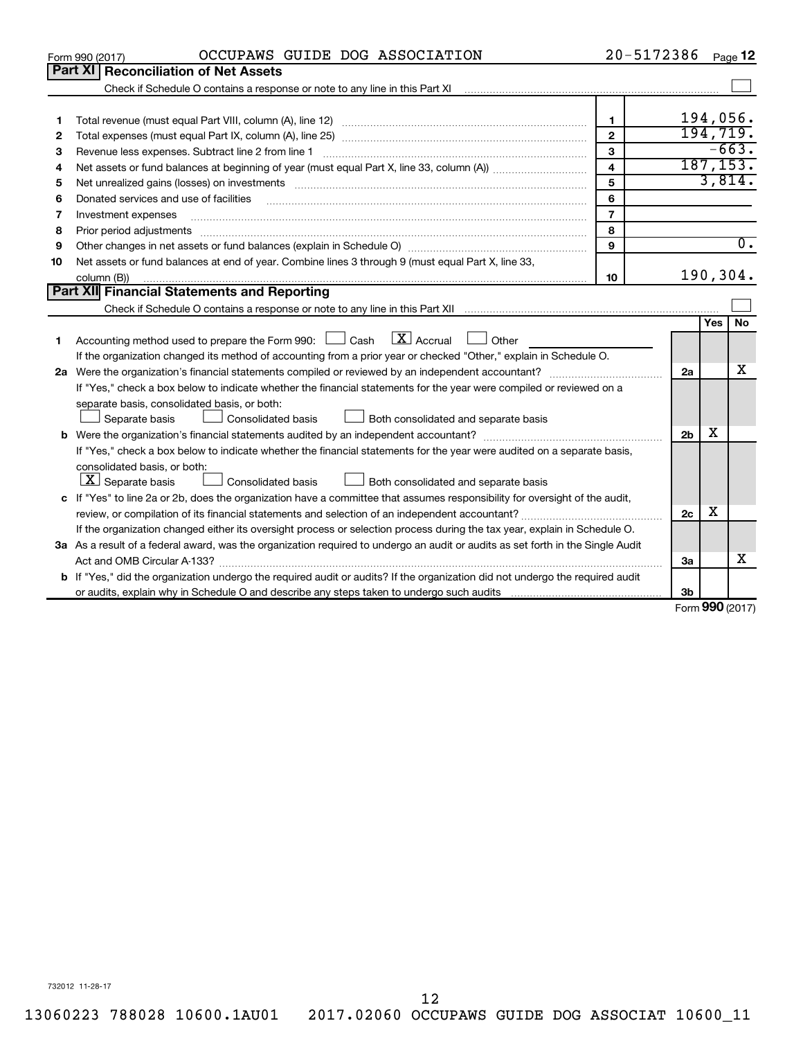|    | OCCUPAWS GUIDE DOG ASSOCIATION<br>Form 990 (2017)                                                                                    | 20-5172386              |                   |            | Page 12          |  |
|----|--------------------------------------------------------------------------------------------------------------------------------------|-------------------------|-------------------|------------|------------------|--|
|    | Part XI Reconciliation of Net Assets                                                                                                 |                         |                   |            |                  |  |
|    |                                                                                                                                      |                         |                   |            |                  |  |
|    |                                                                                                                                      |                         |                   |            |                  |  |
| 1  |                                                                                                                                      | $\mathbf{1}$            |                   |            | 194,056.         |  |
| 2  |                                                                                                                                      | $\overline{2}$          |                   |            | 194,719.         |  |
| з  |                                                                                                                                      | 3                       |                   |            | $-663.$          |  |
| 4  |                                                                                                                                      | $\overline{\mathbf{4}}$ |                   |            | 187, 153.        |  |
| 5  |                                                                                                                                      | 5                       |                   |            | 3,814.           |  |
| 6  | Donated services and use of facilities                                                                                               | 6                       |                   |            |                  |  |
| 7  | Investment expenses                                                                                                                  | $\overline{7}$          |                   |            |                  |  |
| 8  | Prior period adjustments                                                                                                             | 8                       |                   |            |                  |  |
| 9  |                                                                                                                                      | 9                       |                   |            | $\overline{0}$ . |  |
| 10 | Net assets or fund balances at end of year. Combine lines 3 through 9 (must equal Part X, line 33,                                   |                         |                   |            |                  |  |
|    | column (B))                                                                                                                          | 10                      |                   |            | 190,304.         |  |
|    | Part XII Financial Statements and Reporting                                                                                          |                         |                   |            |                  |  |
|    |                                                                                                                                      |                         |                   |            |                  |  |
|    |                                                                                                                                      |                         |                   | <b>Yes</b> | <b>No</b>        |  |
| 1  | $\lfloor \mathbf{X} \rfloor$ Accrual<br>Accounting method used to prepare the Form 990: [130] Cash<br>Other<br>$\perp$               |                         |                   |            |                  |  |
|    | If the organization changed its method of accounting from a prior year or checked "Other," explain in Schedule O.                    |                         |                   |            | x                |  |
|    |                                                                                                                                      |                         |                   |            |                  |  |
|    | If "Yes," check a box below to indicate whether the financial statements for the year were compiled or reviewed on a                 |                         |                   |            |                  |  |
|    | separate basis, consolidated basis, or both:                                                                                         |                         |                   |            |                  |  |
|    | Consolidated basis<br>Both consolidated and separate basis<br>Separate basis                                                         |                         |                   |            |                  |  |
|    |                                                                                                                                      |                         | 2 <sub>b</sub>    | х          |                  |  |
|    | If "Yes," check a box below to indicate whether the financial statements for the year were audited on a separate basis,              |                         |                   |            |                  |  |
|    | consolidated basis, or both:                                                                                                         |                         |                   |            |                  |  |
|    | $X$ Separate basis<br>Both consolidated and separate basis<br>Consolidated basis                                                     |                         |                   |            |                  |  |
|    | c If "Yes" to line 2a or 2b, does the organization have a committee that assumes responsibility for oversight of the audit,          |                         |                   |            |                  |  |
|    | review, or compilation of its financial statements and selection of an independent accountant?                                       |                         | 2c                | х          |                  |  |
|    | If the organization changed either its oversight process or selection process during the tax year, explain in Schedule O.            |                         |                   |            |                  |  |
|    | 3a As a result of a federal award, was the organization required to undergo an audit or audits as set forth in the Single Audit      |                         |                   |            |                  |  |
|    |                                                                                                                                      |                         | За                |            | x                |  |
|    | <b>b</b> If "Yes," did the organization undergo the required audit or audits? If the organization did not undergo the required audit |                         |                   |            |                  |  |
|    |                                                                                                                                      |                         | 3b                |            |                  |  |
|    |                                                                                                                                      |                         | $Form$ 990 (2017) |            |                  |  |

Form (2017) **990**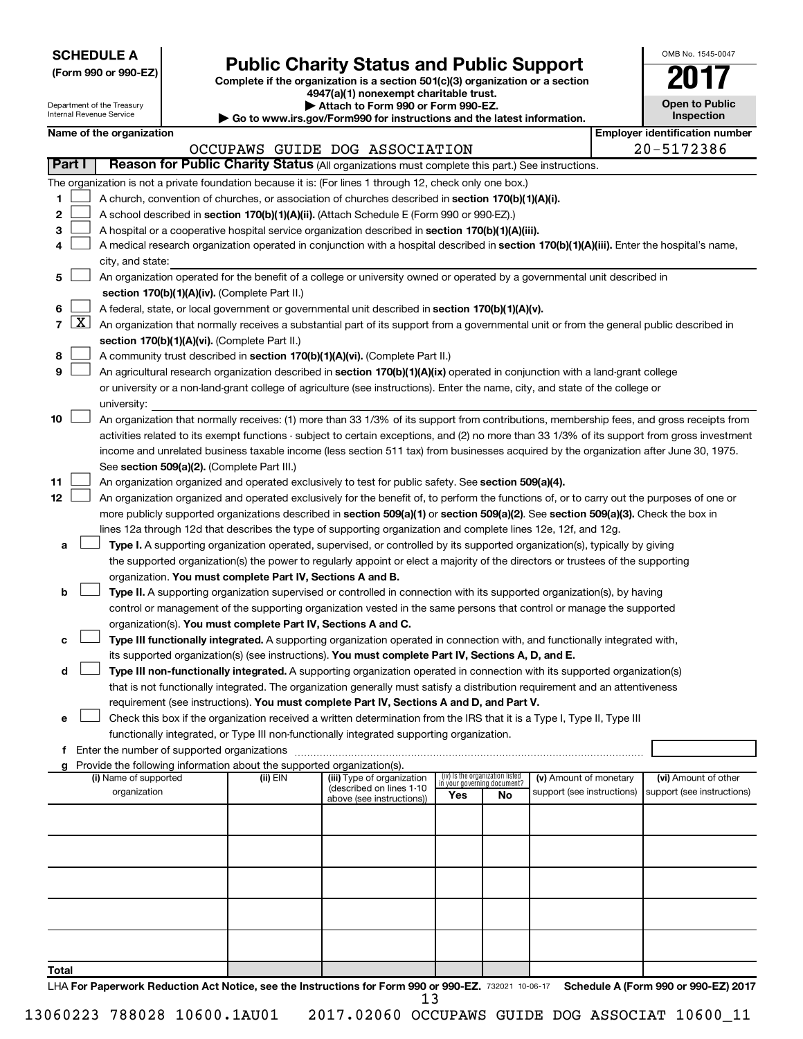| <b>SCHEDULE A</b> |  |
|-------------------|--|
|-------------------|--|

Department of the Treasury Internal Revenue Service

**Total**

| (Form 990 or 990-EZ) |  |  |  |
|----------------------|--|--|--|
|----------------------|--|--|--|

# **Public Charity Status and Public Support**

**(Form 990 or 990-EZ) Complete if the organization is a section 501(c)(3) organization or a section**

**4947(a)(1) nonexempt charitable trust. | Attach to Form 990 or Form 990-EZ.** 

**| Go to www.irs.gov/Form990 for instructions and the latest information.**

| OMB No 1545-0047                    |
|-------------------------------------|
|                                     |
| <b>Open to Public</b><br>Inspection |

|                | we as married signal entire service we we want the reason morning to<br>Name of the organization<br><b>Employer identification number</b> |                                                                                                                                                                                       |          |                                                        |  |                                                                |                        |  |                      |  |  |
|----------------|-------------------------------------------------------------------------------------------------------------------------------------------|---------------------------------------------------------------------------------------------------------------------------------------------------------------------------------------|----------|--------------------------------------------------------|--|----------------------------------------------------------------|------------------------|--|----------------------|--|--|
|                |                                                                                                                                           |                                                                                                                                                                                       |          | OCCUPAWS GUIDE DOG ASSOCIATION                         |  |                                                                |                        |  | 20-5172386           |  |  |
|                | Part I                                                                                                                                    | Reason for Public Charity Status (All organizations must complete this part.) See instructions.                                                                                       |          |                                                        |  |                                                                |                        |  |                      |  |  |
|                |                                                                                                                                           | The organization is not a private foundation because it is: (For lines 1 through 12, check only one box.)                                                                             |          |                                                        |  |                                                                |                        |  |                      |  |  |
| 1              |                                                                                                                                           | A church, convention of churches, or association of churches described in <b>section 170(b)(1)(A)(i).</b>                                                                             |          |                                                        |  |                                                                |                        |  |                      |  |  |
| 2              |                                                                                                                                           | A school described in section 170(b)(1)(A)(ii). (Attach Schedule E (Form 990 or 990-EZ).)                                                                                             |          |                                                        |  |                                                                |                        |  |                      |  |  |
| 3              |                                                                                                                                           | A hospital or a cooperative hospital service organization described in section 170(b)(1)(A)(iii).                                                                                     |          |                                                        |  |                                                                |                        |  |                      |  |  |
| 4              |                                                                                                                                           | A medical research organization operated in conjunction with a hospital described in section 170(b)(1)(A)(iii). Enter the hospital's name,                                            |          |                                                        |  |                                                                |                        |  |                      |  |  |
|                |                                                                                                                                           | city, and state:                                                                                                                                                                      |          |                                                        |  |                                                                |                        |  |                      |  |  |
| 5              |                                                                                                                                           | An organization operated for the benefit of a college or university owned or operated by a governmental unit described in                                                             |          |                                                        |  |                                                                |                        |  |                      |  |  |
|                |                                                                                                                                           | section 170(b)(1)(A)(iv). (Complete Part II.)                                                                                                                                         |          |                                                        |  |                                                                |                        |  |                      |  |  |
| 6              |                                                                                                                                           | A federal, state, or local government or governmental unit described in section 170(b)(1)(A)(v).                                                                                      |          |                                                        |  |                                                                |                        |  |                      |  |  |
| $\overline{7}$ | <u>x</u>                                                                                                                                  | An organization that normally receives a substantial part of its support from a governmental unit or from the general public described in                                             |          |                                                        |  |                                                                |                        |  |                      |  |  |
|                |                                                                                                                                           | section 170(b)(1)(A)(vi). (Complete Part II.)                                                                                                                                         |          |                                                        |  |                                                                |                        |  |                      |  |  |
| 8              |                                                                                                                                           | A community trust described in section 170(b)(1)(A)(vi). (Complete Part II.)                                                                                                          |          |                                                        |  |                                                                |                        |  |                      |  |  |
| 9              |                                                                                                                                           | An agricultural research organization described in section 170(b)(1)(A)(ix) operated in conjunction with a land-grant college                                                         |          |                                                        |  |                                                                |                        |  |                      |  |  |
|                |                                                                                                                                           | or university or a non-land-grant college of agriculture (see instructions). Enter the name, city, and state of the college or                                                        |          |                                                        |  |                                                                |                        |  |                      |  |  |
|                |                                                                                                                                           | university:                                                                                                                                                                           |          |                                                        |  |                                                                |                        |  |                      |  |  |
| 10             |                                                                                                                                           | An organization that normally receives: (1) more than 33 1/3% of its support from contributions, membership fees, and gross receipts from                                             |          |                                                        |  |                                                                |                        |  |                      |  |  |
|                |                                                                                                                                           | activities related to its exempt functions - subject to certain exceptions, and (2) no more than 33 1/3% of its support from gross investment                                         |          |                                                        |  |                                                                |                        |  |                      |  |  |
|                |                                                                                                                                           | income and unrelated business taxable income (less section 511 tax) from businesses acquired by the organization after June 30, 1975.                                                 |          |                                                        |  |                                                                |                        |  |                      |  |  |
|                |                                                                                                                                           | See section 509(a)(2). (Complete Part III.)                                                                                                                                           |          |                                                        |  |                                                                |                        |  |                      |  |  |
| 11             |                                                                                                                                           | An organization organized and operated exclusively to test for public safety. See section 509(a)(4).                                                                                  |          |                                                        |  |                                                                |                        |  |                      |  |  |
| 12             |                                                                                                                                           | An organization organized and operated exclusively for the benefit of, to perform the functions of, or to carry out the purposes of one or                                            |          |                                                        |  |                                                                |                        |  |                      |  |  |
|                |                                                                                                                                           | more publicly supported organizations described in section 509(a)(1) or section 509(a)(2). See section 509(a)(3). Check the box in                                                    |          |                                                        |  |                                                                |                        |  |                      |  |  |
|                |                                                                                                                                           | lines 12a through 12d that describes the type of supporting organization and complete lines 12e, 12f, and 12g.                                                                        |          |                                                        |  |                                                                |                        |  |                      |  |  |
| a              |                                                                                                                                           | Type I. A supporting organization operated, supervised, or controlled by its supported organization(s), typically by giving                                                           |          |                                                        |  |                                                                |                        |  |                      |  |  |
|                |                                                                                                                                           | the supported organization(s) the power to regularly appoint or elect a majority of the directors or trustees of the supporting                                                       |          |                                                        |  |                                                                |                        |  |                      |  |  |
| b              |                                                                                                                                           | organization. You must complete Part IV, Sections A and B.<br>Type II. A supporting organization supervised or controlled in connection with its supported organization(s), by having |          |                                                        |  |                                                                |                        |  |                      |  |  |
|                |                                                                                                                                           | control or management of the supporting organization vested in the same persons that control or manage the supported                                                                  |          |                                                        |  |                                                                |                        |  |                      |  |  |
|                |                                                                                                                                           | organization(s). You must complete Part IV, Sections A and C.                                                                                                                         |          |                                                        |  |                                                                |                        |  |                      |  |  |
| c              |                                                                                                                                           | Type III functionally integrated. A supporting organization operated in connection with, and functionally integrated with,                                                            |          |                                                        |  |                                                                |                        |  |                      |  |  |
|                |                                                                                                                                           | its supported organization(s) (see instructions). You must complete Part IV, Sections A, D, and E.                                                                                    |          |                                                        |  |                                                                |                        |  |                      |  |  |
| d              |                                                                                                                                           | Type III non-functionally integrated. A supporting organization operated in connection with its supported organization(s)                                                             |          |                                                        |  |                                                                |                        |  |                      |  |  |
|                |                                                                                                                                           | that is not functionally integrated. The organization generally must satisfy a distribution requirement and an attentiveness                                                          |          |                                                        |  |                                                                |                        |  |                      |  |  |
|                |                                                                                                                                           | requirement (see instructions). You must complete Part IV, Sections A and D, and Part V.                                                                                              |          |                                                        |  |                                                                |                        |  |                      |  |  |
| е              |                                                                                                                                           | Check this box if the organization received a written determination from the IRS that it is a Type I, Type II, Type III                                                               |          |                                                        |  |                                                                |                        |  |                      |  |  |
|                |                                                                                                                                           | functionally integrated, or Type III non-functionally integrated supporting organization.                                                                                             |          |                                                        |  |                                                                |                        |  |                      |  |  |
| f              |                                                                                                                                           | Enter the number of supported organizations                                                                                                                                           |          |                                                        |  |                                                                |                        |  |                      |  |  |
|                |                                                                                                                                           | g Provide the following information about the supported organization(s).                                                                                                              |          |                                                        |  |                                                                |                        |  |                      |  |  |
|                |                                                                                                                                           | (i) Name of supported                                                                                                                                                                 | (ii) EIN | (iii) Type of organization<br>(described on lines 1-10 |  | (iv) Is the organization listed<br>in your governing document? | (v) Amount of monetary |  | (vi) Amount of other |  |  |
|                | organization<br>support (see instructions)<br>support (see instructions)<br>Yes<br>No<br>above (see instructions))                        |                                                                                                                                                                                       |          |                                                        |  |                                                                |                        |  |                      |  |  |
|                |                                                                                                                                           |                                                                                                                                                                                       |          |                                                        |  |                                                                |                        |  |                      |  |  |
|                |                                                                                                                                           |                                                                                                                                                                                       |          |                                                        |  |                                                                |                        |  |                      |  |  |
|                |                                                                                                                                           |                                                                                                                                                                                       |          |                                                        |  |                                                                |                        |  |                      |  |  |
|                |                                                                                                                                           |                                                                                                                                                                                       |          |                                                        |  |                                                                |                        |  |                      |  |  |
|                |                                                                                                                                           |                                                                                                                                                                                       |          |                                                        |  |                                                                |                        |  |                      |  |  |
|                |                                                                                                                                           |                                                                                                                                                                                       |          |                                                        |  |                                                                |                        |  |                      |  |  |
|                |                                                                                                                                           |                                                                                                                                                                                       |          |                                                        |  |                                                                |                        |  |                      |  |  |

LHA For Paperwork Reduction Act Notice, see the Instructions for Form 990 or 990-EZ. 732021 10-06-17 Schedule A (Form 990 or 990-EZ) 2017 13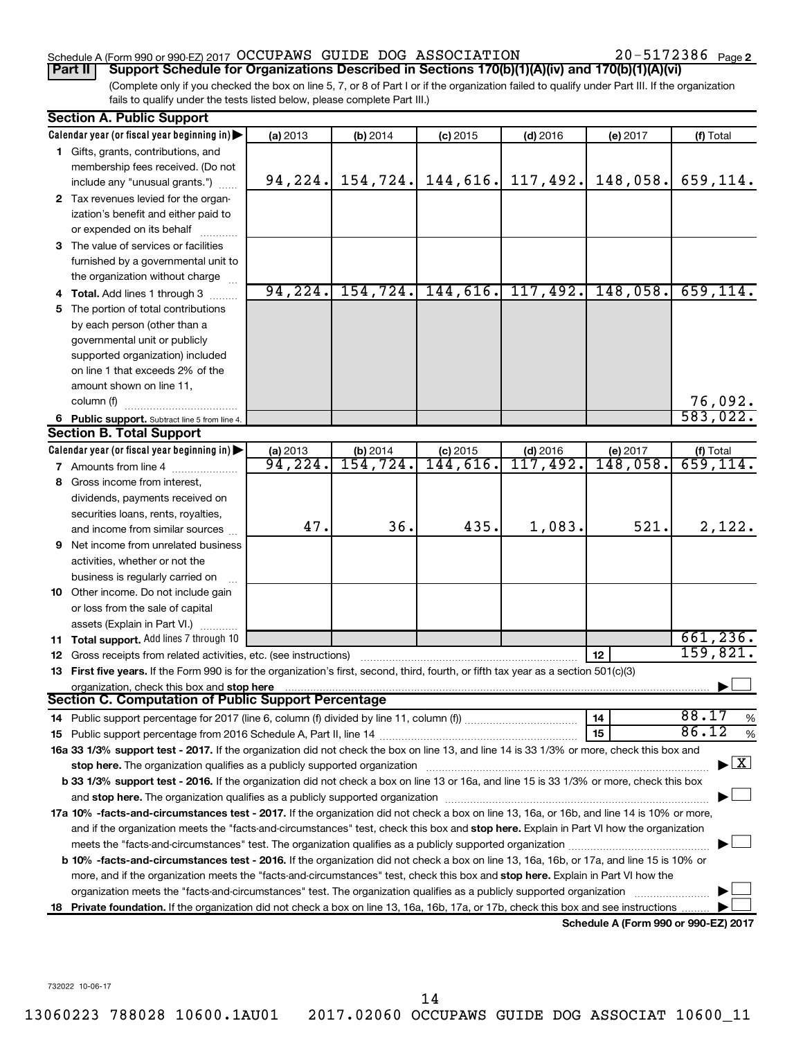# Schedule A (Form 990 or 990-EZ) 2017  $\rm OCCUPANS$  GUIDE DOG  $\rm ASSOCIATION$   $20-5172386$   $_{\rm Page}$

20-5172386 Page 2

(Complete only if you checked the box on line 5, 7, or 8 of Part I or if the organization failed to qualify under Part III. If the organization fails to qualify under the tests listed below, please complete Part III.) **Part II Support Schedule for Organizations Described in Sections 170(b)(1)(A)(iv) and 170(b)(1)(A)(vi)**

|    | <b>Section A. Public Support</b>                                                                                                                                                                                                                                                                                                                                           |          |           |                       |            |                                      |                                          |
|----|----------------------------------------------------------------------------------------------------------------------------------------------------------------------------------------------------------------------------------------------------------------------------------------------------------------------------------------------------------------------------|----------|-----------|-----------------------|------------|--------------------------------------|------------------------------------------|
|    | Calendar year (or fiscal year beginning in)                                                                                                                                                                                                                                                                                                                                | (a) 2013 | (b) 2014  | $(c)$ 2015            | $(d)$ 2016 | (e) 2017                             | (f) Total                                |
|    | 1 Gifts, grants, contributions, and                                                                                                                                                                                                                                                                                                                                        |          |           |                       |            |                                      |                                          |
|    | membership fees received. (Do not                                                                                                                                                                                                                                                                                                                                          |          |           |                       |            |                                      |                                          |
|    | include any "unusual grants.")                                                                                                                                                                                                                                                                                                                                             | 94, 224. | 154, 724. | 144,616.              | 117,492.   | 148,058.                             | 659,114.                                 |
|    | 2 Tax revenues levied for the organ-                                                                                                                                                                                                                                                                                                                                       |          |           |                       |            |                                      |                                          |
|    | ization's benefit and either paid to                                                                                                                                                                                                                                                                                                                                       |          |           |                       |            |                                      |                                          |
|    | or expended on its behalf                                                                                                                                                                                                                                                                                                                                                  |          |           |                       |            |                                      |                                          |
|    | 3 The value of services or facilities                                                                                                                                                                                                                                                                                                                                      |          |           |                       |            |                                      |                                          |
|    | furnished by a governmental unit to                                                                                                                                                                                                                                                                                                                                        |          |           |                       |            |                                      |                                          |
|    | the organization without charge                                                                                                                                                                                                                                                                                                                                            |          |           |                       |            |                                      |                                          |
|    | 4 Total. Add lines 1 through 3                                                                                                                                                                                                                                                                                                                                             | 94, 224. |           | $154, 724.$ 144, 616. | 117,492.   | 148,058.                             | 659, 114.                                |
| 5. | The portion of total contributions                                                                                                                                                                                                                                                                                                                                         |          |           |                       |            |                                      |                                          |
|    | by each person (other than a                                                                                                                                                                                                                                                                                                                                               |          |           |                       |            |                                      |                                          |
|    | governmental unit or publicly                                                                                                                                                                                                                                                                                                                                              |          |           |                       |            |                                      |                                          |
|    | supported organization) included                                                                                                                                                                                                                                                                                                                                           |          |           |                       |            |                                      |                                          |
|    | on line 1 that exceeds 2% of the                                                                                                                                                                                                                                                                                                                                           |          |           |                       |            |                                      |                                          |
|    | amount shown on line 11,                                                                                                                                                                                                                                                                                                                                                   |          |           |                       |            |                                      |                                          |
|    | column (f)                                                                                                                                                                                                                                                                                                                                                                 |          |           |                       |            |                                      | 76,092.                                  |
|    | 6 Public support. Subtract line 5 from line 4.                                                                                                                                                                                                                                                                                                                             |          |           |                       |            |                                      | 583,022.                                 |
|    | <b>Section B. Total Support</b>                                                                                                                                                                                                                                                                                                                                            |          |           |                       |            |                                      |                                          |
|    | Calendar year (or fiscal year beginning in)                                                                                                                                                                                                                                                                                                                                | (a) 2013 | (b) 2014  | $(c)$ 2015            | $(d)$ 2016 | (e) 2017                             | (f) Total                                |
|    | <b>7</b> Amounts from line 4                                                                                                                                                                                                                                                                                                                                               | 94,224.  | 154, 724. | 144,616.              | 117,492.   | 148,058.                             | $\overline{659}$ , 114.                  |
|    | 8 Gross income from interest,                                                                                                                                                                                                                                                                                                                                              |          |           |                       |            |                                      |                                          |
|    | dividends, payments received on                                                                                                                                                                                                                                                                                                                                            |          |           |                       |            |                                      |                                          |
|    | securities loans, rents, royalties,                                                                                                                                                                                                                                                                                                                                        |          |           |                       |            |                                      |                                          |
|    | and income from similar sources                                                                                                                                                                                                                                                                                                                                            | 47.      | 36.       | 435.                  | 1,083.     | 521.                                 | 2,122.                                   |
|    | 9 Net income from unrelated business                                                                                                                                                                                                                                                                                                                                       |          |           |                       |            |                                      |                                          |
|    | activities, whether or not the                                                                                                                                                                                                                                                                                                                                             |          |           |                       |            |                                      |                                          |
|    | business is regularly carried on                                                                                                                                                                                                                                                                                                                                           |          |           |                       |            |                                      |                                          |
|    | 10 Other income. Do not include gain                                                                                                                                                                                                                                                                                                                                       |          |           |                       |            |                                      |                                          |
|    | or loss from the sale of capital                                                                                                                                                                                                                                                                                                                                           |          |           |                       |            |                                      |                                          |
|    | assets (Explain in Part VI.)                                                                                                                                                                                                                                                                                                                                               |          |           |                       |            |                                      |                                          |
|    | 11 Total support. Add lines 7 through 10                                                                                                                                                                                                                                                                                                                                   |          |           |                       |            |                                      | 661, 236.                                |
|    | <b>12</b> Gross receipts from related activities, etc. (see instructions)                                                                                                                                                                                                                                                                                                  |          |           |                       |            | 12                                   | 159,821.                                 |
|    | 13 First five years. If the Form 990 is for the organization's first, second, third, fourth, or fifth tax year as a section 501(c)(3)                                                                                                                                                                                                                                      |          |           |                       |            |                                      |                                          |
|    | organization, check this box and stop here<br>Section C. Computation of Public Support Percentage                                                                                                                                                                                                                                                                          |          |           |                       |            |                                      |                                          |
|    |                                                                                                                                                                                                                                                                                                                                                                            |          |           |                       |            |                                      | 88.17                                    |
|    |                                                                                                                                                                                                                                                                                                                                                                            |          |           |                       |            | 14<br>15                             | %<br>86.12<br>$\%$                       |
|    | 16a 33 1/3% support test - 2017. If the organization did not check the box on line 13, and line 14 is 33 1/3% or more, check this box and                                                                                                                                                                                                                                  |          |           |                       |            |                                      |                                          |
|    |                                                                                                                                                                                                                                                                                                                                                                            |          |           |                       |            |                                      | $\blacktriangleright$ $\boxed{\text{X}}$ |
|    | stop here. The organization qualifies as a publicly supported organization manufaction manufacture or manufacture or the organization manufacture or the organization of the state of the state of the state of the state of t<br>b 33 1/3% support test - 2016. If the organization did not check a box on line 13 or 16a, and line 15 is 33 1/3% or more, check this box |          |           |                       |            |                                      |                                          |
|    |                                                                                                                                                                                                                                                                                                                                                                            |          |           |                       |            |                                      |                                          |
|    | 17a 10% -facts-and-circumstances test - 2017. If the organization did not check a box on line 13, 16a, or 16b, and line 14 is 10% or more,                                                                                                                                                                                                                                 |          |           |                       |            |                                      |                                          |
|    | and if the organization meets the "facts-and-circumstances" test, check this box and stop here. Explain in Part VI how the organization                                                                                                                                                                                                                                    |          |           |                       |            |                                      |                                          |
|    |                                                                                                                                                                                                                                                                                                                                                                            |          |           |                       |            |                                      |                                          |
|    | b 10% -facts-and-circumstances test - 2016. If the organization did not check a box on line 13, 16a, 16b, or 17a, and line 15 is 10% or                                                                                                                                                                                                                                    |          |           |                       |            |                                      |                                          |
|    | more, and if the organization meets the "facts-and-circumstances" test, check this box and stop here. Explain in Part VI how the                                                                                                                                                                                                                                           |          |           |                       |            |                                      |                                          |
|    | organization meets the "facts-and-circumstances" test. The organization qualifies as a publicly supported organization                                                                                                                                                                                                                                                     |          |           |                       |            |                                      |                                          |
|    | 18 Private foundation. If the organization did not check a box on line 13, 16a, 16b, 17a, or 17b, check this box and see instructions                                                                                                                                                                                                                                      |          |           |                       |            |                                      |                                          |
|    |                                                                                                                                                                                                                                                                                                                                                                            |          |           |                       |            | Schedule A (Form 990 or 990-EZ) 2017 |                                          |

732022 10-06-17

14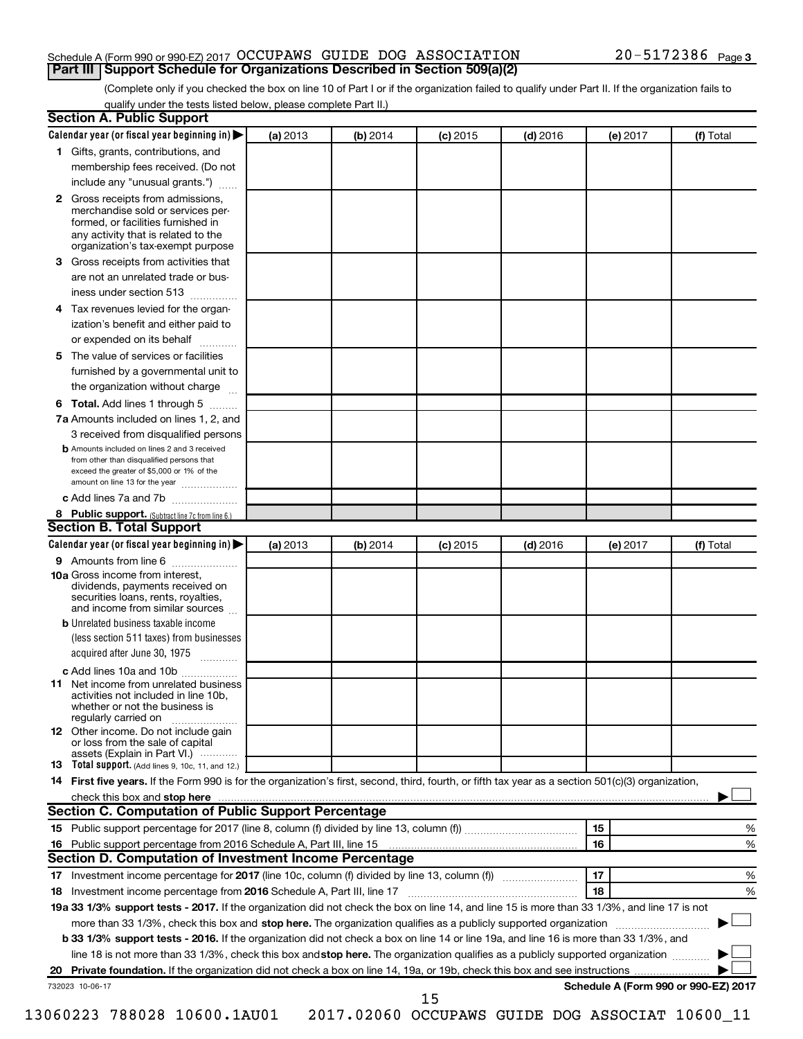### Schedule A (Form 990 or 990-EZ) 2017  $\rm OCCUPANS$  GUIDE DOG  $\rm ASSOCIATION$   $20-5172386$   $_{\rm Page}$ **Part III Support Schedule for Organizations Described in Section 509(a)(2)**

(Complete only if you checked the box on line 10 of Part I or if the organization failed to qualify under Part II. If the organization fails to qualify under the tests listed below, please complete Part II.)

| <b>Section A. Public Support</b>                                                                                                                                                                                               |          |          |            |            |          |                                      |
|--------------------------------------------------------------------------------------------------------------------------------------------------------------------------------------------------------------------------------|----------|----------|------------|------------|----------|--------------------------------------|
| Calendar year (or fiscal year beginning in)                                                                                                                                                                                    | (a) 2013 | (b) 2014 | $(c)$ 2015 | $(d)$ 2016 | (e) 2017 | (f) Total                            |
| 1 Gifts, grants, contributions, and                                                                                                                                                                                            |          |          |            |            |          |                                      |
| membership fees received. (Do not                                                                                                                                                                                              |          |          |            |            |          |                                      |
| include any "unusual grants.")                                                                                                                                                                                                 |          |          |            |            |          |                                      |
| 2 Gross receipts from admissions,<br>merchandise sold or services per-<br>formed, or facilities furnished in<br>any activity that is related to the<br>organization's tax-exempt purpose                                       |          |          |            |            |          |                                      |
| 3 Gross receipts from activities that                                                                                                                                                                                          |          |          |            |            |          |                                      |
| are not an unrelated trade or bus-                                                                                                                                                                                             |          |          |            |            |          |                                      |
| iness under section 513                                                                                                                                                                                                        |          |          |            |            |          |                                      |
| 4 Tax revenues levied for the organ-                                                                                                                                                                                           |          |          |            |            |          |                                      |
| ization's benefit and either paid to<br>or expended on its behalf<br>.                                                                                                                                                         |          |          |            |            |          |                                      |
| 5 The value of services or facilities                                                                                                                                                                                          |          |          |            |            |          |                                      |
| furnished by a governmental unit to                                                                                                                                                                                            |          |          |            |            |          |                                      |
| the organization without charge                                                                                                                                                                                                |          |          |            |            |          |                                      |
| 6 Total. Add lines 1 through 5                                                                                                                                                                                                 |          |          |            |            |          |                                      |
| 7a Amounts included on lines 1, 2, and                                                                                                                                                                                         |          |          |            |            |          |                                      |
| 3 received from disqualified persons<br><b>b</b> Amounts included on lines 2 and 3 received<br>from other than disqualified persons that<br>exceed the greater of \$5,000 or 1% of the<br>amount on line 13 for the year       |          |          |            |            |          |                                      |
| c Add lines 7a and 7b                                                                                                                                                                                                          |          |          |            |            |          |                                      |
| 8 Public support. (Subtract line 7c from line 6.)                                                                                                                                                                              |          |          |            |            |          |                                      |
| <b>Section B. Total Support</b>                                                                                                                                                                                                |          |          |            |            |          |                                      |
| Calendar year (or fiscal year beginning in)                                                                                                                                                                                    | (a) 2013 | (b) 2014 | $(c)$ 2015 | $(d)$ 2016 | (e) 2017 | (f) Total                            |
| <b>9</b> Amounts from line 6                                                                                                                                                                                                   |          |          |            |            |          |                                      |
| <b>10a</b> Gross income from interest,<br>dividends, payments received on<br>securities loans, rents, royalties,<br>and income from similar sources                                                                            |          |          |            |            |          |                                      |
| <b>b</b> Unrelated business taxable income                                                                                                                                                                                     |          |          |            |            |          |                                      |
| (less section 511 taxes) from businesses                                                                                                                                                                                       |          |          |            |            |          |                                      |
| acquired after June 30, 1975                                                                                                                                                                                                   |          |          |            |            |          |                                      |
| c Add lines 10a and 10b                                                                                                                                                                                                        |          |          |            |            |          |                                      |
| 11 Net income from unrelated business<br>activities not included in line 10b.<br>whether or not the business is<br>regularly carried on                                                                                        |          |          |            |            |          |                                      |
| <b>12</b> Other income. Do not include gain<br>or loss from the sale of capital<br>assets (Explain in Part VI.)                                                                                                                |          |          |            |            |          |                                      |
| <b>13</b> Total support. (Add lines 9, 10c, 11, and 12.)                                                                                                                                                                       |          |          |            |            |          |                                      |
| 14 First five years. If the Form 990 is for the organization's first, second, third, fourth, or fifth tax year as a section 501(c)(3) organization,                                                                            |          |          |            |            |          |                                      |
| check this box and stop here manufactured and stop here and stop here are manufactured and stop here and stop here and stop here and stop here and stop here and stop here and stop here are all the stop of the stop of the s |          |          |            |            |          |                                      |
| Section C. Computation of Public Support Percentage                                                                                                                                                                            |          |          |            |            |          |                                      |
|                                                                                                                                                                                                                                |          |          |            |            | 15       | ℅                                    |
| 16 Public support percentage from 2016 Schedule A, Part III, line 15                                                                                                                                                           |          |          |            |            | 16       | %                                    |
| Section D. Computation of Investment Income Percentage                                                                                                                                                                         |          |          |            |            |          |                                      |
|                                                                                                                                                                                                                                |          |          |            |            | 17       | %                                    |
| 18 Investment income percentage from 2016 Schedule A, Part III, line 17                                                                                                                                                        |          |          |            |            | 18       | %                                    |
| 19a 33 1/3% support tests - 2017. If the organization did not check the box on line 14, and line 15 is more than 33 1/3%, and line 17 is not                                                                                   |          |          |            |            |          |                                      |
| more than 33 1/3%, check this box and stop here. The organization qualifies as a publicly supported organization                                                                                                               |          |          |            |            |          |                                      |
| b 33 1/3% support tests - 2016. If the organization did not check a box on line 14 or line 19a, and line 16 is more than 33 1/3%, and                                                                                          |          |          |            |            |          |                                      |
| line 18 is not more than 33 1/3%, check this box and stop here. The organization qualifies as a publicly supported organization                                                                                                |          |          |            |            |          |                                      |
|                                                                                                                                                                                                                                |          |          |            |            |          |                                      |
| 732023 10-06-17                                                                                                                                                                                                                |          |          |            |            |          | Schedule A (Form 990 or 990-EZ) 2017 |
|                                                                                                                                                                                                                                |          |          | 15         |            |          |                                      |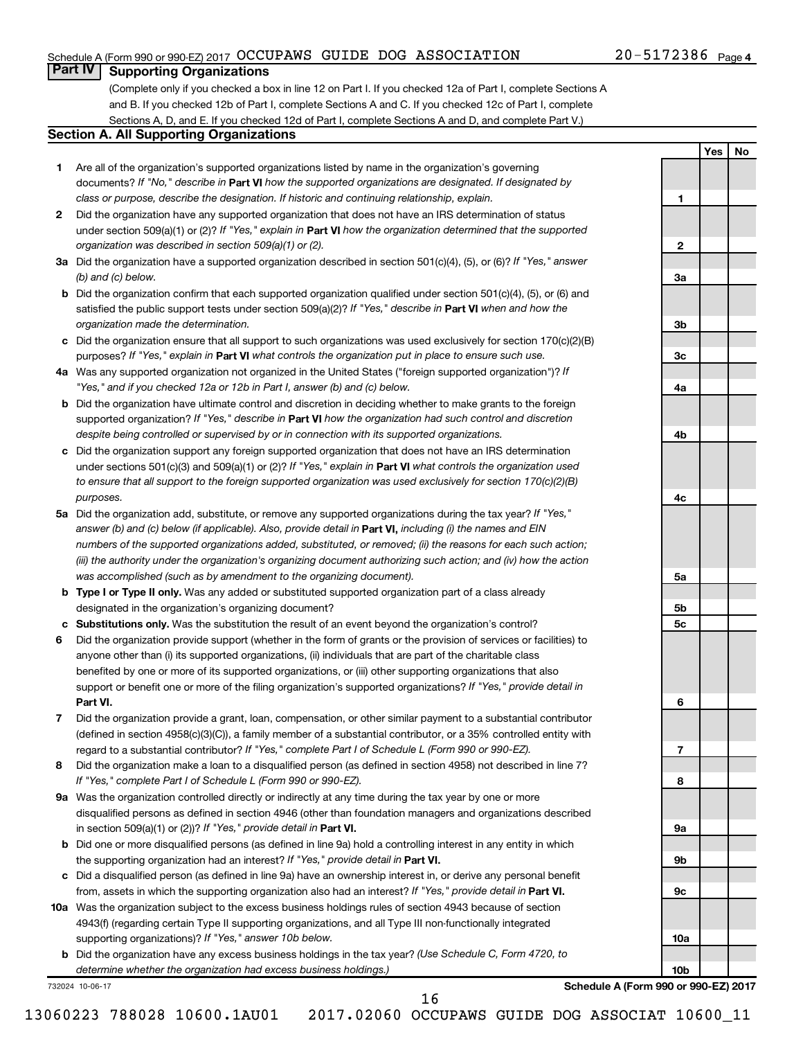# Schedule A (Form 990 or 990-EZ) 2017  $\rm OCCUPANS$  GUIDE DOG  $\rm ASSOCIATION$   $20-5172386$   $_{\rm Page}$

# 20-5172386 Page 4

**1**

**2**

**3a**

**3b**

**3c**

**4a**

**4b**

**4c**

**5a**

**5b 5c**

**6**

**7**

**8**

**9a**

**9b**

**9c**

**10a**

**10b**

**Yes No**

# **Part IV Supporting Organizations**

(Complete only if you checked a box in line 12 on Part I. If you checked 12a of Part I, complete Sections A and B. If you checked 12b of Part I, complete Sections A and C. If you checked 12c of Part I, complete Sections A, D, and E. If you checked 12d of Part I, complete Sections A and D, and complete Part V.)

## **Section A. All Supporting Organizations**

- **1** Are all of the organization's supported organizations listed by name in the organization's governing documents? If "No," describe in Part VI how the supported organizations are designated. If designated by *class or purpose, describe the designation. If historic and continuing relationship, explain.*
- **2** Did the organization have any supported organization that does not have an IRS determination of status under section 509(a)(1) or (2)? If "Yes," explain in Part **VI** how the organization determined that the supported *organization was described in section 509(a)(1) or (2).*
- **3a** Did the organization have a supported organization described in section 501(c)(4), (5), or (6)? If "Yes," answer *(b) and (c) below.*
- **b** Did the organization confirm that each supported organization qualified under section 501(c)(4), (5), or (6) and satisfied the public support tests under section 509(a)(2)? If "Yes," describe in Part VI when and how the *organization made the determination.*
- **c** Did the organization ensure that all support to such organizations was used exclusively for section 170(c)(2)(B) purposes? If "Yes," explain in Part VI what controls the organization put in place to ensure such use.
- **4 a** *If* Was any supported organization not organized in the United States ("foreign supported organization")? *"Yes," and if you checked 12a or 12b in Part I, answer (b) and (c) below.*
- **b** Did the organization have ultimate control and discretion in deciding whether to make grants to the foreign supported organization? If "Yes," describe in Part VI how the organization had such control and discretion *despite being controlled or supervised by or in connection with its supported organizations.*
- **c** Did the organization support any foreign supported organization that does not have an IRS determination under sections 501(c)(3) and 509(a)(1) or (2)? If "Yes," explain in Part VI what controls the organization used *to ensure that all support to the foreign supported organization was used exclusively for section 170(c)(2)(B) purposes.*
- **5a** Did the organization add, substitute, or remove any supported organizations during the tax year? If "Yes," answer (b) and (c) below (if applicable). Also, provide detail in **Part VI,** including (i) the names and EIN *numbers of the supported organizations added, substituted, or removed; (ii) the reasons for each such action; (iii) the authority under the organization's organizing document authorizing such action; and (iv) how the action was accomplished (such as by amendment to the organizing document).*
- **b Type I or Type II only.** Was any added or substituted supported organization part of a class already designated in the organization's organizing document?
- **c Substitutions only.**  Was the substitution the result of an event beyond the organization's control?
- **6** Did the organization provide support (whether in the form of grants or the provision of services or facilities) to **Part VI.** support or benefit one or more of the filing organization's supported organizations? If "Yes," provide detail in anyone other than (i) its supported organizations, (ii) individuals that are part of the charitable class benefited by one or more of its supported organizations, or (iii) other supporting organizations that also
- **7** Did the organization provide a grant, loan, compensation, or other similar payment to a substantial contributor regard to a substantial contributor? If "Yes," complete Part I of Schedule L (Form 990 or 990-EZ). (defined in section 4958(c)(3)(C)), a family member of a substantial contributor, or a 35% controlled entity with
- **8** Did the organization make a loan to a disqualified person (as defined in section 4958) not described in line 7? *If "Yes," complete Part I of Schedule L (Form 990 or 990-EZ).*
- **9 a** Was the organization controlled directly or indirectly at any time during the tax year by one or more in section 509(a)(1) or (2))? If "Yes," provide detail in **Part VI.** disqualified persons as defined in section 4946 (other than foundation managers and organizations described
- **b** Did one or more disqualified persons (as defined in line 9a) hold a controlling interest in any entity in which the supporting organization had an interest? If "Yes," provide detail in Part VI.
- **c** Did a disqualified person (as defined in line 9a) have an ownership interest in, or derive any personal benefit from, assets in which the supporting organization also had an interest? If "Yes," provide detail in Part VI.
- **10 a** Was the organization subject to the excess business holdings rules of section 4943 because of section supporting organizations)? If "Yes," answer 10b below. 4943(f) (regarding certain Type II supporting organizations, and all Type III non-functionally integrated
	- **b** Did the organization have any excess business holdings in the tax year? (Use Schedule C, Form 4720, to *determine whether the organization had excess business holdings.)*

732024 10-06-17

**Schedule A (Form 990 or 990-EZ) 2017**

16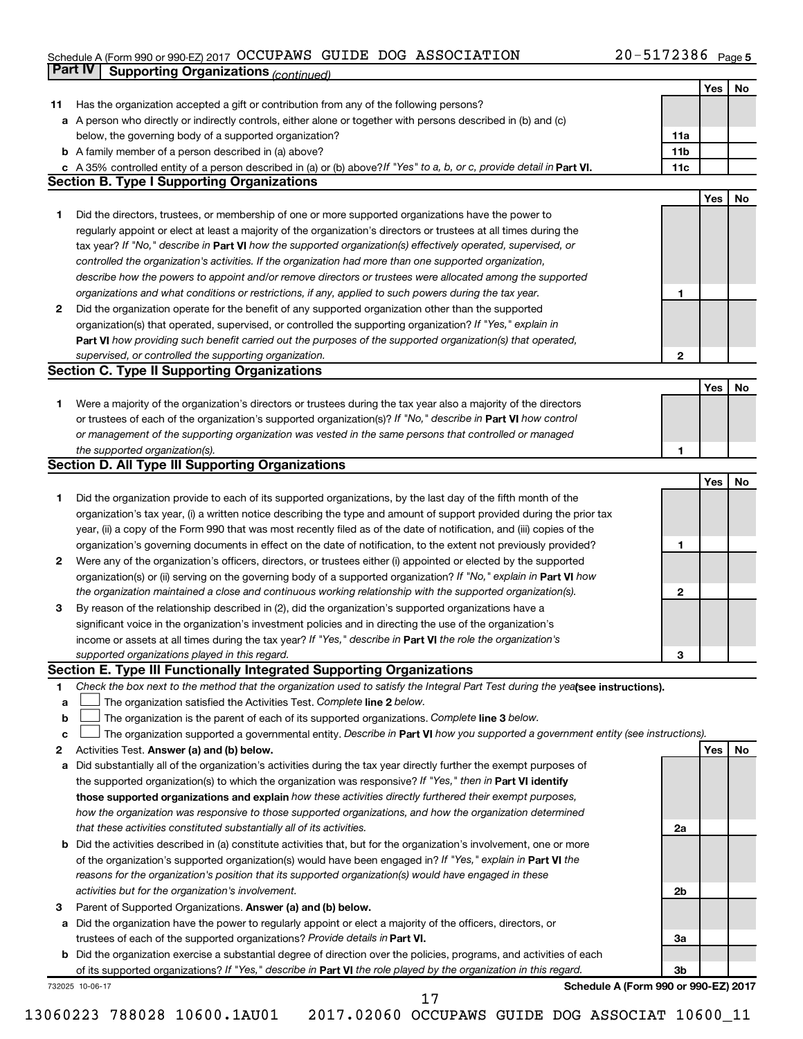#### Schedule A (Form 990 or 990-EZ) 2017 OCCUPAWS GUIDE DOG ASSOCIATION 2 U - 5 I 7 Z 3 8 0 Page OCCUPAWS GUIDE DOG ASSOCIATION 20-5172386

|    | Part IV<br><b>Supporting Organizations (continued)</b>                                                                          |                 |     |    |
|----|---------------------------------------------------------------------------------------------------------------------------------|-----------------|-----|----|
|    |                                                                                                                                 |                 | Yes | No |
| 11 | Has the organization accepted a gift or contribution from any of the following persons?                                         |                 |     |    |
|    | a A person who directly or indirectly controls, either alone or together with persons described in (b) and (c)                  |                 |     |    |
|    | below, the governing body of a supported organization?                                                                          | 11a             |     |    |
|    | <b>b</b> A family member of a person described in (a) above?                                                                    | 11 <sub>b</sub> |     |    |
|    | c A 35% controlled entity of a person described in (a) or (b) above? If "Yes" to a, b, or c, provide detail in Part VI.         | 11c             |     |    |
|    | <b>Section B. Type I Supporting Organizations</b>                                                                               |                 |     |    |
|    |                                                                                                                                 |                 | Yes | No |
|    |                                                                                                                                 |                 |     |    |
| 1  | Did the directors, trustees, or membership of one or more supported organizations have the power to                             |                 |     |    |
|    | regularly appoint or elect at least a majority of the organization's directors or trustees at all times during the              |                 |     |    |
|    | tax year? If "No," describe in Part VI how the supported organization(s) effectively operated, supervised, or                   |                 |     |    |
|    | controlled the organization's activities. If the organization had more than one supported organization,                         |                 |     |    |
|    | describe how the powers to appoint and/or remove directors or trustees were allocated among the supported                       |                 |     |    |
|    | organizations and what conditions or restrictions, if any, applied to such powers during the tax year.                          | 1               |     |    |
| 2  | Did the organization operate for the benefit of any supported organization other than the supported                             |                 |     |    |
|    | organization(s) that operated, supervised, or controlled the supporting organization? If "Yes," explain in                      |                 |     |    |
|    | Part VI how providing such benefit carried out the purposes of the supported organization(s) that operated,                     |                 |     |    |
|    | supervised, or controlled the supporting organization.                                                                          | 2               |     |    |
|    | <b>Section C. Type II Supporting Organizations</b>                                                                              |                 |     |    |
|    |                                                                                                                                 |                 | Yes | No |
| 1. | Were a majority of the organization's directors or trustees during the tax year also a majority of the directors                |                 |     |    |
|    | or trustees of each of the organization's supported organization(s)? If "No," describe in Part VI how control                   |                 |     |    |
|    | or management of the supporting organization was vested in the same persons that controlled or managed                          |                 |     |    |
|    | the supported organization(s).                                                                                                  | 1               |     |    |
|    | <b>Section D. All Type III Supporting Organizations</b>                                                                         |                 |     |    |
|    |                                                                                                                                 |                 | Yes | No |
| 1  | Did the organization provide to each of its supported organizations, by the last day of the fifth month of the                  |                 |     |    |
|    | organization's tax year, (i) a written notice describing the type and amount of support provided during the prior tax           |                 |     |    |
|    |                                                                                                                                 |                 |     |    |
|    | year, (ii) a copy of the Form 990 that was most recently filed as of the date of notification, and (iii) copies of the          |                 |     |    |
|    | organization's governing documents in effect on the date of notification, to the extent not previously provided?                | 1               |     |    |
| 2  | Were any of the organization's officers, directors, or trustees either (i) appointed or elected by the supported                |                 |     |    |
|    | organization(s) or (ii) serving on the governing body of a supported organization? If "No," explain in Part VI how              |                 |     |    |
|    | the organization maintained a close and continuous working relationship with the supported organization(s).                     | 2               |     |    |
| 3  | By reason of the relationship described in (2), did the organization's supported organizations have a                           |                 |     |    |
|    | significant voice in the organization's investment policies and in directing the use of the organization's                      |                 |     |    |
|    | income or assets at all times during the tax year? If "Yes," describe in Part VI the role the organization's                    |                 |     |    |
|    | supported organizations played in this regard.                                                                                  | з               |     |    |
|    | Section E. Type III Functionally Integrated Supporting Organizations                                                            |                 |     |    |
| 1  | Check the box next to the method that the organization used to satisfy the Integral Part Test during the yealsee instructions). |                 |     |    |
| a  | The organization satisfied the Activities Test. Complete line 2 below.                                                          |                 |     |    |
| b  | The organization is the parent of each of its supported organizations. Complete line 3 below.                                   |                 |     |    |
| с  | The organization supported a governmental entity. Describe in Part VI how you supported a government entity (see instructions). |                 |     |    |
| 2  | Activities Test. Answer (a) and (b) below.                                                                                      |                 | Yes | No |
| а  | Did substantially all of the organization's activities during the tax year directly further the exempt purposes of              |                 |     |    |
|    | the supported organization(s) to which the organization was responsive? If "Yes," then in Part VI identify                      |                 |     |    |
|    | those supported organizations and explain how these activities directly furthered their exempt purposes,                        |                 |     |    |
|    | how the organization was responsive to those supported organizations, and how the organization determined                       |                 |     |    |
|    |                                                                                                                                 |                 |     |    |
|    | that these activities constituted substantially all of its activities.                                                          | 2a              |     |    |
|    | b Did the activities described in (a) constitute activities that, but for the organization's involvement, one or more           |                 |     |    |
|    | of the organization's supported organization(s) would have been engaged in? If "Yes," explain in Part VI the                    |                 |     |    |
|    | reasons for the organization's position that its supported organization(s) would have engaged in these                          |                 |     |    |
|    | activities but for the organization's involvement.                                                                              | 2b              |     |    |
| з  | Parent of Supported Organizations. Answer (a) and (b) below.                                                                    |                 |     |    |
| а  | Did the organization have the power to regularly appoint or elect a majority of the officers, directors, or                     |                 |     |    |
|    | trustees of each of the supported organizations? Provide details in Part VI.                                                    | За              |     |    |
|    | <b>b</b> Did the organization exercise a substantial degree of direction over the policies, programs, and activities of each    |                 |     |    |
|    | of its supported organizations? If "Yes," describe in Part VI the role played by the organization in this regard.               | 3b              |     |    |
|    | Schedule A (Form 990 or 990-EZ) 2017<br>732025 10-06-17                                                                         |                 |     |    |

13060223 788028 10600.1AU01 2017.02060 OCCUPAWS GUIDE DOG ASSOCIAT 10600\_11

17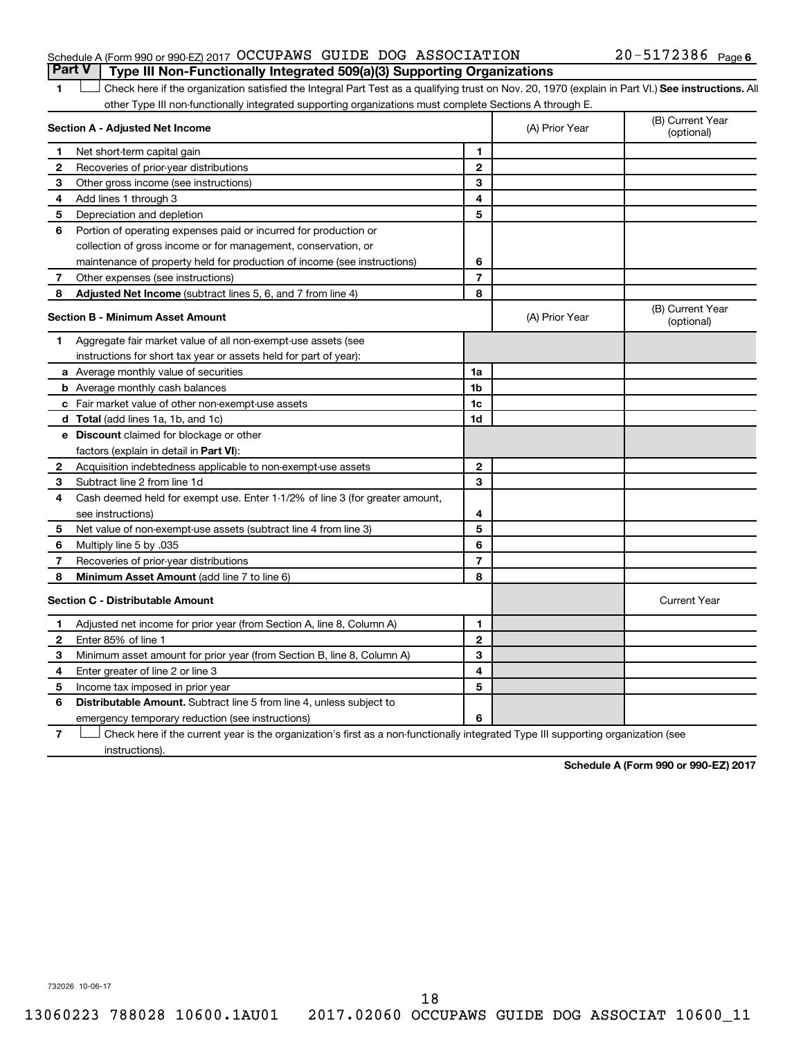# Schedule A (Form 990 or 990-EZ) 2017  $\rm OCCUPANS$  GUIDE DOG  $\rm ASSOCIATION$   $20-5172386$   $_{\rm Page}$

# 1 **Letter See instructions.** All Check here if the organization satisfied the Integral Part Test as a qualifying trust on Nov. 20, 1970 (explain in Part VI.) See instructions. All other Type III non-functionally integrated supporting organizations must complete Sections A through E. **Part V Type III Non-Functionally Integrated 509(a)(3) Supporting Organizations**

| Section A - Adjusted Net Income |                                                                              |                | (A) Prior Year | (B) Current Year<br>(optional) |
|---------------------------------|------------------------------------------------------------------------------|----------------|----------------|--------------------------------|
| 1.                              | Net short-term capital gain                                                  | 1              |                |                                |
| 2                               | Recoveries of prior-year distributions                                       | $\overline{2}$ |                |                                |
| з                               | Other gross income (see instructions)                                        | 3              |                |                                |
| 4                               | Add lines 1 through 3                                                        | 4              |                |                                |
| 5                               | Depreciation and depletion                                                   | 5              |                |                                |
| 6                               | Portion of operating expenses paid or incurred for production or             |                |                |                                |
|                                 | collection of gross income or for management, conservation, or               |                |                |                                |
|                                 | maintenance of property held for production of income (see instructions)     | 6              |                |                                |
| 7                               | Other expenses (see instructions)                                            | $\overline{7}$ |                |                                |
| 8                               | Adjusted Net Income (subtract lines 5, 6, and 7 from line 4)                 | 8              |                |                                |
|                                 | <b>Section B - Minimum Asset Amount</b>                                      |                | (A) Prior Year | (B) Current Year<br>(optional) |
| 1.                              | Aggregate fair market value of all non-exempt-use assets (see                |                |                |                                |
|                                 | instructions for short tax year or assets held for part of year):            |                |                |                                |
|                                 | a Average monthly value of securities                                        | 1a             |                |                                |
|                                 | <b>b</b> Average monthly cash balances                                       | 1 <sub>b</sub> |                |                                |
|                                 | c Fair market value of other non-exempt-use assets                           | 1c             |                |                                |
|                                 | <b>d</b> Total (add lines 1a, 1b, and 1c)                                    | 1d             |                |                                |
|                                 | e Discount claimed for blockage or other                                     |                |                |                                |
|                                 | factors (explain in detail in <b>Part VI</b> ):                              |                |                |                                |
| 2                               | Acquisition indebtedness applicable to non-exempt-use assets                 | $\mathbf{2}$   |                |                                |
| З                               | Subtract line 2 from line 1d                                                 | 3              |                |                                |
| 4                               | Cash deemed held for exempt use. Enter 1-1/2% of line 3 (for greater amount, |                |                |                                |
|                                 | see instructions)                                                            | 4              |                |                                |
| 5                               | Net value of non-exempt-use assets (subtract line 4 from line 3)             | 5              |                |                                |
| 6                               | Multiply line 5 by .035                                                      | 6              |                |                                |
| 7                               | Recoveries of prior-year distributions                                       | $\overline{7}$ |                |                                |
| 8                               | Minimum Asset Amount (add line 7 to line 6)                                  | 8              |                |                                |
|                                 | <b>Section C - Distributable Amount</b>                                      |                |                | <b>Current Year</b>            |
| $\mathbf 1$                     | Adjusted net income for prior year (from Section A, line 8, Column A)        | 1              |                |                                |
| $\mathbf{2}$                    | Enter 85% of line 1                                                          | $\mathbf{2}$   |                |                                |
| з                               | Minimum asset amount for prior year (from Section B, line 8, Column A)       | 3              |                |                                |
| 4                               | Enter greater of line 2 or line 3                                            | 4              |                |                                |
| 5                               | Income tax imposed in prior year                                             | 5              |                |                                |
| 6                               | Distributable Amount. Subtract line 5 from line 4, unless subject to         |                |                |                                |
|                                 | emergency temporary reduction (see instructions)                             | 6              |                |                                |
|                                 |                                                                              |                |                |                                |

**7** Check here if the current year is the organization's first as a non-functionally integrated Type III supporting organization (see † instructions).

**Schedule A (Form 990 or 990-EZ) 2017**

732026 10-06-17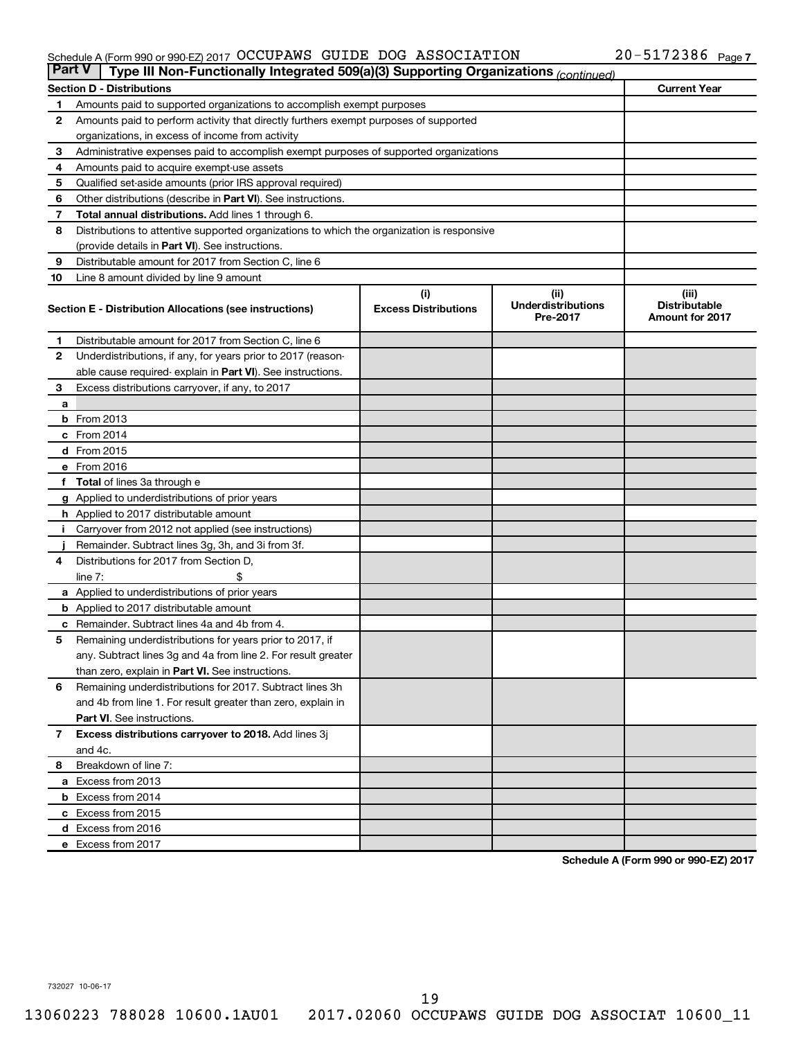#### Schedule A (Form 990 or 990-EZ) 2017 OCCUPAWS GUIDE DOG ASSOCIATION 2 U - 5 I 7 Z 3 8 0 Page OCCUPAWS GUIDE DOG ASSOCIATION 20-5172386

| <b>Part V</b> | Type III Non-Functionally Integrated 509(a)(3) Supporting Organizations (continued)        |                             |                                       |                                                |  |  |
|---------------|--------------------------------------------------------------------------------------------|-----------------------------|---------------------------------------|------------------------------------------------|--|--|
|               | <b>Section D - Distributions</b>                                                           |                             |                                       | <b>Current Year</b>                            |  |  |
| 1             | Amounts paid to supported organizations to accomplish exempt purposes                      |                             |                                       |                                                |  |  |
| 2             | Amounts paid to perform activity that directly furthers exempt purposes of supported       |                             |                                       |                                                |  |  |
|               | organizations, in excess of income from activity                                           |                             |                                       |                                                |  |  |
| 3             | Administrative expenses paid to accomplish exempt purposes of supported organizations      |                             |                                       |                                                |  |  |
| 4             | Amounts paid to acquire exempt-use assets                                                  |                             |                                       |                                                |  |  |
| 5             | Qualified set-aside amounts (prior IRS approval required)                                  |                             |                                       |                                                |  |  |
| 6             | Other distributions (describe in Part VI). See instructions.                               |                             |                                       |                                                |  |  |
| 7             | Total annual distributions. Add lines 1 through 6.                                         |                             |                                       |                                                |  |  |
| 8             | Distributions to attentive supported organizations to which the organization is responsive |                             |                                       |                                                |  |  |
|               | (provide details in Part VI). See instructions.                                            |                             |                                       |                                                |  |  |
| 9             | Distributable amount for 2017 from Section C, line 6                                       |                             |                                       |                                                |  |  |
| 10            | Line 8 amount divided by line 9 amount                                                     |                             |                                       |                                                |  |  |
|               |                                                                                            | (i)                         | (ii)                                  | (iii)                                          |  |  |
|               | Section E - Distribution Allocations (see instructions)                                    | <b>Excess Distributions</b> | <b>Underdistributions</b><br>Pre-2017 | <b>Distributable</b><br><b>Amount for 2017</b> |  |  |
| 1.            | Distributable amount for 2017 from Section C, line 6                                       |                             |                                       |                                                |  |  |
| $\mathbf{2}$  | Underdistributions, if any, for years prior to 2017 (reason-                               |                             |                                       |                                                |  |  |
|               | able cause required- explain in Part VI). See instructions.                                |                             |                                       |                                                |  |  |
| 3             | Excess distributions carryover, if any, to 2017                                            |                             |                                       |                                                |  |  |
| a             |                                                                                            |                             |                                       |                                                |  |  |
|               | <b>b</b> From 2013                                                                         |                             |                                       |                                                |  |  |
|               | c From 2014                                                                                |                             |                                       |                                                |  |  |
|               | d From 2015                                                                                |                             |                                       |                                                |  |  |
|               | e From 2016                                                                                |                             |                                       |                                                |  |  |
|               | f Total of lines 3a through e                                                              |                             |                                       |                                                |  |  |
|               | <b>g</b> Applied to underdistributions of prior years                                      |                             |                                       |                                                |  |  |
|               | <b>h</b> Applied to 2017 distributable amount                                              |                             |                                       |                                                |  |  |
|               | Carryover from 2012 not applied (see instructions)                                         |                             |                                       |                                                |  |  |
|               | Remainder. Subtract lines 3g, 3h, and 3i from 3f.                                          |                             |                                       |                                                |  |  |
| 4             | Distributions for 2017 from Section D,                                                     |                             |                                       |                                                |  |  |
|               | $line 7$ :                                                                                 |                             |                                       |                                                |  |  |
|               | a Applied to underdistributions of prior years                                             |                             |                                       |                                                |  |  |
|               | <b>b</b> Applied to 2017 distributable amount                                              |                             |                                       |                                                |  |  |
| с             | Remainder. Subtract lines 4a and 4b from 4.                                                |                             |                                       |                                                |  |  |
| 5             | Remaining underdistributions for years prior to 2017, if                                   |                             |                                       |                                                |  |  |
|               | any. Subtract lines 3g and 4a from line 2. For result greater                              |                             |                                       |                                                |  |  |
|               | than zero, explain in Part VI. See instructions.                                           |                             |                                       |                                                |  |  |
| 6             | Remaining underdistributions for 2017. Subtract lines 3h                                   |                             |                                       |                                                |  |  |
|               | and 4b from line 1. For result greater than zero, explain in                               |                             |                                       |                                                |  |  |
|               | <b>Part VI.</b> See instructions.                                                          |                             |                                       |                                                |  |  |
| $\mathbf{7}$  | Excess distributions carryover to 2018. Add lines 3j                                       |                             |                                       |                                                |  |  |
|               | and 4c.                                                                                    |                             |                                       |                                                |  |  |
| 8             | Breakdown of line 7:                                                                       |                             |                                       |                                                |  |  |
|               | a Excess from 2013                                                                         |                             |                                       |                                                |  |  |
|               | <b>b</b> Excess from 2014                                                                  |                             |                                       |                                                |  |  |
|               | c Excess from 2015                                                                         |                             |                                       |                                                |  |  |
|               | d Excess from 2016                                                                         |                             |                                       |                                                |  |  |
|               | e Excess from 2017                                                                         |                             |                                       |                                                |  |  |

**Schedule A (Form 990 or 990-EZ) 2017**

732027 10-06-17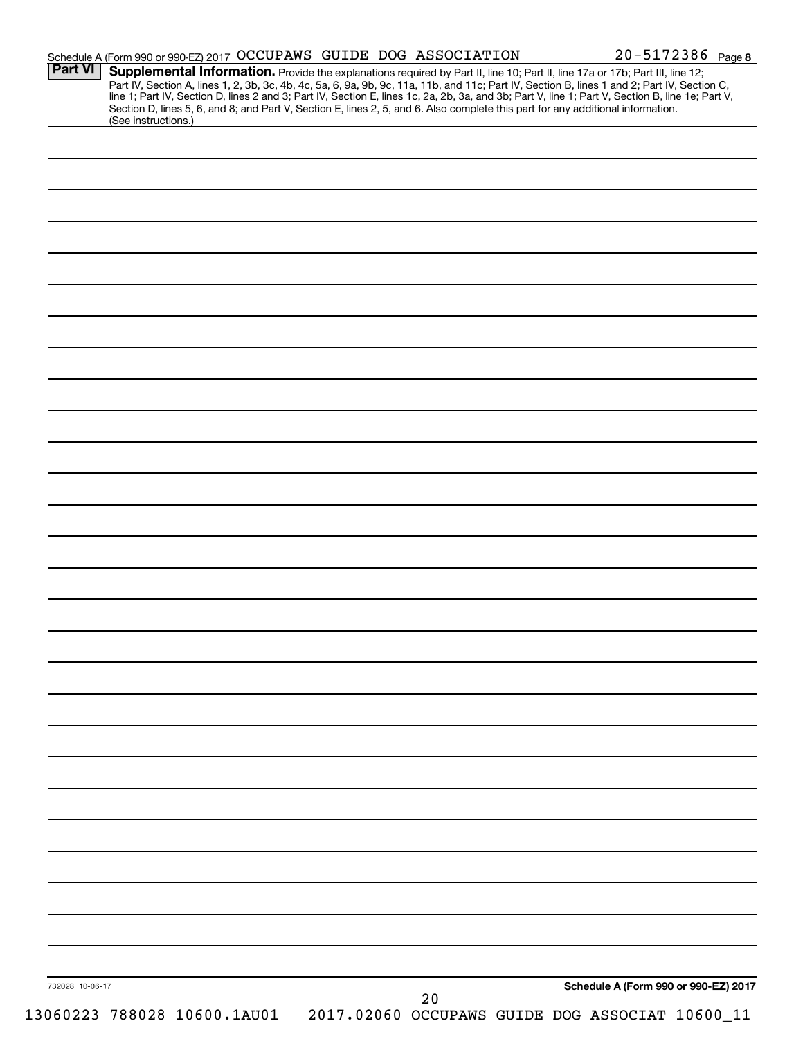| <b>Part VI</b>  | Schedule A (Form 990 or 990-EZ) 2017 OCCUPAWS GUIDE DOG ASSOCIATION                                                                                                                                                                                                           |    | 20-5172386 Page 8                               |
|-----------------|-------------------------------------------------------------------------------------------------------------------------------------------------------------------------------------------------------------------------------------------------------------------------------|----|-------------------------------------------------|
|                 | Supplemental Information. Provide the explanations required by Part II, line 10; Part II, line 17a or 17b; Part III, line 12;<br>Part IV, Section A, lines 1, 2, 3b, 3c, 4b, 4c, 5a, 6, 9a, 9b, 9c, 11a, 11b, and 11c; Part IV, Section B, lines 1 and 2; Part IV, Section C, |    |                                                 |
|                 | line 1; Part IV, Section D, lines 2 and 3; Part IV, Section E, lines 1c, 2a, 2b, 3a, and 3b; Part V, line 1; Part V, Section B, line 1e; Part V,                                                                                                                              |    |                                                 |
|                 | Section D, lines 5, 6, and 8; and Part V, Section E, lines 2, 5, and 6. Also complete this part for any additional information.<br>(See instructions.)                                                                                                                        |    |                                                 |
|                 |                                                                                                                                                                                                                                                                               |    |                                                 |
|                 |                                                                                                                                                                                                                                                                               |    |                                                 |
|                 |                                                                                                                                                                                                                                                                               |    |                                                 |
|                 |                                                                                                                                                                                                                                                                               |    |                                                 |
|                 |                                                                                                                                                                                                                                                                               |    |                                                 |
|                 |                                                                                                                                                                                                                                                                               |    |                                                 |
|                 |                                                                                                                                                                                                                                                                               |    |                                                 |
|                 |                                                                                                                                                                                                                                                                               |    |                                                 |
|                 |                                                                                                                                                                                                                                                                               |    |                                                 |
|                 |                                                                                                                                                                                                                                                                               |    |                                                 |
|                 |                                                                                                                                                                                                                                                                               |    |                                                 |
|                 |                                                                                                                                                                                                                                                                               |    |                                                 |
|                 |                                                                                                                                                                                                                                                                               |    |                                                 |
|                 |                                                                                                                                                                                                                                                                               |    |                                                 |
|                 |                                                                                                                                                                                                                                                                               |    |                                                 |
|                 |                                                                                                                                                                                                                                                                               |    |                                                 |
|                 |                                                                                                                                                                                                                                                                               |    |                                                 |
|                 |                                                                                                                                                                                                                                                                               |    |                                                 |
|                 |                                                                                                                                                                                                                                                                               |    |                                                 |
|                 |                                                                                                                                                                                                                                                                               |    |                                                 |
|                 |                                                                                                                                                                                                                                                                               |    |                                                 |
|                 |                                                                                                                                                                                                                                                                               |    |                                                 |
|                 |                                                                                                                                                                                                                                                                               |    |                                                 |
|                 |                                                                                                                                                                                                                                                                               |    |                                                 |
|                 |                                                                                                                                                                                                                                                                               |    |                                                 |
|                 |                                                                                                                                                                                                                                                                               |    |                                                 |
|                 |                                                                                                                                                                                                                                                                               |    |                                                 |
|                 |                                                                                                                                                                                                                                                                               |    |                                                 |
|                 |                                                                                                                                                                                                                                                                               |    |                                                 |
|                 |                                                                                                                                                                                                                                                                               |    |                                                 |
|                 |                                                                                                                                                                                                                                                                               |    |                                                 |
|                 |                                                                                                                                                                                                                                                                               |    |                                                 |
|                 |                                                                                                                                                                                                                                                                               |    |                                                 |
|                 |                                                                                                                                                                                                                                                                               |    |                                                 |
|                 |                                                                                                                                                                                                                                                                               |    |                                                 |
|                 |                                                                                                                                                                                                                                                                               |    |                                                 |
|                 |                                                                                                                                                                                                                                                                               |    |                                                 |
|                 |                                                                                                                                                                                                                                                                               |    |                                                 |
|                 |                                                                                                                                                                                                                                                                               |    |                                                 |
|                 |                                                                                                                                                                                                                                                                               |    |                                                 |
|                 |                                                                                                                                                                                                                                                                               |    |                                                 |
|                 |                                                                                                                                                                                                                                                                               |    |                                                 |
|                 |                                                                                                                                                                                                                                                                               |    |                                                 |
|                 |                                                                                                                                                                                                                                                                               |    |                                                 |
|                 |                                                                                                                                                                                                                                                                               |    |                                                 |
|                 |                                                                                                                                                                                                                                                                               |    |                                                 |
|                 |                                                                                                                                                                                                                                                                               |    |                                                 |
|                 |                                                                                                                                                                                                                                                                               |    |                                                 |
|                 |                                                                                                                                                                                                                                                                               |    |                                                 |
|                 |                                                                                                                                                                                                                                                                               |    |                                                 |
|                 |                                                                                                                                                                                                                                                                               |    |                                                 |
|                 |                                                                                                                                                                                                                                                                               |    |                                                 |
|                 |                                                                                                                                                                                                                                                                               |    |                                                 |
|                 |                                                                                                                                                                                                                                                                               |    |                                                 |
| 732028 10-06-17 |                                                                                                                                                                                                                                                                               |    | Schedule A (Form 990 or 990-EZ) 2017            |
|                 | 13060223 788028 10600.1AU01                                                                                                                                                                                                                                                   | 20 | 2017.02060 OCCUPAWS GUIDE DOG ASSOCIAT 10600_11 |
|                 |                                                                                                                                                                                                                                                                               |    |                                                 |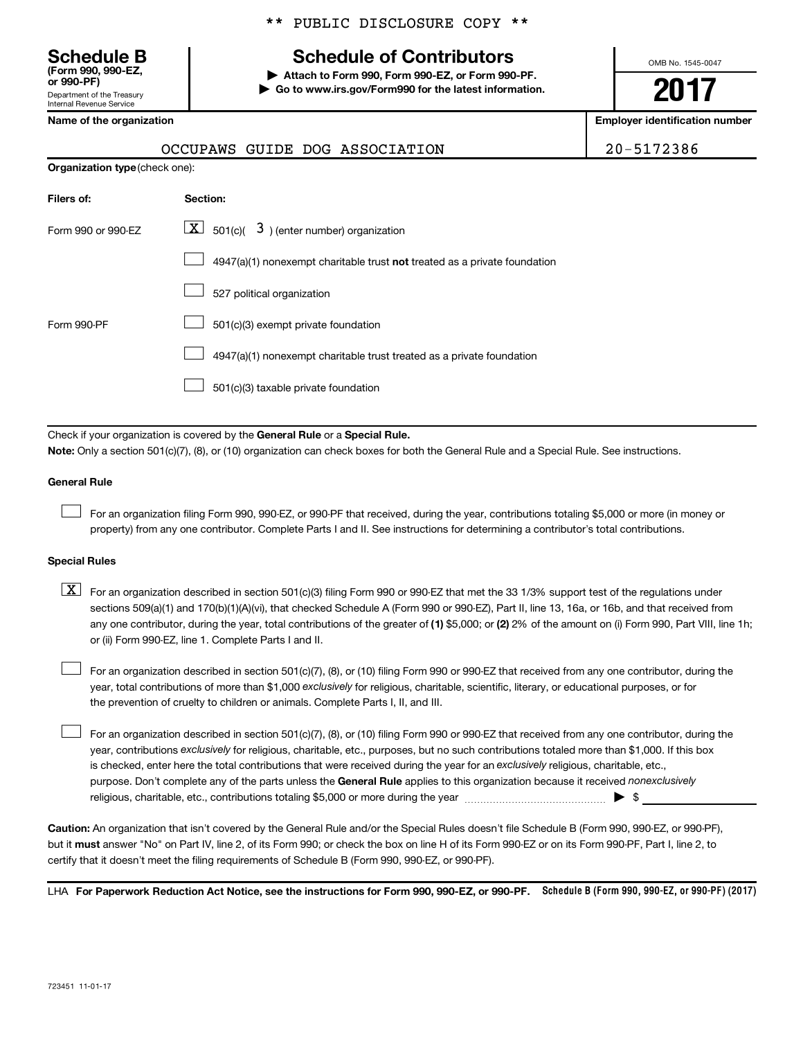Department of the Treasury Internal Revenue Service **(Form 990, 990-EZ,**

**Organization type** (check one):

# \*\* PUBLIC DISCLOSURE COPY \*\*

# **Schedule B Schedule of Contributors**

**or 990-PF) | Attach to Form 990, Form 990-EZ, or Form 990-PF. | Go to www.irs.gov/Form990 for the latest information.** OMB No. 1545-0047

# **2017**

**Name of the organization Employer identification number**

|          |  | OCCUPAWS GUIDE DOG ASSOCIATION | 20-5172386 |
|----------|--|--------------------------------|------------|
| ck one): |  |                                |            |

| Filers of:         | Section:                                                                  |
|--------------------|---------------------------------------------------------------------------|
| Form 990 or 990-EZ | $\lfloor \underline{X} \rfloor$ 501(c)( 3) (enter number) organization    |
|                    | 4947(a)(1) nonexempt charitable trust not treated as a private foundation |
|                    | 527 political organization                                                |
| Form 990-PF        | 501(c)(3) exempt private foundation                                       |
|                    | 4947(a)(1) nonexempt charitable trust treated as a private foundation     |
|                    | 501(c)(3) taxable private foundation                                      |

Check if your organization is covered by the General Rule or a Special Rule. **Note:**  Only a section 501(c)(7), (8), or (10) organization can check boxes for both the General Rule and a Special Rule. See instructions.

### **General Rule**

 $\Box$ 

For an organization filing Form 990, 990-EZ, or 990-PF that received, during the year, contributions totaling \$5,000 or more (in money or property) from any one contributor. Complete Parts I and II. See instructions for determining a contributor's total contributions.

### **Special Rules**

any one contributor, during the year, total contributions of the greater of (1) \$5,000; or (2) 2% of the amount on (i) Form 990, Part VIII, line 1h;  $\boxed{\text{X}}$  For an organization described in section 501(c)(3) filing Form 990 or 990-EZ that met the 33 1/3% support test of the regulations under sections 509(a)(1) and 170(b)(1)(A)(vi), that checked Schedule A (Form 990 or 990-EZ), Part II, line 13, 16a, or 16b, and that received from or (ii) Form 990-EZ, line 1. Complete Parts I and II.

year, total contributions of more than \$1,000 *exclusively* for religious, charitable, scientific, literary, or educational purposes, or for For an organization described in section 501(c)(7), (8), or (10) filing Form 990 or 990-EZ that received from any one contributor, during the the prevention of cruelty to children or animals. Complete Parts I, II, and III.  $\Box$ 

purpose. Don't complete any of the parts unless the General Rule applies to this organization because it received nonexclusively year, contributions exclusively for religious, charitable, etc., purposes, but no such contributions totaled more than \$1,000. If this box is checked, enter here the total contributions that were received during the year for an exclusively religious, charitable, etc., For an organization described in section 501(c)(7), (8), or (10) filing Form 990 or 990-EZ that received from any one contributor, during the religious, charitable, etc., contributions totaling \$5,000 or more during the year  $\ldots$  $\ldots$  $\ldots$  $\ldots$  $\ldots$  $\ldots$  $\Box$ 

**Caution:**  An organization that isn't covered by the General Rule and/or the Special Rules doesn't file Schedule B (Form 990, 990-EZ, or 990-PF),  **must** but it answer "No" on Part IV, line 2, of its Form 990; or check the box on line H of its Form 990-EZ or on its Form 990-PF, Part I, line 2, to certify that it doesn't meet the filing requirements of Schedule B (Form 990, 990-EZ, or 990-PF).

LHA For Paperwork Reduction Act Notice, see the instructions for Form 990, 990-EZ, or 990-PF. Schedule B (Form 990, 990-EZ, or 990-PF) (2017)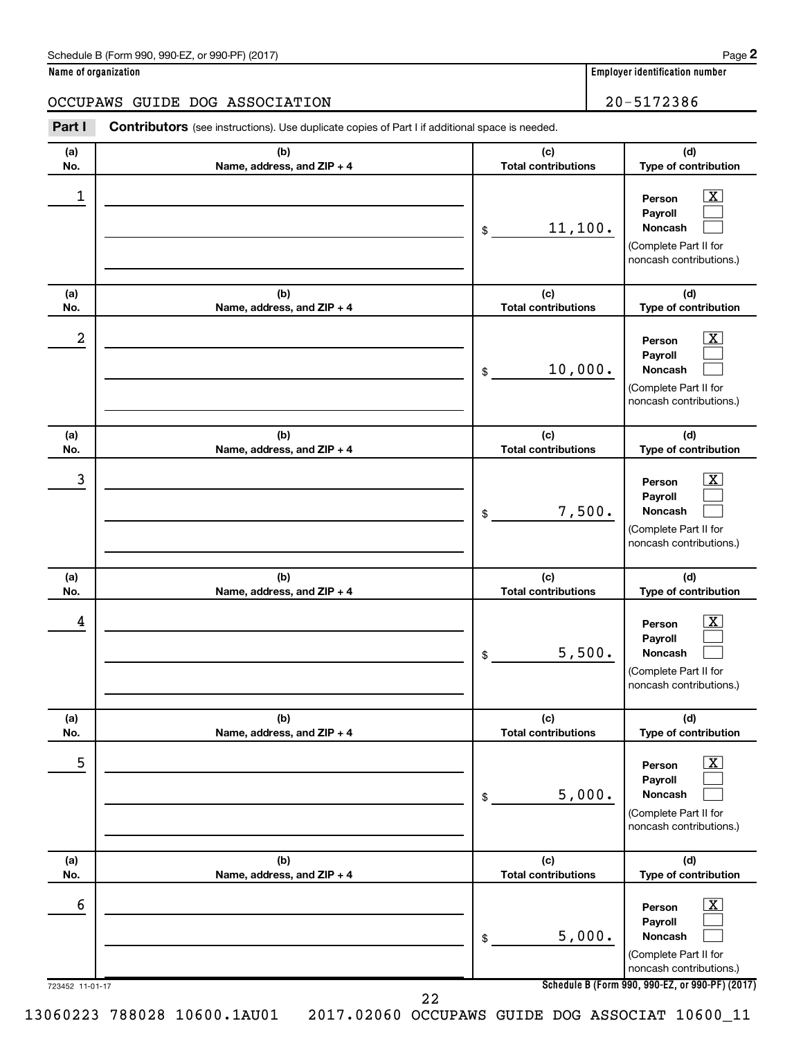| Schedule B (Form 990, 990-EZ, or 990-PF) (2017) | Page |
|-------------------------------------------------|------|
|-------------------------------------------------|------|

| Name of organization |  |  |
|----------------------|--|--|
|----------------------|--|--|

# OCCUPAWS GUIDE DOG ASSOCIATION 20-5172386

| (a) | (b)                        | (c)                        | (d)                                                                                                                |
|-----|----------------------------|----------------------------|--------------------------------------------------------------------------------------------------------------------|
| No. | Name, address, and ZIP + 4 | <b>Total contributions</b> | Type of contribution                                                                                               |
| 1   |                            | 11,100.<br>\$              | $\overline{\mathbf{X}}$<br>Person<br>Payroll<br><b>Noncash</b><br>(Complete Part II for<br>noncash contributions.) |
| (a) | (b)                        | (c)                        | (d)                                                                                                                |
| No. | Name, address, and ZIP + 4 | <b>Total contributions</b> | Type of contribution                                                                                               |
| 2   |                            | 10,000.<br>\$              | $\mathbf{X}$<br>Person<br>Payroll<br><b>Noncash</b><br>(Complete Part II for<br>noncash contributions.)            |
| (a) | (b)                        | (c)                        | (d)                                                                                                                |
| No. | Name, address, and ZIP + 4 | <b>Total contributions</b> | Type of contribution                                                                                               |
| 3   |                            | 7,500.<br>\$               | $\overline{\mathbf{X}}$<br>Person<br>Payroll<br><b>Noncash</b><br>(Complete Part II for<br>noncash contributions.) |
| (a) | (b)                        | (c)                        | (d)                                                                                                                |
| No. | Name, address, and ZIP + 4 | <b>Total contributions</b> | Type of contribution                                                                                               |
| 4   |                            | 5,500.<br>\$               | $\mathbf{X}$<br>Person<br>Payroll<br><b>Noncash</b><br>(Complete Part II for<br>noncash contributions.)            |
| (a) | (b)                        | (c)                        | (d)                                                                                                                |
| No. | Name, address, and ZIP + 4 | <b>Total contributions</b> | Type of contribution                                                                                               |
| 5   |                            | 5,000.<br>\$               | $\mathbf{X}$<br>Person<br>Payroll<br><b>Noncash</b><br>(Complete Part II for<br>noncash contributions.)            |
| (a) | (b)                        | (c)                        | (d)                                                                                                                |
| No. | Name, address, and ZIP + 4 | <b>Total contributions</b> | Type of contribution                                                                                               |
| 6   |                            | 5,000.<br>\$               | $\mathbf{X}$<br>Person<br>Payroll<br><b>Noncash</b><br>(Complete Part II for<br>noncash contributions.)            |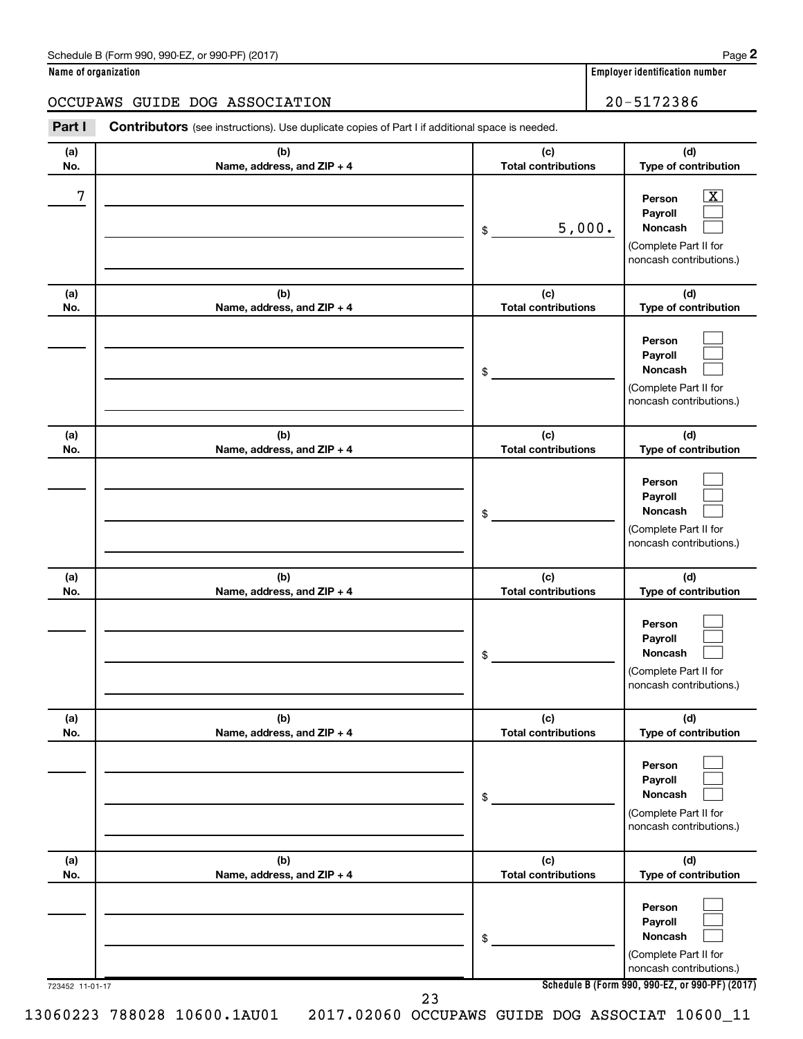| Schedule B (Form 990, 990-EZ, or 990-PF) (2017) | Page |
|-------------------------------------------------|------|
|-------------------------------------------------|------|

|  | Name of organization |
|--|----------------------|
|  |                      |

## OCCUPAWS GUIDE DOG ASSOCIATION 20-5172386

723452 11-01-17 **Schedule B (Form 990, 990-EZ, or 990-PF) (2017) (a) No. (b) Name, address, and ZIP + 4 (c) Total contributions (d) Type of contribution Person Payroll Noncash (a) No. (b) Name, address, and ZIP + 4 (c) Total contributions (d) Type of contribution Person Payroll Noncash (a) No. (b) Name, address, and ZIP + 4 (c) Total contributions (d) Type of contribution Person Payroll Noncash (a) No. (b) Name, address, and ZIP + 4 (c) Total contributions (d) Type of contribution Person Payroll Noncash (a) No. (b) Name, address, and ZIP + 4 (c) Total contributions (d) Type of contribution Person Payroll Noncash (a) No. (b) Name, address, and ZIP + 4 (c) Total contributions (d) Type of contribution Person Payroll Noncash Part I** Contributors (see instructions). Use duplicate copies of Part I if additional space is needed. \$ (Complete Part II for noncash contributions.) \$ (Complete Part II for noncash contributions.) \$ (Complete Part II for noncash contributions.) \$ (Complete Part II for noncash contributions.) \$ (Complete Part II for noncash contributions.) \$ (Complete Part II for noncash contributions.)  $\boxed{\textbf{X}}$  $\Box$  $\Box$  $\Box$  $\Box$  $\Box$  $\Box$  $\Box$  $\Box$  $\Box$  $\Box$  $\Box$  $\Box$  $\Box$  $\Box$  $\Box$  $\Box$  $\Box$  $7$   $|$  Person  $\overline{\text{X}}$ 5,000.

23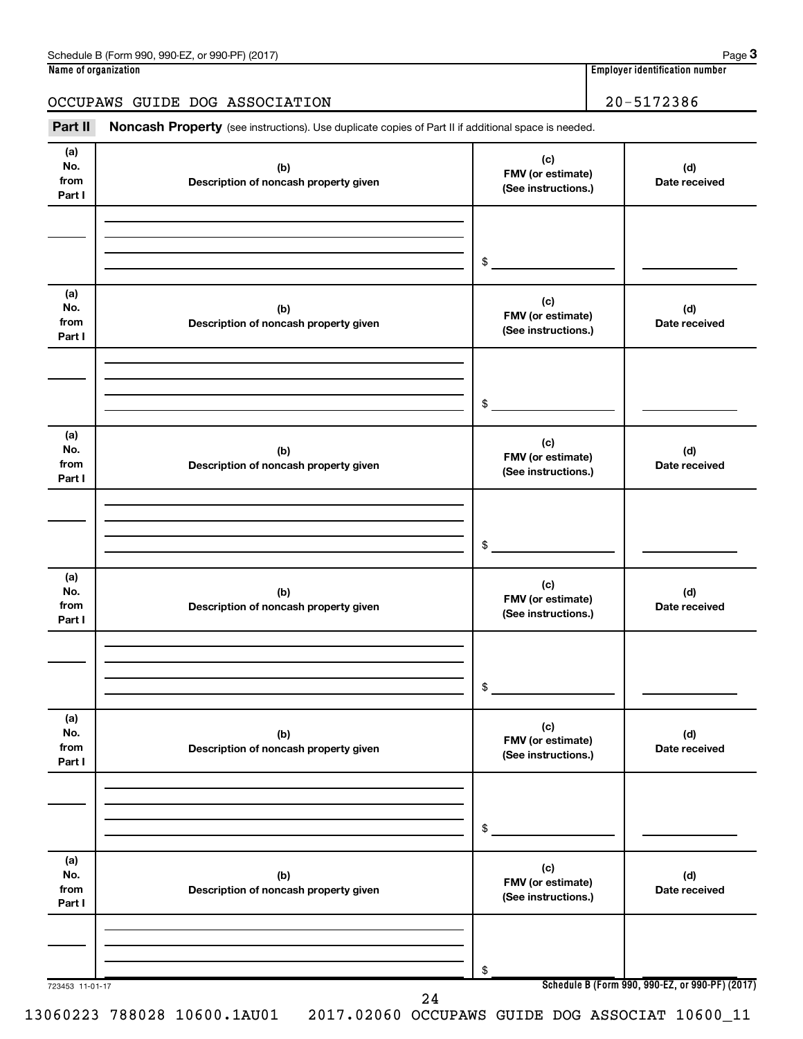# OCCUPAWS GUIDE DOG ASSOCIATION 20-5172386

Part II Noncash Property (see instructions). Use duplicate copies of Part II if additional space is needed.

| (a)                          |                                              | (c)                                             |                                                 |
|------------------------------|----------------------------------------------|-------------------------------------------------|-------------------------------------------------|
| No.<br>from<br>Part I        | (b)<br>Description of noncash property given | FMV (or estimate)<br>(See instructions.)        | (d)<br>Date received                            |
|                              |                                              |                                                 |                                                 |
|                              |                                              | $\frac{1}{2}$                                   |                                                 |
| (a)                          |                                              | (c)                                             |                                                 |
| No.<br>from<br>Part I        | (b)<br>Description of noncash property given | FMV (or estimate)<br>(See instructions.)        | (d)<br>Date received                            |
|                              |                                              |                                                 |                                                 |
|                              |                                              | $\frac{1}{2}$                                   |                                                 |
| (a)<br>No.<br>from<br>Part I | (b)<br>Description of noncash property given | (c)<br>FMV (or estimate)<br>(See instructions.) | (d)<br>Date received                            |
|                              |                                              |                                                 |                                                 |
|                              |                                              | $\frac{1}{2}$                                   |                                                 |
| (a)<br>No.<br>from<br>Part I | (b)<br>Description of noncash property given | (c)<br>FMV (or estimate)<br>(See instructions.) | (d)<br>Date received                            |
|                              |                                              |                                                 |                                                 |
|                              |                                              | $\frac{1}{2}$                                   |                                                 |
| (a)<br>No.<br>from<br>Part I | (b)<br>Description of noncash property given | (c)<br>FMV (or estimate)<br>(See instructions.) | (d)<br>Date received                            |
|                              |                                              |                                                 |                                                 |
|                              |                                              | \$                                              |                                                 |
| (a)<br>No.<br>from<br>Part I | (b)<br>Description of noncash property given | (c)<br>FMV (or estimate)<br>(See instructions.) | (d)<br>Date received                            |
|                              |                                              |                                                 |                                                 |
|                              |                                              | \$                                              |                                                 |
| 723453 11-01-17              | 24                                           |                                                 | Schedule B (Form 990, 990-EZ, or 990-PF) (2017) |

13060223 788028 10600.1AU01 2017.02060 OCCUPAWS GUIDE DOG ASSOCIAT 10600\_11

**3**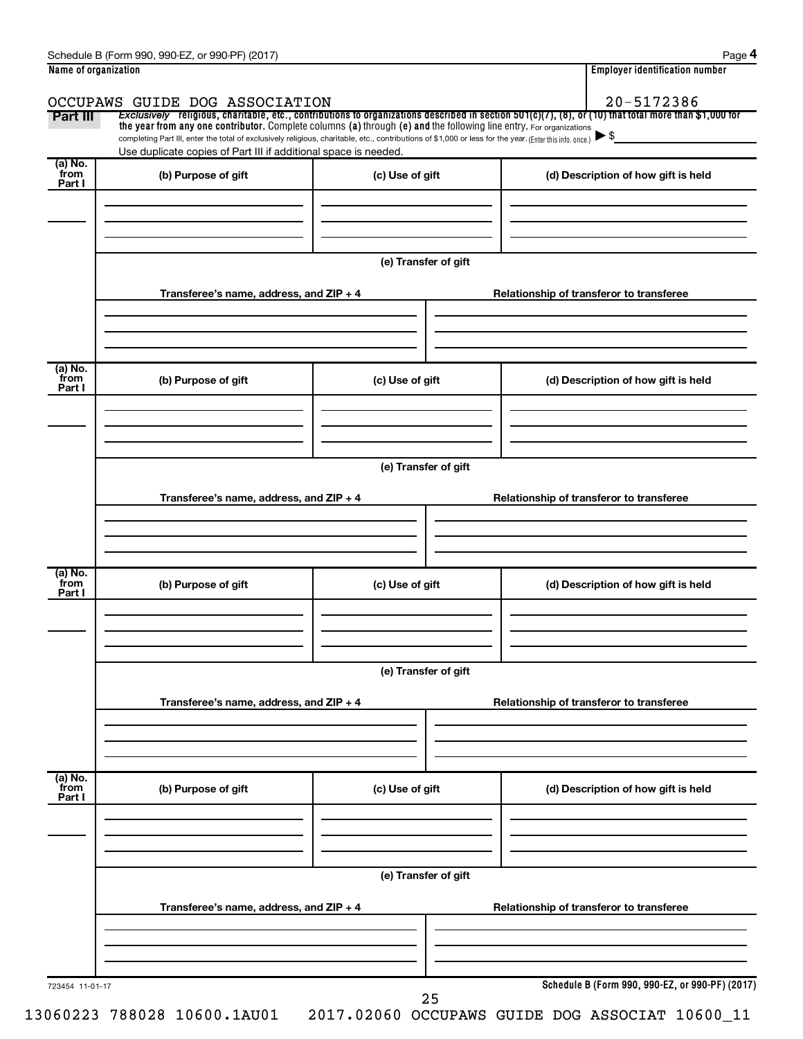| Part III                   | OCCUPAWS GUIDE DOG ASSOCIATION                                                                                                                                                                                                                                                                                                                     |                      | 20-5172386<br>Exclusively religious, charitable, etc., contributions to organizations described in section $501(c)(7)$ , (8), or (10) that total more than \$1,000 for |  |
|----------------------------|----------------------------------------------------------------------------------------------------------------------------------------------------------------------------------------------------------------------------------------------------------------------------------------------------------------------------------------------------|----------------------|------------------------------------------------------------------------------------------------------------------------------------------------------------------------|--|
|                            | the year from any one contributor. Complete columns (a) through (e) and the following line entry. For organizations<br>completing Part III, enter the total of exclusively religious, charitable, etc., contributions of \$1,000 or less for the year. (Enter this info. once.)<br>Use duplicate copies of Part III if additional space is needed. |                      | $\blacktriangleright$ \$                                                                                                                                               |  |
| (a) No.<br>`from<br>Part I | (b) Purpose of gift                                                                                                                                                                                                                                                                                                                                | (c) Use of gift      | (d) Description of how gift is held                                                                                                                                    |  |
|                            |                                                                                                                                                                                                                                                                                                                                                    | (e) Transfer of gift |                                                                                                                                                                        |  |
|                            | Transferee's name, address, and $ZIP + 4$                                                                                                                                                                                                                                                                                                          |                      | Relationship of transferor to transferee                                                                                                                               |  |
| (a) No.<br>from<br>Part I  | (b) Purpose of gift                                                                                                                                                                                                                                                                                                                                | (c) Use of gift      | (d) Description of how gift is held                                                                                                                                    |  |
|                            | Transferee's name, address, and $ZIP + 4$                                                                                                                                                                                                                                                                                                          | (e) Transfer of gift | Relationship of transferor to transferee                                                                                                                               |  |
|                            |                                                                                                                                                                                                                                                                                                                                                    |                      |                                                                                                                                                                        |  |
| (a) No.<br>from<br>Part I  | (b) Purpose of gift                                                                                                                                                                                                                                                                                                                                | (c) Use of gift      | (d) Description of how gift is held                                                                                                                                    |  |
|                            |                                                                                                                                                                                                                                                                                                                                                    | (e) Transfer of gift |                                                                                                                                                                        |  |
|                            | Transferee's name, address, and ZIP + 4                                                                                                                                                                                                                                                                                                            |                      | Relationship of transferor to transferee                                                                                                                               |  |
| (a) No.<br>from<br>Part I  | (b) Purpose of gift                                                                                                                                                                                                                                                                                                                                | (c) Use of gift      | (d) Description of how gift is held                                                                                                                                    |  |
|                            |                                                                                                                                                                                                                                                                                                                                                    |                      |                                                                                                                                                                        |  |
|                            | Transferee's name, address, and ZIP + 4                                                                                                                                                                                                                                                                                                            | (e) Transfer of gift | Relationship of transferor to transferee                                                                                                                               |  |
|                            |                                                                                                                                                                                                                                                                                                                                                    |                      |                                                                                                                                                                        |  |
| 723454 11-01-17            |                                                                                                                                                                                                                                                                                                                                                    | 25                   | Schedule B (Form 990, 990-EZ, or 990-PF) (2017)                                                                                                                        |  |

 $Schendule B (Form 990, 990E7 or 990E) (2017)$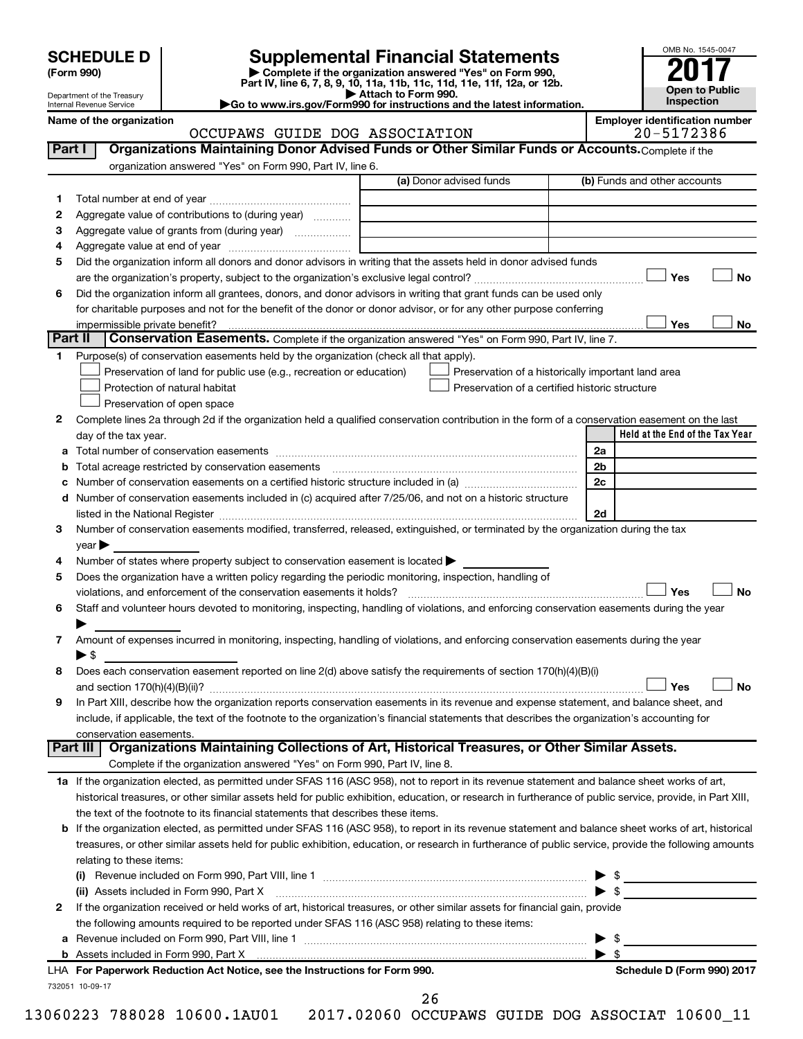| <b>SCHEDULE D</b> |  |
|-------------------|--|
|-------------------|--|

**2**

**b**

# **SCHEDULE D Supplemental Financial Statements**<br> **Form 990 2017**<br> **Part IV** line 6.7.8.9.10, 11a, 11b, 11d, 11d, 11d, 11d, 11d, 12a, 0r, 12b

**(Form 990) | Complete if the organization answered "Yes" on Form 990, Part IV, line 6, 7, 8, 9, 10, 11a, 11b, 11c, 11d, 11e, 11f, 12a, or 12b.**

**| Attach to Form 990. |Go to www.irs.gov/Form990 for instructions and the latest information.**



Department of the Treasury

|         | Internal Revenue Service |                                                                                                                                                           | Go to www.irs.gov/Form990 for instructions and the latest information. |                                                     | <b>Inspection</b>               |           |
|---------|--------------------------|-----------------------------------------------------------------------------------------------------------------------------------------------------------|------------------------------------------------------------------------|-----------------------------------------------------|---------------------------------|-----------|
|         | Name of the organization | OCCUPAWS GUIDE DOG ASSOCIATION                                                                                                                            |                                                                        | <b>Employer identification number</b><br>20-5172386 |                                 |           |
| Part I  |                          | Organizations Maintaining Donor Advised Funds or Other Similar Funds or Accounts. Complete if the                                                         |                                                                        |                                                     |                                 |           |
|         |                          | organization answered "Yes" on Form 990, Part IV, line 6.                                                                                                 |                                                                        |                                                     |                                 |           |
|         |                          |                                                                                                                                                           | (a) Donor advised funds                                                |                                                     | (b) Funds and other accounts    |           |
| 1       |                          |                                                                                                                                                           |                                                                        |                                                     |                                 |           |
| 2       |                          | Aggregate value of contributions to (during year)                                                                                                         |                                                                        |                                                     |                                 |           |
| з       |                          | Aggregate value of grants from (during year)                                                                                                              |                                                                        |                                                     |                                 |           |
| 4       |                          |                                                                                                                                                           |                                                                        |                                                     |                                 |           |
| 5       |                          | Did the organization inform all donors and donor advisors in writing that the assets held in donor advised funds                                          |                                                                        |                                                     |                                 |           |
|         |                          |                                                                                                                                                           |                                                                        |                                                     | Yes                             | <b>No</b> |
| 6       |                          | Did the organization inform all grantees, donors, and donor advisors in writing that grant funds can be used only                                         |                                                                        |                                                     |                                 |           |
|         |                          | for charitable purposes and not for the benefit of the donor or donor advisor, or for any other purpose conferring                                        |                                                                        |                                                     |                                 |           |
|         |                          | impermissible private benefit?                                                                                                                            |                                                                        |                                                     | Yes                             | No        |
| Part II |                          | Conservation Easements. Complete if the organization answered "Yes" on Form 990, Part IV, line 7.                                                         |                                                                        |                                                     |                                 |           |
| 1       |                          | Purpose(s) of conservation easements held by the organization (check all that apply).                                                                     |                                                                        |                                                     |                                 |           |
|         |                          | Preservation of land for public use (e.g., recreation or education)                                                                                       | Preservation of a historically important land area                     |                                                     |                                 |           |
|         |                          | Protection of natural habitat                                                                                                                             | Preservation of a certified historic structure                         |                                                     |                                 |           |
|         |                          | Preservation of open space                                                                                                                                |                                                                        |                                                     |                                 |           |
| 2       |                          | Complete lines 2a through 2d if the organization held a qualified conservation contribution in the form of a conservation easement on the last            |                                                                        |                                                     |                                 |           |
|         | day of the tax year.     |                                                                                                                                                           |                                                                        |                                                     | Held at the End of the Tax Year |           |
| a       |                          |                                                                                                                                                           |                                                                        | 2a                                                  |                                 |           |
| b       |                          | Total acreage restricted by conservation easements [11] [11] Total acreage restricted by conservation easements                                           |                                                                        | 2 <sub>b</sub>                                      |                                 |           |
| с       |                          |                                                                                                                                                           |                                                                        | 2c                                                  |                                 |           |
| d       |                          | Number of conservation easements included in (c) acquired after 7/25/06, and not on a historic structure                                                  |                                                                        |                                                     |                                 |           |
|         |                          |                                                                                                                                                           |                                                                        | 2d                                                  |                                 |           |
| 3       |                          | Number of conservation easements modified, transferred, released, extinguished, or terminated by the organization during the tax                          |                                                                        |                                                     |                                 |           |
|         | year                     |                                                                                                                                                           |                                                                        |                                                     |                                 |           |
| 4       |                          | Number of states where property subject to conservation easement is located >                                                                             |                                                                        |                                                     |                                 |           |
| 5       |                          | Does the organization have a written policy regarding the periodic monitoring, inspection, handling of                                                    |                                                                        |                                                     |                                 |           |
|         |                          |                                                                                                                                                           |                                                                        |                                                     | Yes                             | <b>No</b> |
| 6       |                          | Staff and volunteer hours devoted to monitoring, inspecting, handling of violations, and enforcing conservation easements during the year                 |                                                                        |                                                     |                                 |           |
|         |                          |                                                                                                                                                           |                                                                        |                                                     |                                 |           |
| 7       |                          | Amount of expenses incurred in monitoring, inspecting, handling of violations, and enforcing conservation easements during the year                       |                                                                        |                                                     |                                 |           |
|         | $\blacktriangleright$ \$ |                                                                                                                                                           |                                                                        |                                                     |                                 |           |
| 8       |                          | Does each conservation easement reported on line 2(d) above satisfy the requirements of section 170(h)(4)(B)(i)                                           |                                                                        |                                                     |                                 |           |
|         |                          |                                                                                                                                                           |                                                                        |                                                     | Yes                             | No        |
| 9       |                          | In Part XIII, describe how the organization reports conservation easements in its revenue and expense statement, and balance sheet, and                   |                                                                        |                                                     |                                 |           |
|         |                          | include, if applicable, the text of the footnote to the organization's financial statements that describes the organization's accounting for              |                                                                        |                                                     |                                 |           |
|         |                          | conservation easements.                                                                                                                                   |                                                                        |                                                     |                                 |           |
|         | Part III                 | Organizations Maintaining Collections of Art, Historical Treasures, or Other Similar Assets.                                                              |                                                                        |                                                     |                                 |           |
|         |                          | Complete if the organization answered "Yes" on Form 990, Part IV, line 8.                                                                                 |                                                                        |                                                     |                                 |           |
|         |                          | 1a If the organization elected, as permitted under SFAS 116 (ASC 958), not to report in its revenue statement and balance sheet works of art,             |                                                                        |                                                     |                                 |           |
|         |                          | historical treasures, or other similar assets held for public exhibition, education, or research in furtherance of public service, provide, in Part XIII, |                                                                        |                                                     |                                 |           |
|         |                          | the text of the footnote to its financial statements that describes these items.                                                                          |                                                                        |                                                     |                                 |           |
| b       |                          | If the organization elected, as permitted under SFAS 116 (ASC 958), to report in its revenue statement and balance sheet works of art, historical         |                                                                        |                                                     |                                 |           |
|         |                          | treasures, or other similar assets held for public exhibition, education, or research in furtherance of public service, provide the following amounts     |                                                                        |                                                     |                                 |           |
|         | relating to these items: |                                                                                                                                                           |                                                                        |                                                     |                                 |           |
|         | $\left( 1\right)$        |                                                                                                                                                           |                                                                        |                                                     | $\triangleright$ \$             |           |
|         |                          |                                                                                                                                                           |                                                                        | $\blacktriangleright$ s                             |                                 |           |

| \$

**For Paperwork Reduction Act Notice, see the Instructions for Form 990. Schedule D (Form 990) 2017** LHA

**a** Revenue included on Form 990, Part VIII, line 1 ~~~~~~~~~~~~~~~~~~~~~~~~~~~~~~ | \$

the following amounts required to be reported under SFAS 116 (ASC 958) relating to these items:

If the organization received or held works of art, historical treasures, or other similar assets for financial gain, provide

Assets included in Form 990, Part X

732051 10-09-17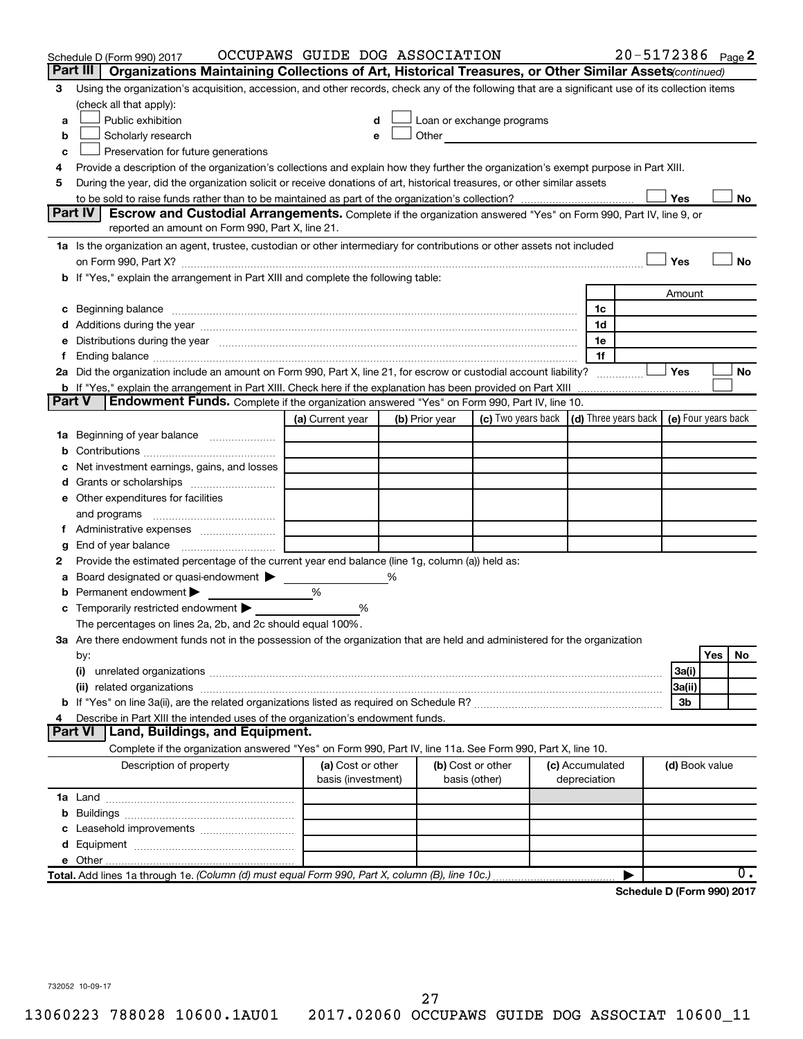|               | Schedule D (Form 990) 2017                                                                                                                                                                                                     | OCCUPAWS GUIDE DOG ASSOCIATION |   |                |                                                                                                                                                                                                                               |                                                                             |                 | 20-5172386 Page 2          |                |     |           |
|---------------|--------------------------------------------------------------------------------------------------------------------------------------------------------------------------------------------------------------------------------|--------------------------------|---|----------------|-------------------------------------------------------------------------------------------------------------------------------------------------------------------------------------------------------------------------------|-----------------------------------------------------------------------------|-----------------|----------------------------|----------------|-----|-----------|
|               | Part III<br>Organizations Maintaining Collections of Art, Historical Treasures, or Other Similar Assets (continued)                                                                                                            |                                |   |                |                                                                                                                                                                                                                               |                                                                             |                 |                            |                |     |           |
| 3             | Using the organization's acquisition, accession, and other records, check any of the following that are a significant use of its collection items                                                                              |                                |   |                |                                                                                                                                                                                                                               |                                                                             |                 |                            |                |     |           |
|               | (check all that apply):                                                                                                                                                                                                        |                                |   |                |                                                                                                                                                                                                                               |                                                                             |                 |                            |                |     |           |
| a             | Public exhibition                                                                                                                                                                                                              |                                |   |                | Loan or exchange programs                                                                                                                                                                                                     |                                                                             |                 |                            |                |     |           |
| b             | Scholarly research                                                                                                                                                                                                             |                                |   |                | Other and the contract of the contract of the contract of the contract of the contract of the contract of the contract of the contract of the contract of the contract of the contract of the contract of the contract of the |                                                                             |                 |                            |                |     |           |
| с             | Preservation for future generations                                                                                                                                                                                            |                                |   |                |                                                                                                                                                                                                                               |                                                                             |                 |                            |                |     |           |
| 4             | Provide a description of the organization's collections and explain how they further the organization's exempt purpose in Part XIII.                                                                                           |                                |   |                |                                                                                                                                                                                                                               |                                                                             |                 |                            |                |     |           |
| 5             | During the year, did the organization solicit or receive donations of art, historical treasures, or other similar assets                                                                                                       |                                |   |                |                                                                                                                                                                                                                               |                                                                             |                 |                            |                |     |           |
|               |                                                                                                                                                                                                                                |                                |   |                |                                                                                                                                                                                                                               |                                                                             |                 |                            | Yes            |     | No        |
|               | Part IV I<br><b>Escrow and Custodial Arrangements.</b> Complete if the organization answered "Yes" on Form 990, Part IV, line 9, or<br>reported an amount on Form 990, Part X, line 21.                                        |                                |   |                |                                                                                                                                                                                                                               |                                                                             |                 |                            |                |     |           |
|               | 1a Is the organization an agent, trustee, custodian or other intermediary for contributions or other assets not included                                                                                                       |                                |   |                |                                                                                                                                                                                                                               |                                                                             |                 |                            |                |     |           |
|               |                                                                                                                                                                                                                                |                                |   |                |                                                                                                                                                                                                                               |                                                                             |                 |                            | Yes            |     | <b>No</b> |
|               | b If "Yes," explain the arrangement in Part XIII and complete the following table:                                                                                                                                             |                                |   |                |                                                                                                                                                                                                                               |                                                                             |                 |                            |                |     |           |
|               |                                                                                                                                                                                                                                |                                |   |                |                                                                                                                                                                                                                               |                                                                             |                 |                            | Amount         |     |           |
|               |                                                                                                                                                                                                                                |                                |   |                |                                                                                                                                                                                                                               |                                                                             | 1c              |                            |                |     |           |
|               |                                                                                                                                                                                                                                |                                |   |                |                                                                                                                                                                                                                               |                                                                             | 1d              |                            |                |     |           |
|               | e Distributions during the year measurement contained and all the control of the set of the set of the set of the set of the set of the set of the set of the set of the set of the set of the set of the set of the set of th |                                |   |                |                                                                                                                                                                                                                               |                                                                             | 1e              |                            |                |     |           |
|               |                                                                                                                                                                                                                                |                                |   |                |                                                                                                                                                                                                                               |                                                                             | 1f              |                            |                |     |           |
|               | 2a Did the organization include an amount on Form 990, Part X, line 21, for escrow or custodial account liability?                                                                                                             |                                |   |                |                                                                                                                                                                                                                               |                                                                             |                 |                            | Yes            |     | No        |
|               | <b>b</b> If "Yes," explain the arrangement in Part XIII. Check here if the explanation has been provided on Part XIII                                                                                                          |                                |   |                |                                                                                                                                                                                                                               |                                                                             |                 |                            |                |     |           |
| <b>Part V</b> | <b>Endowment Funds.</b> Complete if the organization answered "Yes" on Form 990, Part IV, line 10.                                                                                                                             |                                |   |                |                                                                                                                                                                                                                               |                                                                             |                 |                            |                |     |           |
|               |                                                                                                                                                                                                                                | (a) Current year               |   | (b) Prior year |                                                                                                                                                                                                                               | (c) Two years back $\vert$ (d) Three years back $\vert$ (e) Four years back |                 |                            |                |     |           |
|               | 1a Beginning of year balance                                                                                                                                                                                                   |                                |   |                |                                                                                                                                                                                                                               |                                                                             |                 |                            |                |     |           |
| b             |                                                                                                                                                                                                                                |                                |   |                |                                                                                                                                                                                                                               |                                                                             |                 |                            |                |     |           |
| с             | Net investment earnings, gains, and losses                                                                                                                                                                                     |                                |   |                |                                                                                                                                                                                                                               |                                                                             |                 |                            |                |     |           |
|               |                                                                                                                                                                                                                                |                                |   |                |                                                                                                                                                                                                                               |                                                                             |                 |                            |                |     |           |
|               | e Other expenditures for facilities                                                                                                                                                                                            |                                |   |                |                                                                                                                                                                                                                               |                                                                             |                 |                            |                |     |           |
|               | and programs                                                                                                                                                                                                                   |                                |   |                |                                                                                                                                                                                                                               |                                                                             |                 |                            |                |     |           |
|               |                                                                                                                                                                                                                                |                                |   |                |                                                                                                                                                                                                                               |                                                                             |                 |                            |                |     |           |
| g             |                                                                                                                                                                                                                                |                                |   |                |                                                                                                                                                                                                                               |                                                                             |                 |                            |                |     |           |
| 2             | Provide the estimated percentage of the current year end balance (line 1g, column (a)) held as:                                                                                                                                |                                |   |                |                                                                                                                                                                                                                               |                                                                             |                 |                            |                |     |           |
| а             | Board designated or quasi-endowment >                                                                                                                                                                                          |                                | % |                |                                                                                                                                                                                                                               |                                                                             |                 |                            |                |     |           |
| b             | Permanent endowment                                                                                                                                                                                                            | %                              |   |                |                                                                                                                                                                                                                               |                                                                             |                 |                            |                |     |           |
|               | <b>c</b> Temporarily restricted endowment $\blacktriangleright$                                                                                                                                                                | %                              |   |                |                                                                                                                                                                                                                               |                                                                             |                 |                            |                |     |           |
|               | The percentages on lines 2a, 2b, and 2c should equal 100%.                                                                                                                                                                     |                                |   |                |                                                                                                                                                                                                                               |                                                                             |                 |                            |                |     |           |
|               | 3a Are there endowment funds not in the possession of the organization that are held and administered for the organization                                                                                                     |                                |   |                |                                                                                                                                                                                                                               |                                                                             |                 |                            |                | Yes | No        |
|               | by:                                                                                                                                                                                                                            |                                |   |                |                                                                                                                                                                                                                               |                                                                             |                 |                            |                |     |           |
|               |                                                                                                                                                                                                                                |                                |   |                |                                                                                                                                                                                                                               |                                                                             |                 |                            | 3a(i)          |     |           |
|               |                                                                                                                                                                                                                                |                                |   |                |                                                                                                                                                                                                                               |                                                                             |                 |                            | 3a(ii)<br>3b   |     |           |
| 4             | Describe in Part XIII the intended uses of the organization's endowment funds.                                                                                                                                                 |                                |   |                |                                                                                                                                                                                                                               |                                                                             |                 |                            |                |     |           |
|               | Land, Buildings, and Equipment.<br><b>Part VI</b>                                                                                                                                                                              |                                |   |                |                                                                                                                                                                                                                               |                                                                             |                 |                            |                |     |           |
|               | Complete if the organization answered "Yes" on Form 990, Part IV, line 11a. See Form 990, Part X, line 10.                                                                                                                     |                                |   |                |                                                                                                                                                                                                                               |                                                                             |                 |                            |                |     |           |
|               | Description of property                                                                                                                                                                                                        | (a) Cost or other              |   |                | (b) Cost or other                                                                                                                                                                                                             |                                                                             | (c) Accumulated |                            | (d) Book value |     |           |
|               |                                                                                                                                                                                                                                | basis (investment)             |   |                | basis (other)                                                                                                                                                                                                                 |                                                                             | depreciation    |                            |                |     |           |
|               |                                                                                                                                                                                                                                |                                |   |                |                                                                                                                                                                                                                               |                                                                             |                 |                            |                |     |           |
| b             |                                                                                                                                                                                                                                |                                |   |                |                                                                                                                                                                                                                               |                                                                             |                 |                            |                |     |           |
|               |                                                                                                                                                                                                                                |                                |   |                |                                                                                                                                                                                                                               |                                                                             |                 |                            |                |     |           |
|               |                                                                                                                                                                                                                                |                                |   |                |                                                                                                                                                                                                                               |                                                                             |                 |                            |                |     |           |
|               |                                                                                                                                                                                                                                |                                |   |                |                                                                                                                                                                                                                               |                                                                             |                 |                            |                |     |           |
|               | Total. Add lines 1a through 1e. (Column (d) must equal Form 990, Part X, column (B), line 10c.)                                                                                                                                |                                |   |                |                                                                                                                                                                                                                               |                                                                             |                 |                            |                |     | 0.        |
|               |                                                                                                                                                                                                                                |                                |   |                |                                                                                                                                                                                                                               |                                                                             |                 | Schedule D (Form 990) 2017 |                |     |           |
|               |                                                                                                                                                                                                                                |                                |   |                |                                                                                                                                                                                                                               |                                                                             |                 |                            |                |     |           |

732052 10-09-17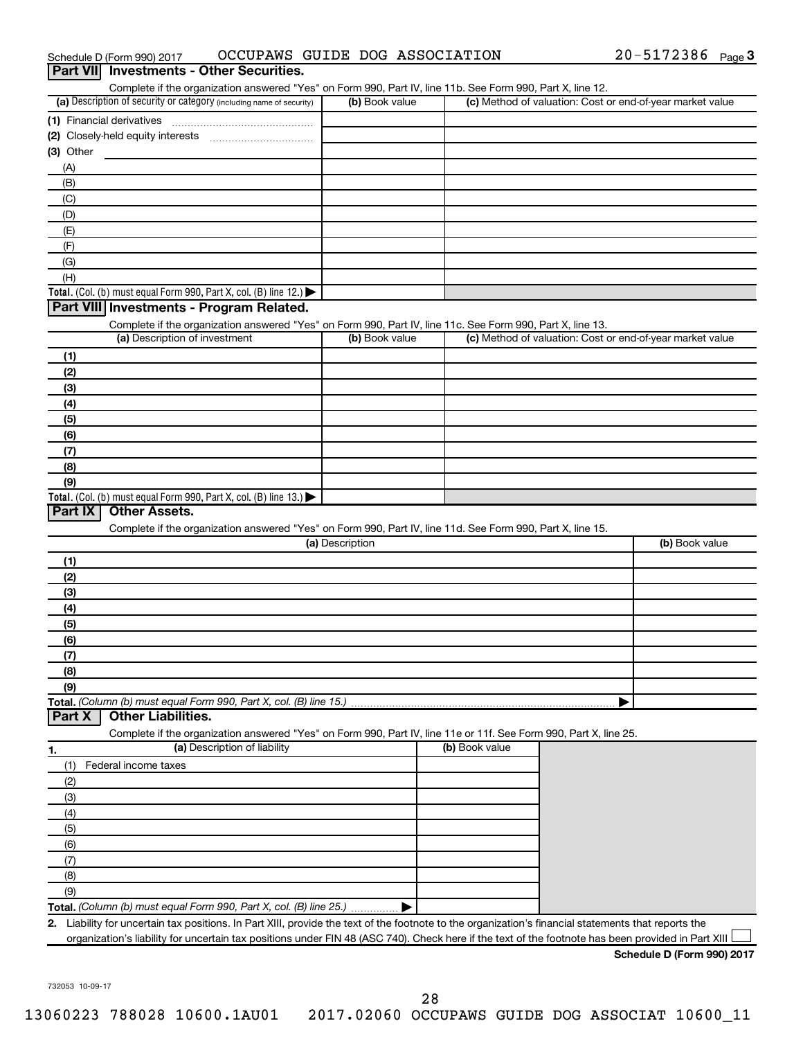|                                                                                                                   | OCCUPAWS GUIDE DOG ASSOCIATION |                | 20-5172386 Page 3                                         |
|-------------------------------------------------------------------------------------------------------------------|--------------------------------|----------------|-----------------------------------------------------------|
| <b>Investments - Other Securities.</b><br><b>Part VIII</b>                                                        |                                |                |                                                           |
| Complete if the organization answered "Yes" on Form 990, Part IV, line 11b. See Form 990, Part X, line 12.        |                                |                |                                                           |
| (a) Description of security or category (including name of security)                                              | (b) Book value                 |                | (c) Method of valuation: Cost or end-of-year market value |
| (1) Financial derivatives                                                                                         |                                |                |                                                           |
|                                                                                                                   |                                |                |                                                           |
| (3) Other                                                                                                         |                                |                |                                                           |
| (A)                                                                                                               |                                |                |                                                           |
| (B)                                                                                                               |                                |                |                                                           |
| (C)                                                                                                               |                                |                |                                                           |
| (D)                                                                                                               |                                |                |                                                           |
| (E)                                                                                                               |                                |                |                                                           |
| (F)                                                                                                               |                                |                |                                                           |
| (G)<br>(H)                                                                                                        |                                |                |                                                           |
| Total. (Col. (b) must equal Form 990, Part X, col. (B) line 12.) $\blacktriangleright$                            |                                |                |                                                           |
| Part VIII Investments - Program Related.                                                                          |                                |                |                                                           |
| Complete if the organization answered "Yes" on Form 990, Part IV, line 11c. See Form 990, Part X, line 13.        |                                |                |                                                           |
| (a) Description of investment                                                                                     | (b) Book value                 |                | (c) Method of valuation: Cost or end-of-year market value |
| (1)                                                                                                               |                                |                |                                                           |
| (2)                                                                                                               |                                |                |                                                           |
| (3)                                                                                                               |                                |                |                                                           |
| (4)                                                                                                               |                                |                |                                                           |
| (5)                                                                                                               |                                |                |                                                           |
| (6)                                                                                                               |                                |                |                                                           |
| (7)                                                                                                               |                                |                |                                                           |
| (8)                                                                                                               |                                |                |                                                           |
| (9)                                                                                                               |                                |                |                                                           |
|                                                                                                                   |                                |                |                                                           |
| Total. (Col. (b) must equal Form 990, Part X, col. (B) line 13.) $\blacktriangleright$                            |                                |                |                                                           |
| <b>Other Assets.</b><br>Part IX                                                                                   |                                |                |                                                           |
| Complete if the organization answered "Yes" on Form 990, Part IV, line 11d. See Form 990, Part X, line 15.        |                                |                |                                                           |
|                                                                                                                   | (a) Description                |                | (b) Book value                                            |
| (1)                                                                                                               |                                |                |                                                           |
| (2)                                                                                                               |                                |                |                                                           |
| (3)                                                                                                               |                                |                |                                                           |
| (4)                                                                                                               |                                |                |                                                           |
| (5)                                                                                                               |                                |                |                                                           |
| (6)                                                                                                               |                                |                |                                                           |
| (7)                                                                                                               |                                |                |                                                           |
| (8)                                                                                                               |                                |                |                                                           |
| (9)                                                                                                               |                                |                |                                                           |
|                                                                                                                   |                                |                |                                                           |
| <b>Other Liabilities.</b>                                                                                         |                                |                |                                                           |
| Complete if the organization answered "Yes" on Form 990, Part IV, line 11e or 11f. See Form 990, Part X, line 25. |                                |                |                                                           |
| (a) Description of liability                                                                                      |                                | (b) Book value |                                                           |
| (1)<br>Federal income taxes                                                                                       |                                |                |                                                           |
| (2)                                                                                                               |                                |                |                                                           |
| (3)                                                                                                               |                                |                |                                                           |
| (4)                                                                                                               |                                |                |                                                           |
| (5)                                                                                                               |                                |                |                                                           |
| (6)                                                                                                               |                                |                |                                                           |
| Total. (Column (b) must equal Form 990, Part X, col. (B) line 15.)<br>Part X<br>1.<br>(7)                         |                                |                |                                                           |
| (8)<br>(9)                                                                                                        |                                |                |                                                           |

| Schedule D (Form 990) 2017 |
|----------------------------|
|----------------------------|

732053 10-09-17

28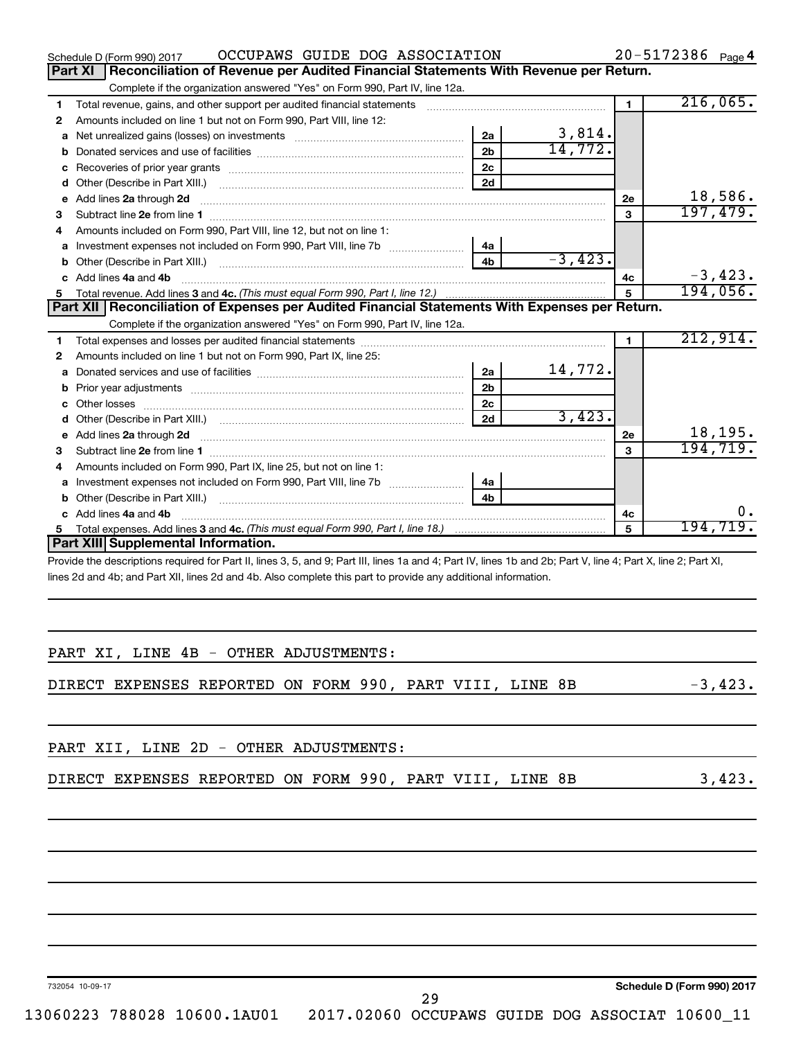|         | OCCUPAWS GUIDE DOG ASSOCIATION<br>Schedule D (Form 990) 2017                                                                                                   |                |           |              | 20-5172386 Page 4 |
|---------|----------------------------------------------------------------------------------------------------------------------------------------------------------------|----------------|-----------|--------------|-------------------|
| Part XI | Reconciliation of Revenue per Audited Financial Statements With Revenue per Return.                                                                            |                |           |              |                   |
|         | Complete if the organization answered "Yes" on Form 990, Part IV, line 12a.                                                                                    |                |           |              |                   |
| 1       | Total revenue, gains, and other support per audited financial statements                                                                                       |                |           | $\mathbf{1}$ | 216,065.          |
| 2       | Amounts included on line 1 but not on Form 990, Part VIII, line 12:                                                                                            |                |           |              |                   |
| a       |                                                                                                                                                                | 2a             | 3,814.    |              |                   |
| b       |                                                                                                                                                                | 2 <sub>b</sub> | 14,772.   |              |                   |
| с       |                                                                                                                                                                | 2c             |           |              |                   |
| d       |                                                                                                                                                                | 2d             |           |              |                   |
| е       | Add lines 2a through 2d                                                                                                                                        |                |           | 2e           | 18,586.           |
| 3       |                                                                                                                                                                |                |           | 3            | 197,479.          |
| 4       | Amounts included on Form 990, Part VIII, line 12, but not on line 1:                                                                                           |                |           |              |                   |
| a       |                                                                                                                                                                | 4a             |           |              |                   |
| b       |                                                                                                                                                                | 4 <sub>h</sub> | $-3,423.$ |              |                   |
|         | c Add lines 4a and 4b                                                                                                                                          |                |           | 4c           | $-3,423.$         |
| 5       |                                                                                                                                                                |                |           | 5            | 194,056.          |
|         | Part XII   Reconciliation of Expenses per Audited Financial Statements With Expenses per Return.                                                               |                |           |              |                   |
|         | Complete if the organization answered "Yes" on Form 990, Part IV, line 12a.                                                                                    |                |           |              |                   |
| 1       |                                                                                                                                                                |                |           | 1.           | 212,914.          |
| 2       | Amounts included on line 1 but not on Form 990, Part IX, line 25:                                                                                              |                |           |              |                   |
| a       |                                                                                                                                                                | 2a             | 14,772.   |              |                   |
| b       |                                                                                                                                                                | 2 <sub>b</sub> |           |              |                   |
| c       | Other losses                                                                                                                                                   | 2 <sub>c</sub> |           |              |                   |
| d       | Other (Describe in Part XIII.) (COLORGIAL CONSERVITY) (CONSERVITY) (CONSERVITY) (CONSERVITY) (CONSERVITY)                                                      | 2d             | 3,423.    |              |                   |
| е       |                                                                                                                                                                |                |           | <b>2e</b>    | 18,195.           |
| з       |                                                                                                                                                                |                |           | $\mathbf{a}$ | 194, 719.         |
| 4       | Amounts included on Form 990, Part IX, line 25, but not on line 1:                                                                                             |                |           |              |                   |
| a       |                                                                                                                                                                | 4a             |           |              |                   |
|         |                                                                                                                                                                | 4 <sub>h</sub> |           |              |                   |
|         | c Add lines 4a and 4b                                                                                                                                          |                |           | 4с           | ο.                |
| 5.      |                                                                                                                                                                |                |           | 5            | 194,719.          |
|         | Part XIII Supplemental Information.                                                                                                                            |                |           |              |                   |
|         | Provide the descriptions required for Part II, lines 3, 5, and 9; Part III, lines 1a and 4; Part IV, lines 1b and 2b; Part V, line 4; Part X, line 2; Part XI, |                |           |              |                   |
|         | lines 2d and 4b; and Part XII, lines 2d and 4b. Also complete this part to provide any additional information.                                                 |                |           |              |                   |

|  |  |  | PART XI, LINE 4B - OTHER ADJUSTMENTS: |
|--|--|--|---------------------------------------|
|  |  |  |                                       |

DIRECT EXPENSES REPORTED ON FORM 990, PART VIII, LINE 8B -3,423.

29

| PART XII, LINE 2D - OTHER ADJUSTMENTS: |  |  |  |
|----------------------------------------|--|--|--|
|----------------------------------------|--|--|--|

|  | DIRECT EXPENSES REPORTED ON FORM 990, PART VIII, LINE 8B<br>د42 |
|--|-----------------------------------------------------------------|
|--|-----------------------------------------------------------------|

732054 10-09-17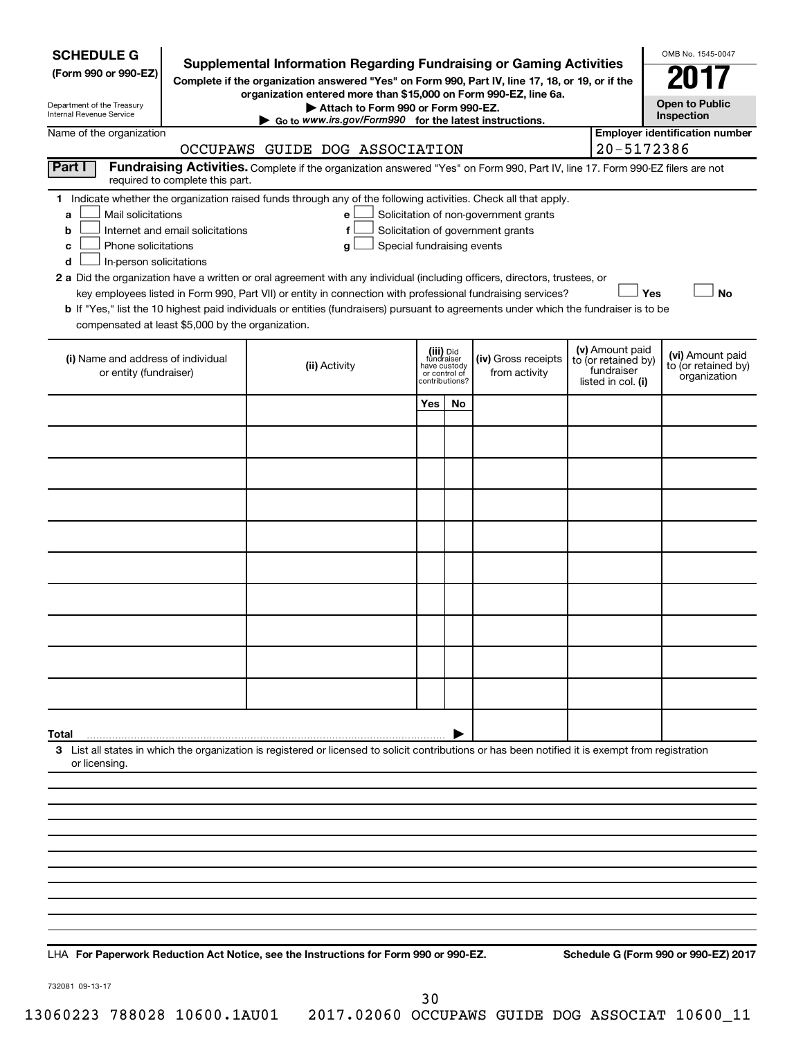| <b>SCHEDULE G</b><br>(Form 990 or 990-EZ)<br>Department of the Treasury<br>Internal Revenue Service |                                  | <b>Supplemental Information Regarding Fundraising or Gaming Activities</b><br>Complete if the organization answered "Yes" on Form 990, Part IV, line 17, 18, or 19, or if the<br>organization entered more than \$15,000 on Form 990-EZ, line 6a.<br>Attach to Form 990 or Form 990-EZ.<br>$\triangleright$ Go to www.irs.gov/Form990 for the latest instructions.                                                                                                                                                                                 |                                                          |                |                                                                            |                                                                            | OMB No. 1545-0047<br><b>Open to Public</b><br>Inspection |
|-----------------------------------------------------------------------------------------------------|----------------------------------|----------------------------------------------------------------------------------------------------------------------------------------------------------------------------------------------------------------------------------------------------------------------------------------------------------------------------------------------------------------------------------------------------------------------------------------------------------------------------------------------------------------------------------------------------|----------------------------------------------------------|----------------|----------------------------------------------------------------------------|----------------------------------------------------------------------------|----------------------------------------------------------|
| Name of the organization                                                                            |                                  |                                                                                                                                                                                                                                                                                                                                                                                                                                                                                                                                                    |                                                          |                |                                                                            |                                                                            | <b>Employer identification number</b>                    |
| Part I                                                                                              |                                  | OCCUPAWS GUIDE DOG ASSOCIATION<br>Fundraising Activities. Complete if the organization answered "Yes" on Form 990, Part IV, line 17. Form 990-EZ filers are not                                                                                                                                                                                                                                                                                                                                                                                    |                                                          |                |                                                                            | 20-5172386                                                                 |                                                          |
|                                                                                                     | required to complete this part.  |                                                                                                                                                                                                                                                                                                                                                                                                                                                                                                                                                    |                                                          |                |                                                                            |                                                                            |                                                          |
| Mail solicitations<br>a<br>b<br>Phone solicitations<br>c<br>In-person solicitations<br>d            | Internet and email solicitations | 1 Indicate whether the organization raised funds through any of the following activities. Check all that apply.<br>е<br>f<br>Special fundraising events<br>g<br>2 a Did the organization have a written or oral agreement with any individual (including officers, directors, trustees, or<br>key employees listed in Form 990, Part VII) or entity in connection with professional fundraising services?<br>b If "Yes," list the 10 highest paid individuals or entities (fundraisers) pursuant to agreements under which the fundraiser is to be |                                                          |                | Solicitation of non-government grants<br>Solicitation of government grants | Yes                                                                        | <b>No</b>                                                |
| compensated at least \$5,000 by the organization.                                                   |                                  |                                                                                                                                                                                                                                                                                                                                                                                                                                                                                                                                                    |                                                          |                |                                                                            |                                                                            |                                                          |
| (i) Name and address of individual<br>or entity (fundraiser)                                        |                                  | (ii) Activity                                                                                                                                                                                                                                                                                                                                                                                                                                                                                                                                      | (iii) Did<br>fundraiser<br>have custody<br>or control of | contributions? | (iv) Gross receipts<br>from activity                                       | (v) Amount paid<br>to (or retained by)<br>fundraiser<br>listed in col. (i) | (vi) Amount paid<br>to (or retained by)<br>organization  |
|                                                                                                     |                                  |                                                                                                                                                                                                                                                                                                                                                                                                                                                                                                                                                    | Yes                                                      | No             |                                                                            |                                                                            |                                                          |
|                                                                                                     |                                  |                                                                                                                                                                                                                                                                                                                                                                                                                                                                                                                                                    |                                                          |                |                                                                            |                                                                            |                                                          |
|                                                                                                     |                                  |                                                                                                                                                                                                                                                                                                                                                                                                                                                                                                                                                    |                                                          |                |                                                                            |                                                                            |                                                          |
|                                                                                                     |                                  |                                                                                                                                                                                                                                                                                                                                                                                                                                                                                                                                                    |                                                          |                |                                                                            |                                                                            |                                                          |
|                                                                                                     |                                  |                                                                                                                                                                                                                                                                                                                                                                                                                                                                                                                                                    |                                                          |                |                                                                            |                                                                            |                                                          |
|                                                                                                     |                                  |                                                                                                                                                                                                                                                                                                                                                                                                                                                                                                                                                    |                                                          |                |                                                                            |                                                                            |                                                          |
|                                                                                                     |                                  |                                                                                                                                                                                                                                                                                                                                                                                                                                                                                                                                                    |                                                          |                |                                                                            |                                                                            |                                                          |
|                                                                                                     |                                  |                                                                                                                                                                                                                                                                                                                                                                                                                                                                                                                                                    |                                                          |                |                                                                            |                                                                            |                                                          |
|                                                                                                     |                                  |                                                                                                                                                                                                                                                                                                                                                                                                                                                                                                                                                    |                                                          |                |                                                                            |                                                                            |                                                          |
|                                                                                                     |                                  |                                                                                                                                                                                                                                                                                                                                                                                                                                                                                                                                                    |                                                          |                |                                                                            |                                                                            |                                                          |
| Total                                                                                               |                                  |                                                                                                                                                                                                                                                                                                                                                                                                                                                                                                                                                    |                                                          |                |                                                                            |                                                                            |                                                          |
| or licensing.                                                                                       |                                  | 3 List all states in which the organization is registered or licensed to solicit contributions or has been notified it is exempt from registration                                                                                                                                                                                                                                                                                                                                                                                                 |                                                          |                |                                                                            |                                                                            |                                                          |
|                                                                                                     |                                  |                                                                                                                                                                                                                                                                                                                                                                                                                                                                                                                                                    |                                                          |                |                                                                            |                                                                            |                                                          |
|                                                                                                     |                                  |                                                                                                                                                                                                                                                                                                                                                                                                                                                                                                                                                    |                                                          |                |                                                                            |                                                                            |                                                          |
|                                                                                                     |                                  |                                                                                                                                                                                                                                                                                                                                                                                                                                                                                                                                                    |                                                          |                |                                                                            |                                                                            |                                                          |
|                                                                                                     |                                  |                                                                                                                                                                                                                                                                                                                                                                                                                                                                                                                                                    |                                                          |                |                                                                            |                                                                            |                                                          |
|                                                                                                     |                                  |                                                                                                                                                                                                                                                                                                                                                                                                                                                                                                                                                    |                                                          |                |                                                                            |                                                                            |                                                          |
|                                                                                                     |                                  |                                                                                                                                                                                                                                                                                                                                                                                                                                                                                                                                                    |                                                          |                |                                                                            |                                                                            |                                                          |
|                                                                                                     |                                  |                                                                                                                                                                                                                                                                                                                                                                                                                                                                                                                                                    |                                                          |                |                                                                            |                                                                            |                                                          |
|                                                                                                     |                                  |                                                                                                                                                                                                                                                                                                                                                                                                                                                                                                                                                    |                                                          |                |                                                                            |                                                                            |                                                          |

**For Paperwork Reduction Act Notice, see the Instructions for Form 990 or 990-EZ. Schedule G (Form 990 or 990-EZ) 2017** LHA

732081 09-13-17

30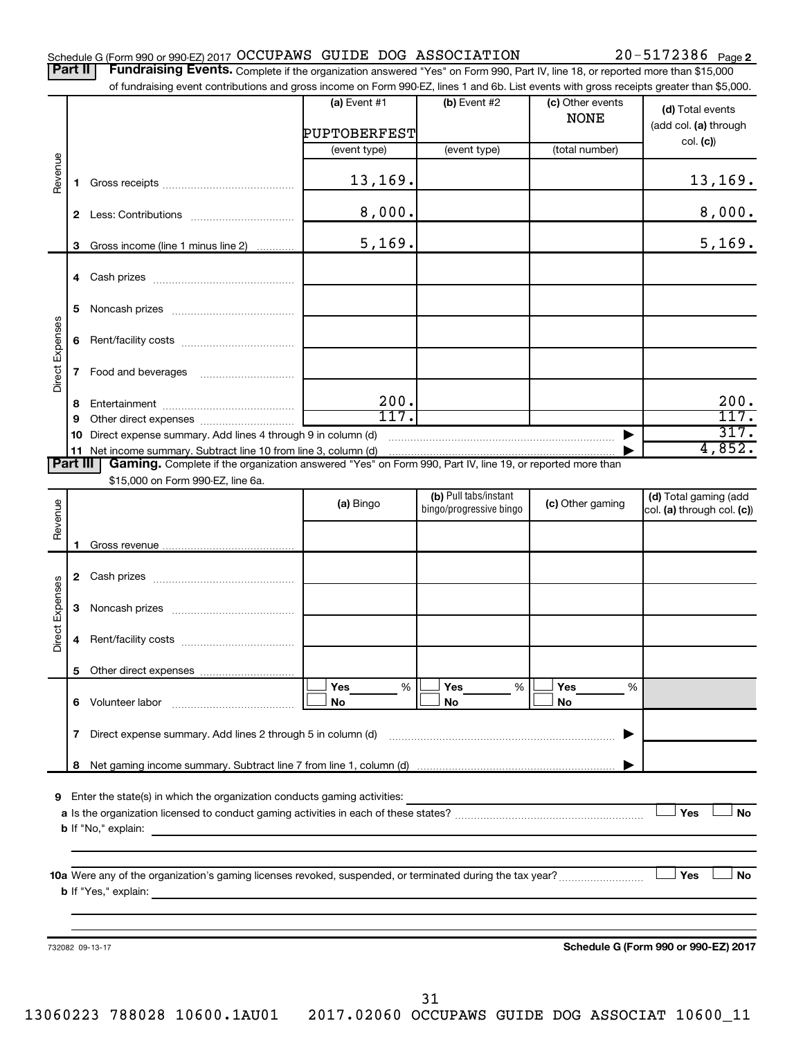|  |  |  |  |  | Schedule G (Form 990 or 990-EZ) 2017 OCCUPAWS GUIDE DOG ASSOCIATION | $20 - 5172386$ Page 2 |  |
|--|--|--|--|--|---------------------------------------------------------------------|-----------------------|--|
|--|--|--|--|--|---------------------------------------------------------------------|-----------------------|--|

Part II | Fundraising Events. Complete if the organization answered "Yes" on Form 990, Part IV, line 18, or reported more than \$15,000 of fundraising event contributions and gross income on Form 990-EZ, lines 1 and 6b. List events with gross receipts greater than \$5,000.

|                        |                                                                                          | OF RING ASH OF EXERCITE CONTINUATIONS AND GIVES INCOME ON FOND 330°CZ, INIES IT AND OD. EIST EVENTS WILL GIVES TECEIPTS GEERING THAN \$0,000. |                                |                                                                                                                                                                                                                                                                                                                                                                                  |                                 |                                                     |  |  |  |
|------------------------|------------------------------------------------------------------------------------------|-----------------------------------------------------------------------------------------------------------------------------------------------|--------------------------------|----------------------------------------------------------------------------------------------------------------------------------------------------------------------------------------------------------------------------------------------------------------------------------------------------------------------------------------------------------------------------------|---------------------------------|-----------------------------------------------------|--|--|--|
| Revenue                |                                                                                          |                                                                                                                                               | (a) Event $#1$<br>PUPTOBERFEST | $(b)$ Event #2                                                                                                                                                                                                                                                                                                                                                                   | (c) Other events<br><b>NONE</b> | (d) Total events<br>(add col. (a) through           |  |  |  |
|                        |                                                                                          |                                                                                                                                               |                                | (event type)                                                                                                                                                                                                                                                                                                                                                                     | (total number)                  | col. (c)                                            |  |  |  |
|                        |                                                                                          |                                                                                                                                               | (event type)                   |                                                                                                                                                                                                                                                                                                                                                                                  |                                 |                                                     |  |  |  |
|                        | 1.                                                                                       |                                                                                                                                               | 13, 169.                       |                                                                                                                                                                                                                                                                                                                                                                                  |                                 | 13, 169.                                            |  |  |  |
|                        |                                                                                          |                                                                                                                                               | 8,000.                         |                                                                                                                                                                                                                                                                                                                                                                                  |                                 | 8,000.                                              |  |  |  |
|                        | 3                                                                                        | Gross income (line 1 minus line 2)                                                                                                            | 5,169.                         |                                                                                                                                                                                                                                                                                                                                                                                  |                                 | 5,169.                                              |  |  |  |
|                        |                                                                                          |                                                                                                                                               |                                |                                                                                                                                                                                                                                                                                                                                                                                  |                                 |                                                     |  |  |  |
|                        | 5                                                                                        |                                                                                                                                               |                                |                                                                                                                                                                                                                                                                                                                                                                                  |                                 |                                                     |  |  |  |
| <b>Direct Expenses</b> |                                                                                          |                                                                                                                                               |                                |                                                                                                                                                                                                                                                                                                                                                                                  |                                 |                                                     |  |  |  |
|                        |                                                                                          |                                                                                                                                               |                                |                                                                                                                                                                                                                                                                                                                                                                                  |                                 |                                                     |  |  |  |
|                        | 8                                                                                        |                                                                                                                                               | 200.                           |                                                                                                                                                                                                                                                                                                                                                                                  |                                 | 200.                                                |  |  |  |
|                        | 9                                                                                        |                                                                                                                                               | 117.                           |                                                                                                                                                                                                                                                                                                                                                                                  |                                 | 117.                                                |  |  |  |
|                        |                                                                                          | 10 Direct expense summary. Add lines 4 through 9 in column (d)                                                                                |                                | $\begin{picture}(20,10) \put(0,0){\vector(1,0){10}} \put(1,0){\vector(1,0){10}} \put(1,0){\vector(1,0){10}} \put(1,0){\vector(1,0){10}} \put(1,0){\vector(1,0){10}} \put(1,0){\vector(1,0){10}} \put(1,0){\vector(1,0){10}} \put(1,0){\vector(1,0){10}} \put(1,0){\vector(1,0){10}} \put(1,0){\vector(1,0){10}} \put(1,0){\vector(1,0){10}} \put(1,0){\vector(1,0){10}} \put(1,$ |                                 | 317.                                                |  |  |  |
|                        |                                                                                          | 11 Net income summary. Subtract line 10 from line 3, column (d)                                                                               |                                |                                                                                                                                                                                                                                                                                                                                                                                  |                                 | 4,852.                                              |  |  |  |
| <b>Part III</b>        |                                                                                          | Gaming. Complete if the organization answered "Yes" on Form 990, Part IV, line 19, or reported more than                                      |                                |                                                                                                                                                                                                                                                                                                                                                                                  |                                 |                                                     |  |  |  |
|                        |                                                                                          | \$15,000 on Form 990-EZ, line 6a.                                                                                                             |                                |                                                                                                                                                                                                                                                                                                                                                                                  |                                 |                                                     |  |  |  |
|                        |                                                                                          |                                                                                                                                               | (a) Bingo                      | (b) Pull tabs/instant<br>bingo/progressive bingo                                                                                                                                                                                                                                                                                                                                 | (c) Other gaming                | (d) Total gaming (add<br>col. (a) through col. (c)) |  |  |  |
| Revenue                |                                                                                          |                                                                                                                                               |                                |                                                                                                                                                                                                                                                                                                                                                                                  |                                 |                                                     |  |  |  |
|                        | 1                                                                                        |                                                                                                                                               |                                |                                                                                                                                                                                                                                                                                                                                                                                  |                                 |                                                     |  |  |  |
|                        |                                                                                          |                                                                                                                                               |                                |                                                                                                                                                                                                                                                                                                                                                                                  |                                 |                                                     |  |  |  |
|                        |                                                                                          |                                                                                                                                               |                                |                                                                                                                                                                                                                                                                                                                                                                                  |                                 |                                                     |  |  |  |
| <b>Direct Expenses</b> |                                                                                          |                                                                                                                                               |                                |                                                                                                                                                                                                                                                                                                                                                                                  |                                 |                                                     |  |  |  |
|                        | 4                                                                                        |                                                                                                                                               |                                |                                                                                                                                                                                                                                                                                                                                                                                  |                                 |                                                     |  |  |  |
|                        |                                                                                          |                                                                                                                                               |                                |                                                                                                                                                                                                                                                                                                                                                                                  |                                 |                                                     |  |  |  |
|                        |                                                                                          |                                                                                                                                               | Yes<br>%                       | Yes<br>%                                                                                                                                                                                                                                                                                                                                                                         | Yes<br>%                        |                                                     |  |  |  |
|                        |                                                                                          | 6 Volunteer labor                                                                                                                             | No                             | No                                                                                                                                                                                                                                                                                                                                                                               | No                              |                                                     |  |  |  |
|                        | Direct expense summary. Add lines 2 through 5 in column (d)<br>7                         |                                                                                                                                               |                                |                                                                                                                                                                                                                                                                                                                                                                                  |                                 |                                                     |  |  |  |
|                        | 8                                                                                        |                                                                                                                                               |                                |                                                                                                                                                                                                                                                                                                                                                                                  |                                 |                                                     |  |  |  |
|                        |                                                                                          |                                                                                                                                               |                                |                                                                                                                                                                                                                                                                                                                                                                                  |                                 |                                                     |  |  |  |
| 9                      |                                                                                          | Enter the state(s) in which the organization conducts gaming activities:                                                                      |                                |                                                                                                                                                                                                                                                                                                                                                                                  |                                 |                                                     |  |  |  |
|                        | Yes<br><b>No</b>                                                                         |                                                                                                                                               |                                |                                                                                                                                                                                                                                                                                                                                                                                  |                                 |                                                     |  |  |  |
|                        | <b>b</b> If "No," explain:<br><u> 1980 - Jan Stein Berlin, amerikan berlindar (</u>      |                                                                                                                                               |                                |                                                                                                                                                                                                                                                                                                                                                                                  |                                 |                                                     |  |  |  |
|                        |                                                                                          |                                                                                                                                               |                                |                                                                                                                                                                                                                                                                                                                                                                                  |                                 |                                                     |  |  |  |
|                        |                                                                                          |                                                                                                                                               |                                |                                                                                                                                                                                                                                                                                                                                                                                  |                                 | Yes<br>No                                           |  |  |  |
|                        | <b>b</b> If "Yes," explain:<br><u> 1980 - John Stein, Amerikaansk politiker (* 1908)</u> |                                                                                                                                               |                                |                                                                                                                                                                                                                                                                                                                                                                                  |                                 |                                                     |  |  |  |
|                        |                                                                                          |                                                                                                                                               |                                |                                                                                                                                                                                                                                                                                                                                                                                  |                                 |                                                     |  |  |  |
|                        |                                                                                          |                                                                                                                                               |                                |                                                                                                                                                                                                                                                                                                                                                                                  |                                 |                                                     |  |  |  |
|                        |                                                                                          | 732082 09-13-17                                                                                                                               |                                |                                                                                                                                                                                                                                                                                                                                                                                  |                                 | Schedule G (Form 990 or 990-EZ) 2017                |  |  |  |
|                        |                                                                                          |                                                                                                                                               |                                |                                                                                                                                                                                                                                                                                                                                                                                  |                                 |                                                     |  |  |  |
|                        |                                                                                          |                                                                                                                                               |                                |                                                                                                                                                                                                                                                                                                                                                                                  |                                 |                                                     |  |  |  |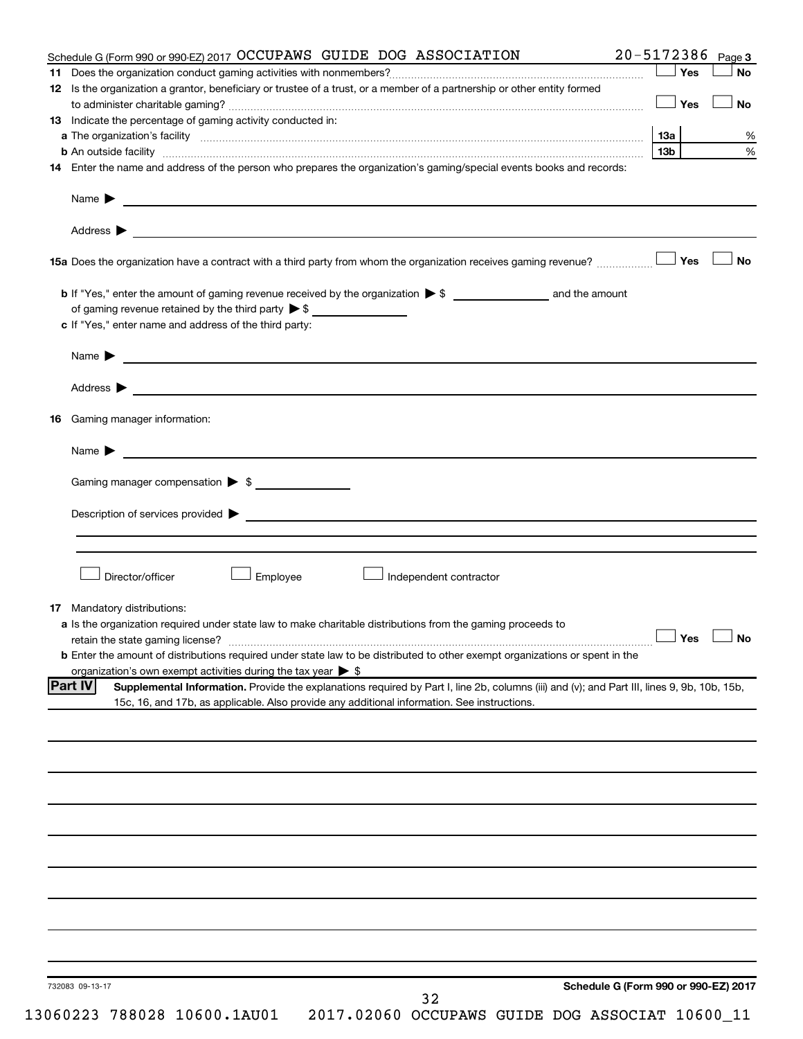| Schedule G (Form 990 or 990-EZ) 2017 OCCUPAWS GUIDE DOG ASSOCIATION                                                                                                                                                                                                                                                                                                                                                   | 20-5172386 Page 3                               |  |  |  |  |  |
|-----------------------------------------------------------------------------------------------------------------------------------------------------------------------------------------------------------------------------------------------------------------------------------------------------------------------------------------------------------------------------------------------------------------------|-------------------------------------------------|--|--|--|--|--|
|                                                                                                                                                                                                                                                                                                                                                                                                                       | Yes<br>No                                       |  |  |  |  |  |
| 12 Is the organization a grantor, beneficiary or trustee of a trust, or a member of a partnership or other entity formed                                                                                                                                                                                                                                                                                              |                                                 |  |  |  |  |  |
|                                                                                                                                                                                                                                                                                                                                                                                                                       | Yes<br>No                                       |  |  |  |  |  |
| 13 Indicate the percentage of gaming activity conducted in:                                                                                                                                                                                                                                                                                                                                                           |                                                 |  |  |  |  |  |
|                                                                                                                                                                                                                                                                                                                                                                                                                       | <b>13a</b>                                      |  |  |  |  |  |
|                                                                                                                                                                                                                                                                                                                                                                                                                       | 13b                                             |  |  |  |  |  |
| 14 Enter the name and address of the person who prepares the organization's gaming/special events books and records:                                                                                                                                                                                                                                                                                                  |                                                 |  |  |  |  |  |
|                                                                                                                                                                                                                                                                                                                                                                                                                       |                                                 |  |  |  |  |  |
| Name $\triangleright$                                                                                                                                                                                                                                                                                                                                                                                                 |                                                 |  |  |  |  |  |
|                                                                                                                                                                                                                                                                                                                                                                                                                       |                                                 |  |  |  |  |  |
|                                                                                                                                                                                                                                                                                                                                                                                                                       |                                                 |  |  |  |  |  |
|                                                                                                                                                                                                                                                                                                                                                                                                                       | Yes<br><b>No</b>                                |  |  |  |  |  |
|                                                                                                                                                                                                                                                                                                                                                                                                                       |                                                 |  |  |  |  |  |
|                                                                                                                                                                                                                                                                                                                                                                                                                       |                                                 |  |  |  |  |  |
| of gaming revenue retained by the third party $\triangleright$ \$                                                                                                                                                                                                                                                                                                                                                     |                                                 |  |  |  |  |  |
| c If "Yes," enter name and address of the third party:                                                                                                                                                                                                                                                                                                                                                                |                                                 |  |  |  |  |  |
| Name $\blacktriangleright$ $\frac{1}{\sqrt{1-\frac{1}{2}}\sqrt{1-\frac{1}{2}}\sqrt{1-\frac{1}{2}}\sqrt{1-\frac{1}{2}}\sqrt{1-\frac{1}{2}}\sqrt{1-\frac{1}{2}}\sqrt{1-\frac{1}{2}}\sqrt{1-\frac{1}{2}}\sqrt{1-\frac{1}{2}}\sqrt{1-\frac{1}{2}}\sqrt{1-\frac{1}{2}}\sqrt{1-\frac{1}{2}}\sqrt{1-\frac{1}{2}}\sqrt{1-\frac{1}{2}}\sqrt{1-\frac{1}{2}}\sqrt{1-\frac{1}{2}}\sqrt{1-\frac{1}{2}}\sqrt{1-\frac{1}{2}}\sqrt{1$ |                                                 |  |  |  |  |  |
|                                                                                                                                                                                                                                                                                                                                                                                                                       |                                                 |  |  |  |  |  |
| Address > 2008 - 2008 - 2009 - 2009 - 2009 - 2009 - 2009 - 2009 - 2009 - 2009 - 2009 - 2009 - 2009 - 2009 - 2009 - 2009 - 2009 - 2009 - 2009 - 2009 - 2009 - 2009 - 2009 - 2009 - 2009 - 2009 - 2009 - 2009 - 2009 - 2009 - 20                                                                                                                                                                                        |                                                 |  |  |  |  |  |
| Gaming manager information:<br>16                                                                                                                                                                                                                                                                                                                                                                                     |                                                 |  |  |  |  |  |
| Name $\blacktriangleright$ $\blacksquare$                                                                                                                                                                                                                                                                                                                                                                             |                                                 |  |  |  |  |  |
|                                                                                                                                                                                                                                                                                                                                                                                                                       |                                                 |  |  |  |  |  |
|                                                                                                                                                                                                                                                                                                                                                                                                                       | Gaming manager compensation $\triangleright$ \$ |  |  |  |  |  |
| Description of services provided states and the contract of the contract of the contract of the contract of the contract of the contract of the contract of the contract of the contract of the contract of the contract of th                                                                                                                                                                                        |                                                 |  |  |  |  |  |
|                                                                                                                                                                                                                                                                                                                                                                                                                       |                                                 |  |  |  |  |  |
|                                                                                                                                                                                                                                                                                                                                                                                                                       |                                                 |  |  |  |  |  |
|                                                                                                                                                                                                                                                                                                                                                                                                                       |                                                 |  |  |  |  |  |
|                                                                                                                                                                                                                                                                                                                                                                                                                       |                                                 |  |  |  |  |  |
|                                                                                                                                                                                                                                                                                                                                                                                                                       |                                                 |  |  |  |  |  |
| Director/officer<br>Employee<br>Independent contractor                                                                                                                                                                                                                                                                                                                                                                |                                                 |  |  |  |  |  |
|                                                                                                                                                                                                                                                                                                                                                                                                                       |                                                 |  |  |  |  |  |
| <b>17</b> Mandatory distributions:                                                                                                                                                                                                                                                                                                                                                                                    |                                                 |  |  |  |  |  |
| <b>a</b> Is the organization required under state law to make charitable distributions from the gaming proceeds to                                                                                                                                                                                                                                                                                                    |                                                 |  |  |  |  |  |
| retain the state gaming license? $\Box$ No                                                                                                                                                                                                                                                                                                                                                                            |                                                 |  |  |  |  |  |
| <b>b</b> Enter the amount of distributions required under state law to be distributed to other exempt organizations or spent in the                                                                                                                                                                                                                                                                                   |                                                 |  |  |  |  |  |
| organization's own exempt activities during the tax year > \$                                                                                                                                                                                                                                                                                                                                                         |                                                 |  |  |  |  |  |
| <b>Part IV</b><br>Supplemental Information. Provide the explanations required by Part I, line 2b, columns (iii) and (v); and Part III, lines 9, 9b, 10b, 15b,                                                                                                                                                                                                                                                         |                                                 |  |  |  |  |  |
| 15c, 16, and 17b, as applicable. Also provide any additional information. See instructions.                                                                                                                                                                                                                                                                                                                           |                                                 |  |  |  |  |  |
|                                                                                                                                                                                                                                                                                                                                                                                                                       |                                                 |  |  |  |  |  |
|                                                                                                                                                                                                                                                                                                                                                                                                                       |                                                 |  |  |  |  |  |
|                                                                                                                                                                                                                                                                                                                                                                                                                       |                                                 |  |  |  |  |  |
|                                                                                                                                                                                                                                                                                                                                                                                                                       |                                                 |  |  |  |  |  |
|                                                                                                                                                                                                                                                                                                                                                                                                                       |                                                 |  |  |  |  |  |
|                                                                                                                                                                                                                                                                                                                                                                                                                       |                                                 |  |  |  |  |  |
|                                                                                                                                                                                                                                                                                                                                                                                                                       |                                                 |  |  |  |  |  |
|                                                                                                                                                                                                                                                                                                                                                                                                                       |                                                 |  |  |  |  |  |
|                                                                                                                                                                                                                                                                                                                                                                                                                       |                                                 |  |  |  |  |  |
|                                                                                                                                                                                                                                                                                                                                                                                                                       |                                                 |  |  |  |  |  |
|                                                                                                                                                                                                                                                                                                                                                                                                                       |                                                 |  |  |  |  |  |
|                                                                                                                                                                                                                                                                                                                                                                                                                       |                                                 |  |  |  |  |  |
|                                                                                                                                                                                                                                                                                                                                                                                                                       |                                                 |  |  |  |  |  |
|                                                                                                                                                                                                                                                                                                                                                                                                                       |                                                 |  |  |  |  |  |
|                                                                                                                                                                                                                                                                                                                                                                                                                       |                                                 |  |  |  |  |  |
|                                                                                                                                                                                                                                                                                                                                                                                                                       |                                                 |  |  |  |  |  |
| 732083 09-13-17<br>32                                                                                                                                                                                                                                                                                                                                                                                                 | Schedule G (Form 990 or 990-EZ) 2017            |  |  |  |  |  |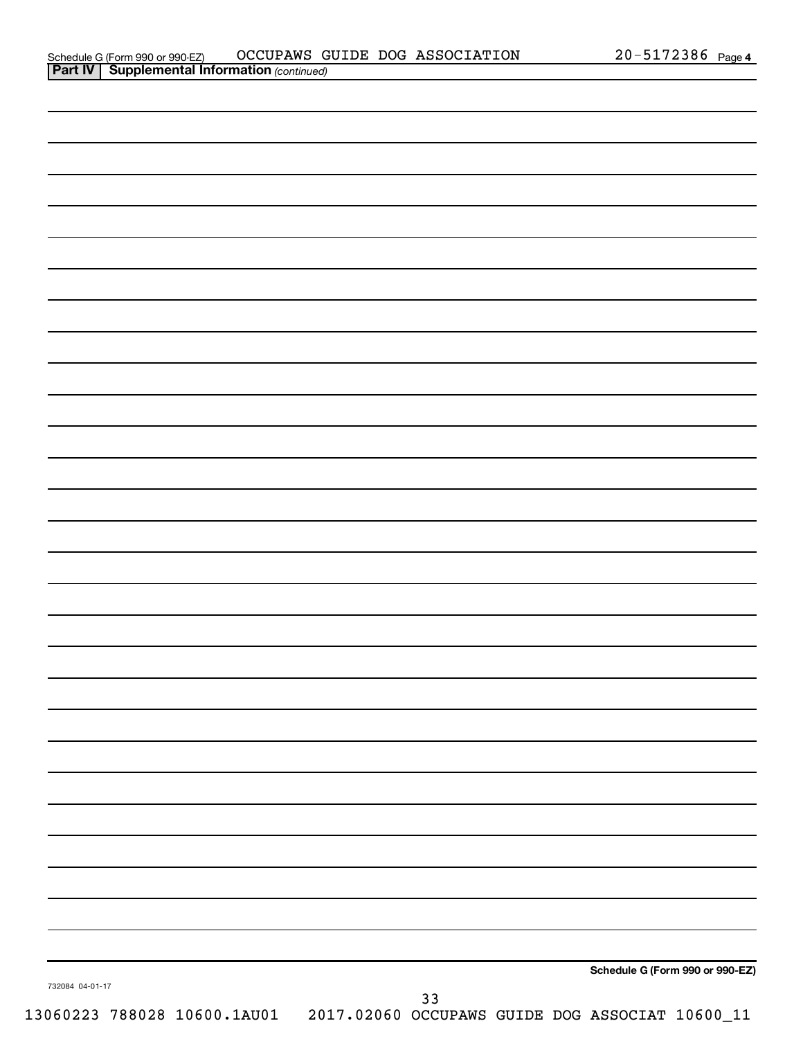| 732084 04-01-17 |    | Schedule G (Form 990 or 990-EZ) |
|-----------------|----|---------------------------------|
|                 | 33 |                                 |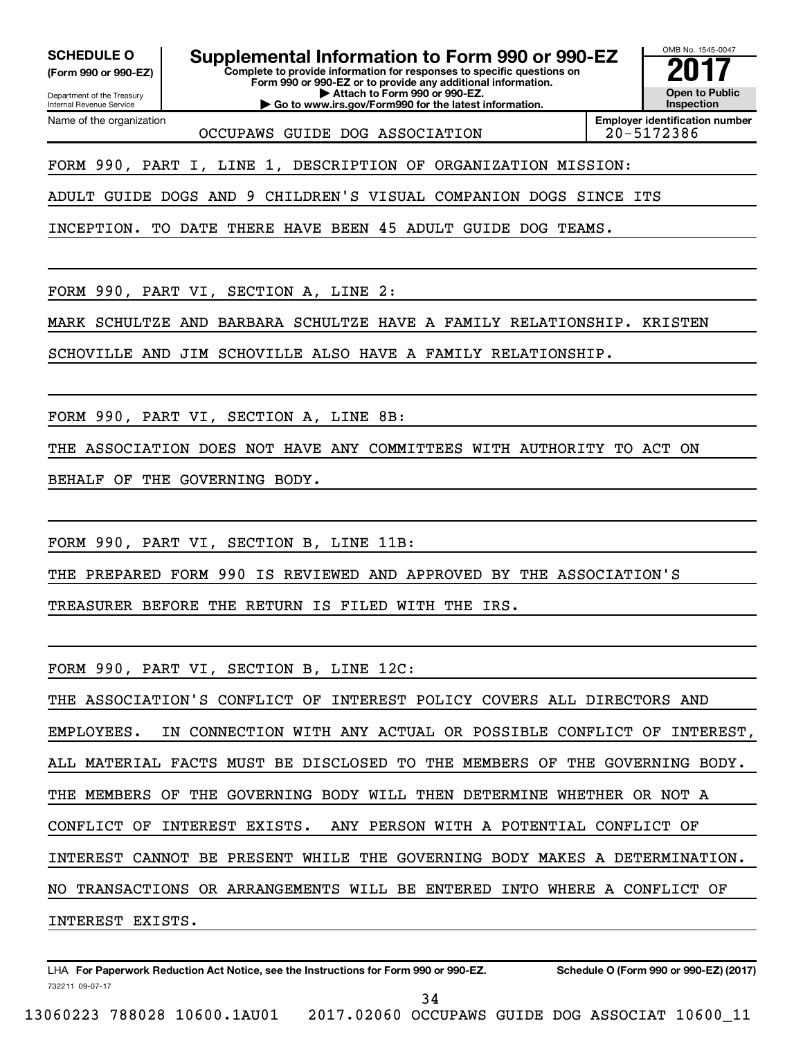Department of the Treasury **(Form 990 or 990-EZ)**

Name of the organization

Internal Revenue Service

**SCHEDULE O Supplemental Information to Form 990 or 990-EZ** <br>(Form 990 or 990-EZ) Complete to provide information for responses to specific questions on

**Complete to provide information for responses to specific questions on Form 990 or 990-EZ or to provide any additional information. | Attach to Form 990 or 990-EZ.**

**| Go to www.irs.gov/Form990 for the latest information.**

OMB No. 1545-0047 **Open to Public Inspection**

OCCUPAWS GUIDE DOG ASSOCIATION 20-5172386

**Employer identification number**

FORM 990, PART I, LINE 1, DESCRIPTION OF ORGANIZATION MISSION:

ADULT GUIDE DOGS AND 9 CHILDREN'S VISUAL COMPANION DOGS SINCE ITS

INCEPTION. TO DATE THERE HAVE BEEN 45 ADULT GUIDE DOG TEAMS.

FORM 990, PART VI, SECTION A, LINE 2:

MARK SCHULTZE AND BARBARA SCHULTZE HAVE A FAMILY RELATIONSHIP. KRISTEN

SCHOVILLE AND JIM SCHOVILLE ALSO HAVE A FAMILY RELATIONSHIP.

FORM 990, PART VI, SECTION A, LINE 8B:

THE ASSOCIATION DOES NOT HAVE ANY COMMITTEES WITH AUTHORITY TO ACT ON

BEHALF OF THE GOVERNING BODY.

FORM 990, PART VI, SECTION B, LINE 11B:

THE PREPARED FORM 990 IS REVIEWED AND APPROVED BY THE ASSOCIATION'S

TREASURER BEFORE THE RETURN IS FILED WITH THE IRS.

FORM 990, PART VI, SECTION B, LINE 12C:

THE ASSOCIATION'S CONFLICT OF INTEREST POLICY COVERS ALL DIRECTORS AND EMPLOYEES. IN CONNECTION WITH ANY ACTUAL OR POSSIBLE CONFLICT OF INTEREST, ALL MATERIAL FACTS MUST BE DISCLOSED TO THE MEMBERS OF THE GOVERNING BODY. THE MEMBERS OF THE GOVERNING BODY WILL THEN DETERMINE WHETHER OR NOT A CONFLICT OF INTEREST EXISTS. ANY PERSON WITH A POTENTIAL CONFLICT OF INTEREST CANNOT BE PRESENT WHILE THE GOVERNING BODY MAKES A DETERMINATION. NO TRANSACTIONS OR ARRANGEMENTS WILL BE ENTERED INTO WHERE A CONFLICT OF INTEREST EXISTS.

732211 09-07-17 LHA For Paperwork Reduction Act Notice, see the Instructions for Form 990 or 990-EZ. Schedule O (Form 990 or 990-EZ) (2017)